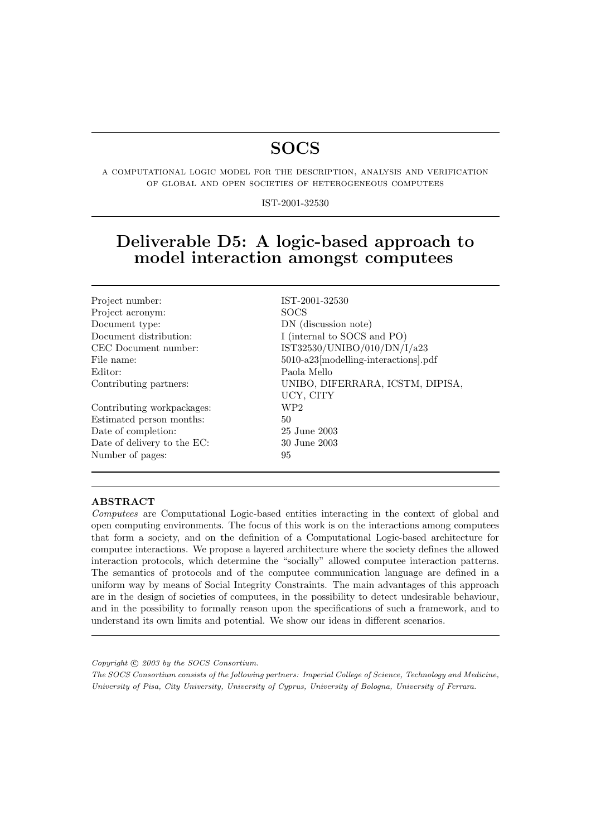# **SOCS**

a computational logic model for the description, analysis and verification of global and open societies of heterogeneous computees

IST-2001-32530

# Deliverable D5: A logic-based approach to model interaction amongst computees

| IST-2001-32530                              |
|---------------------------------------------|
| <b>SOCS</b>                                 |
| DN (discussion note)                        |
| I (internal to SOCS and PO)                 |
| IST32530/UNIBO/010/DN/I/a23                 |
| $5010$ -a $23$ [modelling-interactions].pdf |
| Paola Mello                                 |
| UNIBO, DIFERRARA, ICSTM, DIPISA,            |
| UCY, CITY                                   |
| WP2                                         |
| 50                                          |
| 25 June 2003                                |
| 30 June 2003                                |
| 95                                          |
|                                             |

#### ABSTRACT

Computees are Computational Logic-based entities interacting in the context of global and open computing environments. The focus of this work is on the interactions among computees that form a society, and on the definition of a Computational Logic-based architecture for computee interactions. We propose a layered architecture where the society defines the allowed interaction protocols, which determine the "socially" allowed computee interaction patterns. The semantics of protocols and of the computee communication language are defined in a uniform way by means of Social Integrity Constraints. The main advantages of this approach are in the design of societies of computees, in the possibility to detect undesirable behaviour, and in the possibility to formally reason upon the specifications of such a framework, and to understand its own limits and potential. We show our ideas in different scenarios.

Copyright  $\odot$  2003 by the SOCS Consortium.

The SOCS Consortium consists of the following partners: Imperial College of Science, Technology and Medicine, University of Pisa, City University, University of Cyprus, University of Bologna, University of Ferrara.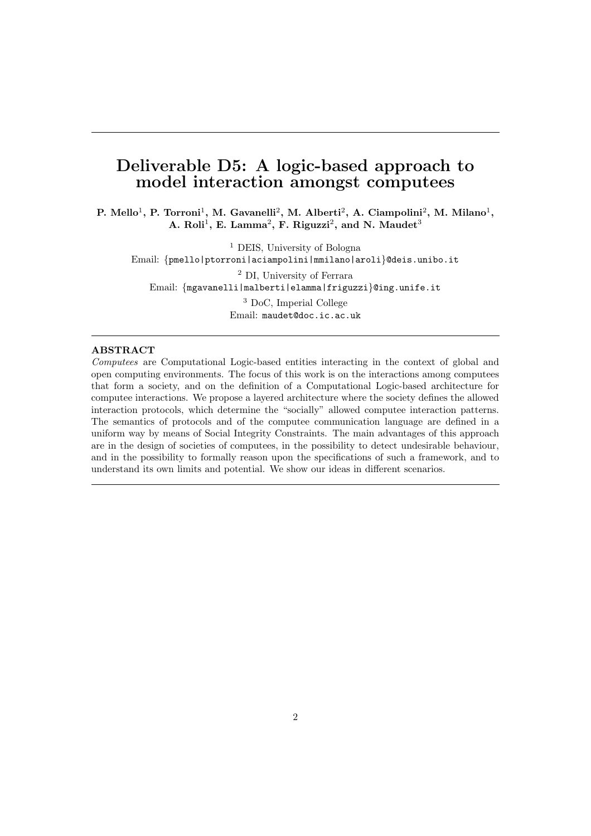# Deliverable D5: A logic-based approach to model interaction amongst computees

P. Mello<sup>1</sup>, P. Torroni<sup>1</sup>, M. Gavanelli<sup>2</sup>, M. Alberti<sup>2</sup>, A. Ciampolini<sup>2</sup>, M. Milano<sup>1</sup>, A. Roli<sup>1</sup>, E. Lamma<sup>2</sup>, F. Riguzzi<sup>2</sup>, and N. Maudet<sup>3</sup>

<sup>1</sup> DEIS, University of Bologna Email: {pmello|ptorroni|aciampolini|mmilano|aroli}@deis.unibo.it <sup>2</sup> DI, University of Ferrara

Email: {mgavanelli|malberti|elamma|friguzzi}@ing.unife.it

<sup>3</sup> DoC, Imperial College Email: maudet@doc.ic.ac.uk

#### ABSTRACT

Computees are Computational Logic-based entities interacting in the context of global and open computing environments. The focus of this work is on the interactions among computees that form a society, and on the definition of a Computational Logic-based architecture for computee interactions. We propose a layered architecture where the society defines the allowed interaction protocols, which determine the "socially" allowed computee interaction patterns. The semantics of protocols and of the computee communication language are defined in a uniform way by means of Social Integrity Constraints. The main advantages of this approach are in the design of societies of computees, in the possibility to detect undesirable behaviour, and in the possibility to formally reason upon the specifications of such a framework, and to understand its own limits and potential. We show our ideas in different scenarios.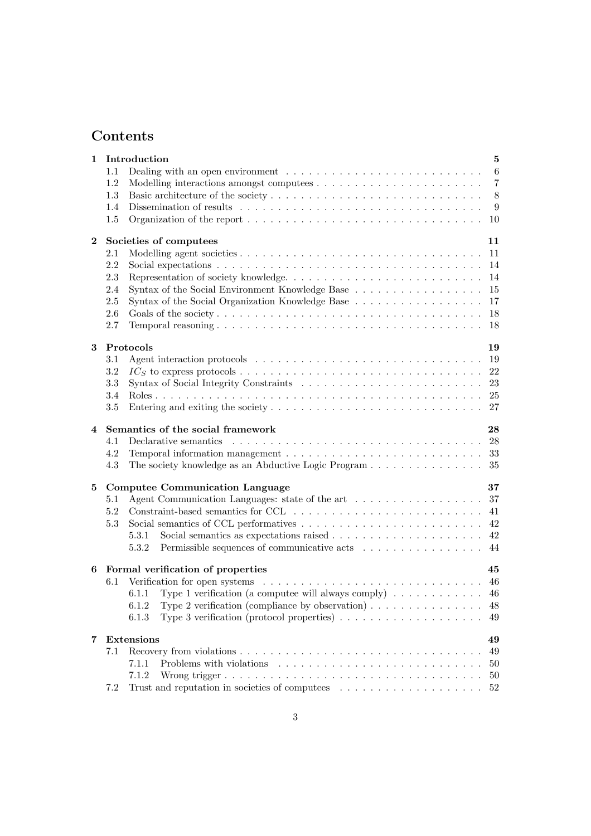# Contents

| 1              |         | Introduction                                                                                             | $\overline{5}$  |
|----------------|---------|----------------------------------------------------------------------------------------------------------|-----------------|
|                | 1.1     |                                                                                                          | $6\phantom{.}6$ |
|                | 1.2     |                                                                                                          | -7              |
|                | 1.3     | $-8$                                                                                                     |                 |
|                | 1.4     | Dissemination of results $\dots \dots \dots \dots \dots \dots \dots \dots \dots \dots \dots \dots \dots$ | - 9             |
|                | 1.5     |                                                                                                          |                 |
| $\bf{2}$       |         | Societies of computees<br>11                                                                             |                 |
|                | 2.1     |                                                                                                          |                 |
|                | 2.2     |                                                                                                          |                 |
|                | 2.3     |                                                                                                          |                 |
|                | 2.4     | -15                                                                                                      |                 |
|                | 2.5     | Syntax of the Social Organization Knowledge Base<br>17                                                   |                 |
|                | 2.6     | 18                                                                                                       |                 |
|                | 2.7     | 18                                                                                                       |                 |
| 3              |         | Protocols<br>19                                                                                          |                 |
|                | 3.1     |                                                                                                          |                 |
|                | 3.2     | 22                                                                                                       |                 |
|                | 3.3     | 23                                                                                                       |                 |
|                | 3.4     |                                                                                                          |                 |
|                | $3.5\,$ |                                                                                                          |                 |
| $\overline{4}$ |         | Semantics of the social framework<br>28                                                                  |                 |
|                | 4.1     |                                                                                                          |                 |
|                | 4.2     |                                                                                                          |                 |
|                | 4.3     | The society knowledge as an Abductive Logic Program 35                                                   |                 |
| 5              |         | 37<br><b>Computee Communication Language</b>                                                             |                 |
|                | 5.1     | Agent Communication Languages: state of the art 37                                                       |                 |
|                | 5.2     | 41                                                                                                       |                 |
|                | 5.3     |                                                                                                          |                 |
|                |         | 5.3.1                                                                                                    |                 |
|                |         | Permissible sequences of communicative acts<br>44<br>5.3.2                                               |                 |
| 6              |         | Formal verification of properties<br>45                                                                  |                 |
|                | 6.1     |                                                                                                          |                 |
|                |         | Type 1 verification (a computee will always comply) $\dots \dots \dots \dots$ 46<br>6.1.1                |                 |
|                |         | Type 2 verification (compliance by observation) $\ldots \ldots \ldots \ldots \ldots$<br>6.1.2<br>48      |                 |
|                |         | Type 3 verification (protocol properties) $\ldots \ldots \ldots \ldots \ldots \ldots$<br>6.1.3<br>49     |                 |
| $\overline{7}$ |         | Extensions<br>49                                                                                         |                 |
|                | 7.1     | 49                                                                                                       |                 |
|                |         | 7.1.1<br>50                                                                                              |                 |
|                |         | 7.1.2<br>50                                                                                              |                 |
|                | 7.2     | 52                                                                                                       |                 |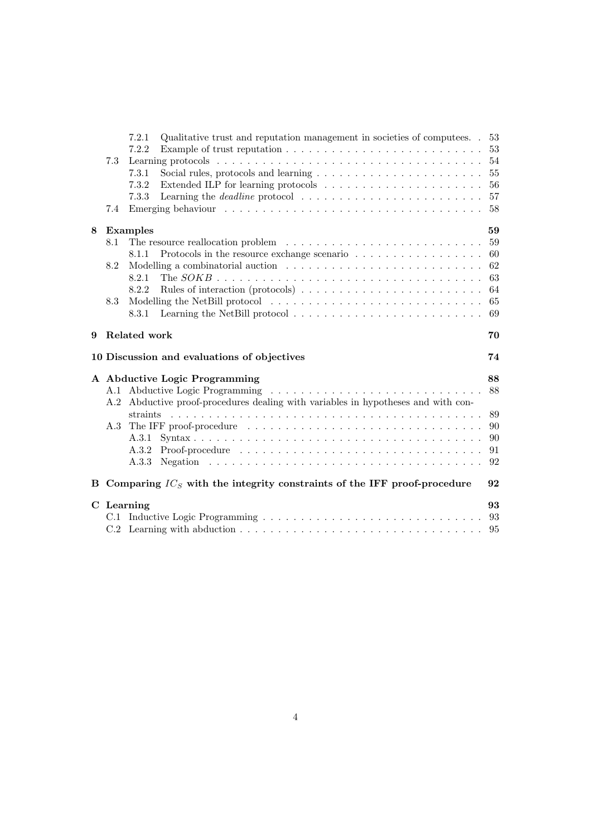|   |     | 7.2.1<br>Qualitative trust and reputation management in societies of computers. 53                       |    |
|---|-----|----------------------------------------------------------------------------------------------------------|----|
|   |     | 7.2.2<br>Example of trust reputation $\ldots \ldots \ldots \ldots \ldots \ldots \ldots \ldots \ldots$    | 53 |
|   | 7.3 |                                                                                                          | 54 |
|   |     | 7.3.1                                                                                                    | 55 |
|   |     | 7.3.2                                                                                                    | 56 |
|   |     | Learning the <i>deadline</i> protocol $\ldots \ldots \ldots \ldots \ldots \ldots \ldots \ldots$<br>7.3.3 | 57 |
|   | 7.4 |                                                                                                          | 58 |
| 8 |     | <b>Examples</b>                                                                                          | 59 |
|   | 8.1 |                                                                                                          | 59 |
|   |     | Protocols in the resource exchange scenario $\ldots \ldots \ldots \ldots \ldots \ldots$<br>8.1.1         | 60 |
|   | 8.2 |                                                                                                          | 62 |
|   |     | 8.2.1                                                                                                    | 63 |
|   |     | 8.2.2<br>Rules of interaction (protocols) $\dots \dots \dots \dots \dots \dots \dots \dots \dots$        | 64 |
|   | 8.3 |                                                                                                          | 65 |
|   |     | 8.3.1                                                                                                    | 69 |
| 9 |     | Related work                                                                                             | 70 |
|   |     | 10 Discussion and evaluations of objectives                                                              | 74 |
|   |     | A Abductive Logic Programming                                                                            | 88 |
|   |     |                                                                                                          | 88 |
|   |     | A.2 Abductive proof-procedures dealing with variables in hypotheses and with con-                        |    |
|   |     | straints                                                                                                 | 89 |
|   |     | A.3 The IFF proof-procedure                                                                              | 90 |
|   |     |                                                                                                          | 90 |
|   |     |                                                                                                          | 91 |
|   |     |                                                                                                          | 92 |
| B |     | Comparing $IC_S$ with the integrity constraints of the IFF proof-procedure                               | 92 |
|   |     | C Learning                                                                                               | 93 |
|   |     |                                                                                                          |    |
|   |     |                                                                                                          |    |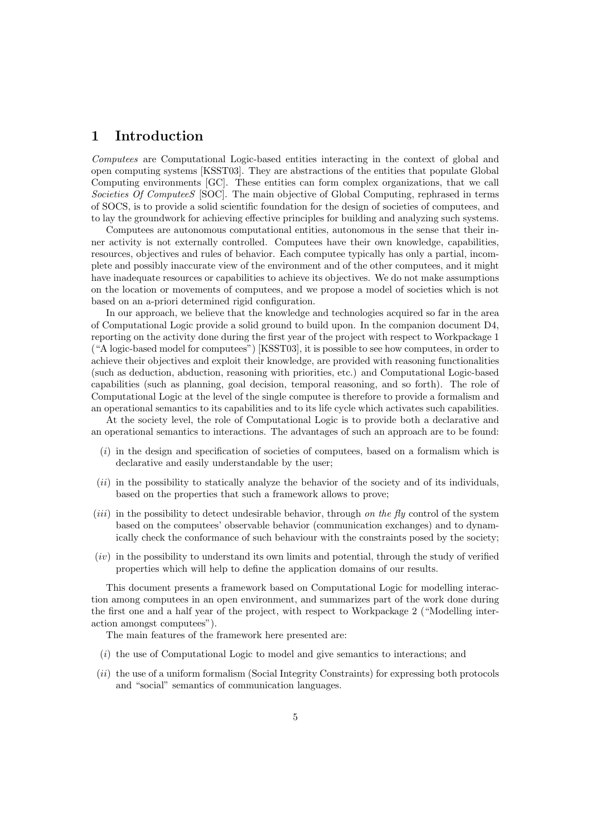# 1 Introduction

Computees are Computational Logic-based entities interacting in the context of global and open computing systems [KSST03]. They are abstractions of the entities that populate Global Computing environments [GC]. These entities can form complex organizations, that we call Societies Of ComputeeS [SOC]. The main objective of Global Computing, rephrased in terms of SOCS, is to provide a solid scientific foundation for the design of societies of computees, and to lay the groundwork for achieving effective principles for building and analyzing such systems.

Computees are autonomous computational entities, autonomous in the sense that their inner activity is not externally controlled. Computees have their own knowledge, capabilities, resources, objectives and rules of behavior. Each computee typically has only a partial, incomplete and possibly inaccurate view of the environment and of the other computees, and it might have inadequate resources or capabilities to achieve its objectives. We do not make assumptions on the location or movements of computees, and we propose a model of societies which is not based on an a-priori determined rigid configuration.

In our approach, we believe that the knowledge and technologies acquired so far in the area of Computational Logic provide a solid ground to build upon. In the companion document D4, reporting on the activity done during the first year of the project with respect to Workpackage 1 ("A logic-based model for computees") [KSST03], it is possible to see how computees, in order to achieve their objectives and exploit their knowledge, are provided with reasoning functionalities (such as deduction, abduction, reasoning with priorities, etc.) and Computational Logic-based capabilities (such as planning, goal decision, temporal reasoning, and so forth). The role of Computational Logic at the level of the single computee is therefore to provide a formalism and an operational semantics to its capabilities and to its life cycle which activates such capabilities.

At the society level, the role of Computational Logic is to provide both a declarative and an operational semantics to interactions. The advantages of such an approach are to be found:

- $(i)$  in the design and specification of societies of computees, based on a formalism which is declarative and easily understandable by the user;
- (*ii*) in the possibility to statically analyze the behavior of the society and of its individuals, based on the properties that such a framework allows to prove;
- (*iii*) in the possibility to detect undesirable behavior, through on the fly control of the system based on the computees' observable behavior (communication exchanges) and to dynamically check the conformance of such behaviour with the constraints posed by the society;
- $(iv)$  in the possibility to understand its own limits and potential, through the study of verified properties which will help to define the application domains of our results.

This document presents a framework based on Computational Logic for modelling interaction among computees in an open environment, and summarizes part of the work done during the first one and a half year of the project, with respect to Workpackage 2 ("Modelling interaction amongst computees").

The main features of the framework here presented are:

- $(i)$  the use of Computational Logic to model and give semantics to interactions; and
- (ii) the use of a uniform formalism (Social Integrity Constraints) for expressing both protocols and "social" semantics of communication languages.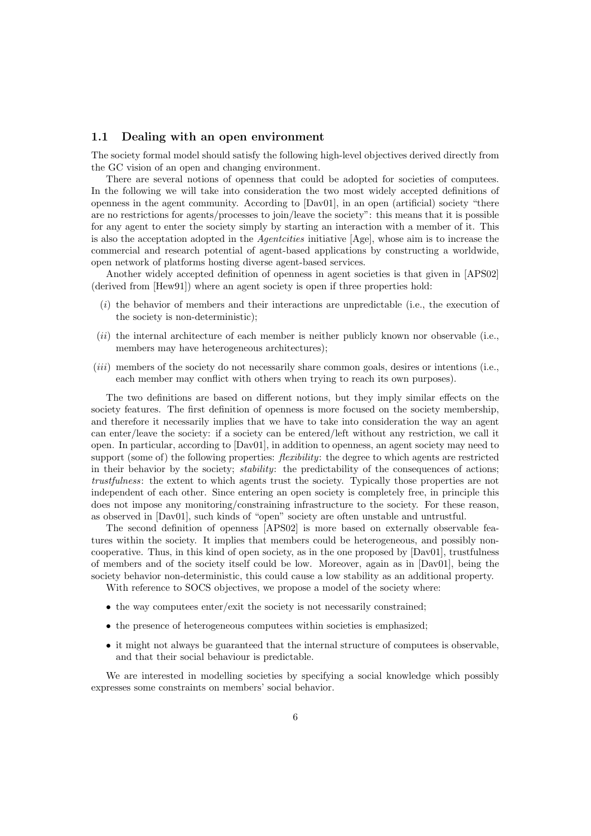## 1.1 Dealing with an open environment

The society formal model should satisfy the following high-level objectives derived directly from the GC vision of an open and changing environment.

There are several notions of openness that could be adopted for societies of computees. In the following we will take into consideration the two most widely accepted definitions of openness in the agent community. According to [Dav01], in an open (artificial) society "there are no restrictions for agents/processes to join/leave the society": this means that it is possible for any agent to enter the society simply by starting an interaction with a member of it. This is also the acceptation adopted in the Agentcities initiative [Age], whose aim is to increase the commercial and research potential of agent-based applications by constructing a worldwide, open network of platforms hosting diverse agent-based services.

Another widely accepted definition of openness in agent societies is that given in [APS02] (derived from [Hew91]) where an agent society is open if three properties hold:

- $(i)$  the behavior of members and their interactions are unpredictable (i.e., the execution of the society is non-deterministic);
- (*ii*) the internal architecture of each member is neither publicly known nor observable (i.e., members may have heterogeneous architectures);
- (iii) members of the society do not necessarily share common goals, desires or intentions (i.e., each member may conflict with others when trying to reach its own purposes).

The two definitions are based on different notions, but they imply similar effects on the society features. The first definition of openness is more focused on the society membership, and therefore it necessarily implies that we have to take into consideration the way an agent can enter/leave the society: if a society can be entered/left without any restriction, we call it open. In particular, according to [Dav01], in addition to openness, an agent society may need to support (some of) the following properties: *flexibility*: the degree to which agents are restricted in their behavior by the society; *stability*: the predictability of the consequences of actions; trustfulness: the extent to which agents trust the society. Typically those properties are not independent of each other. Since entering an open society is completely free, in principle this does not impose any monitoring/constraining infrastructure to the society. For these reason, as observed in [Dav01], such kinds of "open" society are often unstable and untrustful.

The second definition of openness [APS02] is more based on externally observable features within the society. It implies that members could be heterogeneous, and possibly noncooperative. Thus, in this kind of open society, as in the one proposed by [Dav01], trustfulness of members and of the society itself could be low. Moreover, again as in [Dav01], being the society behavior non-deterministic, this could cause a low stability as an additional property.

With reference to SOCS objectives, we propose a model of the society where:

- the way computees enter/exit the society is not necessarily constrained;
- the presence of heterogeneous computees within societies is emphasized;
- it might not always be guaranteed that the internal structure of computees is observable, and that their social behaviour is predictable.

We are interested in modelling societies by specifying a social knowledge which possibly expresses some constraints on members' social behavior.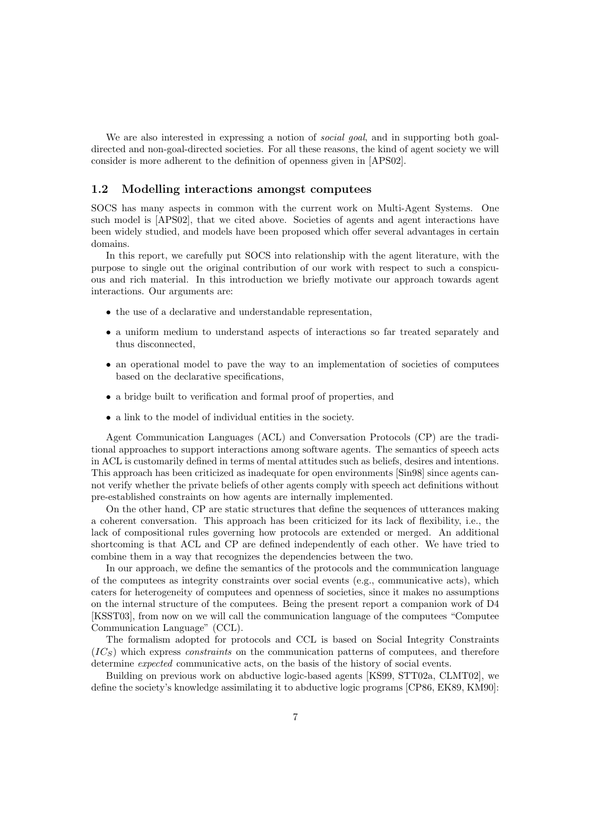We are also interested in expressing a notion of *social goal*, and in supporting both goaldirected and non-goal-directed societies. For all these reasons, the kind of agent society we will consider is more adherent to the definition of openness given in [APS02].

# 1.2 Modelling interactions amongst computees

SOCS has many aspects in common with the current work on Multi-Agent Systems. One such model is [APS02], that we cited above. Societies of agents and agent interactions have been widely studied, and models have been proposed which offer several advantages in certain domains.

In this report, we carefully put SOCS into relationship with the agent literature, with the purpose to single out the original contribution of our work with respect to such a conspicuous and rich material. In this introduction we briefly motivate our approach towards agent interactions. Our arguments are:

- the use of a declarative and understandable representation,
- a uniform medium to understand aspects of interactions so far treated separately and thus disconnected,
- an operational model to pave the way to an implementation of societies of computees based on the declarative specifications,
- a bridge built to verification and formal proof of properties, and
- a link to the model of individual entities in the society.

Agent Communication Languages (ACL) and Conversation Protocols (CP) are the traditional approaches to support interactions among software agents. The semantics of speech acts in ACL is customarily defined in terms of mental attitudes such as beliefs, desires and intentions. This approach has been criticized as inadequate for open environments [Sin98] since agents cannot verify whether the private beliefs of other agents comply with speech act definitions without pre-established constraints on how agents are internally implemented.

On the other hand, CP are static structures that define the sequences of utterances making a coherent conversation. This approach has been criticized for its lack of flexibility, i.e., the lack of compositional rules governing how protocols are extended or merged. An additional shortcoming is that ACL and CP are defined independently of each other. We have tried to combine them in a way that recognizes the dependencies between the two.

In our approach, we define the semantics of the protocols and the communication language of the computees as integrity constraints over social events (e.g., communicative acts), which caters for heterogeneity of computees and openness of societies, since it makes no assumptions on the internal structure of the computees. Being the present report a companion work of D4 [KSST03], from now on we will call the communication language of the computees "Computee Communication Language" (CCL).

The formalism adopted for protocols and CCL is based on Social Integrity Constraints  $(IC<sub>S</sub>)$  which express constraints on the communication patterns of computees, and therefore determine expected communicative acts, on the basis of the history of social events.

Building on previous work on abductive logic-based agents [KS99, STT02a, CLMT02], we define the society's knowledge assimilating it to abductive logic programs [CP86, EK89, KM90]: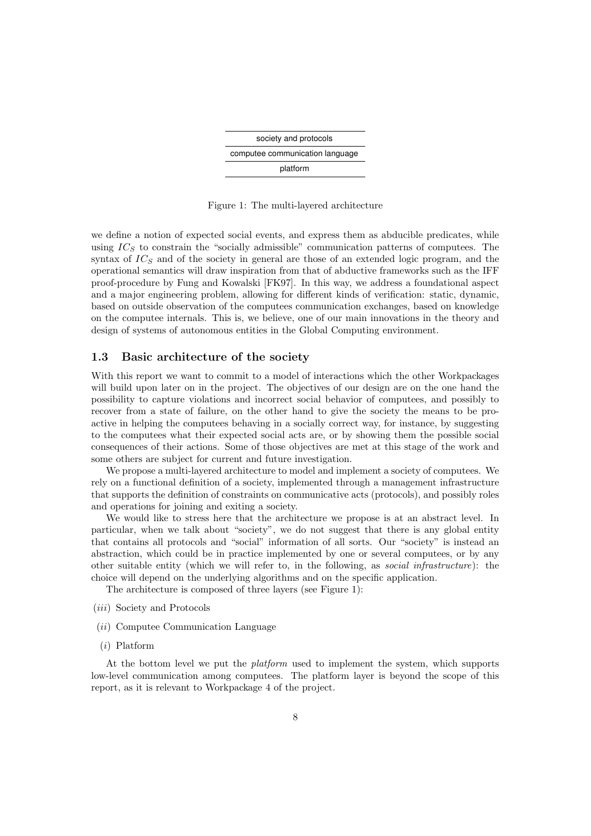| society and protocols           |
|---------------------------------|
| computee communication language |
| platform                        |

Figure 1: The multi-layered architecture

we define a notion of expected social events, and express them as abducible predicates, while using  $IC<sub>S</sub>$  to constrain the "socially admissible" communication patterns of computees. The syntax of  $IC<sub>S</sub>$  and of the society in general are those of an extended logic program, and the operational semantics will draw inspiration from that of abductive frameworks such as the IFF proof-procedure by Fung and Kowalski [FK97]. In this way, we address a foundational aspect and a major engineering problem, allowing for different kinds of verification: static, dynamic, based on outside observation of the computees communication exchanges, based on knowledge on the computee internals. This is, we believe, one of our main innovations in the theory and design of systems of autonomous entities in the Global Computing environment.

# 1.3 Basic architecture of the society

With this report we want to commit to a model of interactions which the other Workpackages will build upon later on in the project. The objectives of our design are on the one hand the possibility to capture violations and incorrect social behavior of computees, and possibly to recover from a state of failure, on the other hand to give the society the means to be proactive in helping the computees behaving in a socially correct way, for instance, by suggesting to the computees what their expected social acts are, or by showing them the possible social consequences of their actions. Some of those objectives are met at this stage of the work and some others are subject for current and future investigation.

We propose a multi-layered architecture to model and implement a society of computees. We rely on a functional definition of a society, implemented through a management infrastructure that supports the definition of constraints on communicative acts (protocols), and possibly roles and operations for joining and exiting a society.

We would like to stress here that the architecture we propose is at an abstract level. In particular, when we talk about "society", we do not suggest that there is any global entity that contains all protocols and "social" information of all sorts. Our "society" is instead an abstraction, which could be in practice implemented by one or several computees, or by any other suitable entity (which we will refer to, in the following, as social infrastructure): the choice will depend on the underlying algorithms and on the specific application.

The architecture is composed of three layers (see Figure 1):

- (iii) Society and Protocols
- (ii) Computee Communication Language
- (i) Platform

At the bottom level we put the platform used to implement the system, which supports low-level communication among computees. The platform layer is beyond the scope of this report, as it is relevant to Workpackage 4 of the project.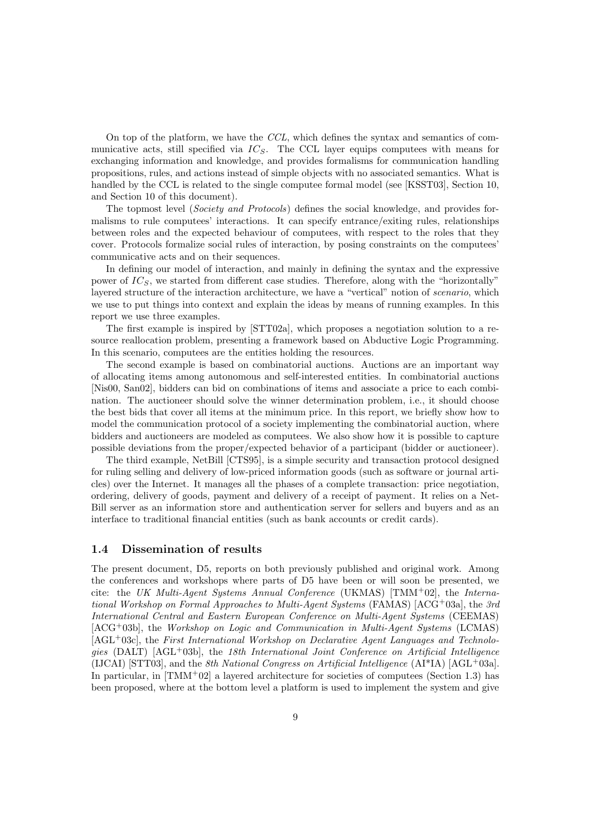On top of the platform, we have the CCL, which defines the syntax and semantics of communicative acts, still specified via  $IC_S$ . The CCL layer equips computees with means for exchanging information and knowledge, and provides formalisms for communication handling propositions, rules, and actions instead of simple objects with no associated semantics. What is handled by the CCL is related to the single computee formal model (see [KSST03], Section 10, and Section 10 of this document).

The topmost level (Society and Protocols) defines the social knowledge, and provides formalisms to rule computees' interactions. It can specify entrance/exiting rules, relationships between roles and the expected behaviour of computees, with respect to the roles that they cover. Protocols formalize social rules of interaction, by posing constraints on the computees' communicative acts and on their sequences.

In defining our model of interaction, and mainly in defining the syntax and the expressive power of  $IC<sub>S</sub>$ , we started from different case studies. Therefore, along with the "horizontally" layered structure of the interaction architecture, we have a "vertical" notion of *scenario*, which we use to put things into context and explain the ideas by means of running examples. In this report we use three examples.

The first example is inspired by [STT02a], which proposes a negotiation solution to a resource reallocation problem, presenting a framework based on Abductive Logic Programming. In this scenario, computees are the entities holding the resources.

The second example is based on combinatorial auctions. Auctions are an important way of allocating items among autonomous and self-interested entities. In combinatorial auctions [Nis00, San02], bidders can bid on combinations of items and associate a price to each combination. The auctioneer should solve the winner determination problem, i.e., it should choose the best bids that cover all items at the minimum price. In this report, we briefly show how to model the communication protocol of a society implementing the combinatorial auction, where bidders and auctioneers are modeled as computees. We also show how it is possible to capture possible deviations from the proper/expected behavior of a participant (bidder or auctioneer).

The third example, NetBill [CTS95], is a simple security and transaction protocol designed for ruling selling and delivery of low-priced information goods (such as software or journal articles) over the Internet. It manages all the phases of a complete transaction: price negotiation, ordering, delivery of goods, payment and delivery of a receipt of payment. It relies on a Net-Bill server as an information store and authentication server for sellers and buyers and as an interface to traditional financial entities (such as bank accounts or credit cards).

# 1.4 Dissemination of results

The present document, D5, reports on both previously published and original work. Among the conferences and workshops where parts of D5 have been or will soon be presented, we cite: the UK Multi-Agent Systems Annual Conference (UKMAS) [TMM+02], the International Workshop on Formal Approaches to Multi-Agent Systems (FAMAS) [ACG+03a], the 3rd International Central and Eastern European Conference on Multi-Agent Systems (CEEMAS) [ACG+03b], the Workshop on Logic and Communication in Multi-Agent Systems (LCMAS) [AGL+03c], the First International Workshop on Declarative Agent Languages and Technologies  $(DALT)$  [AGL<sup>+</sup>03b], the 18th International Joint Conference on Artificial Intelligence (IJCAI) [STT03], and the 8th National Congress on Artificial Intelligence  $(AI^*IA)$  [AGL+03a]. In particular, in  $\text{TMM}^+02$  a layered architecture for societies of computees (Section 1.3) has been proposed, where at the bottom level a platform is used to implement the system and give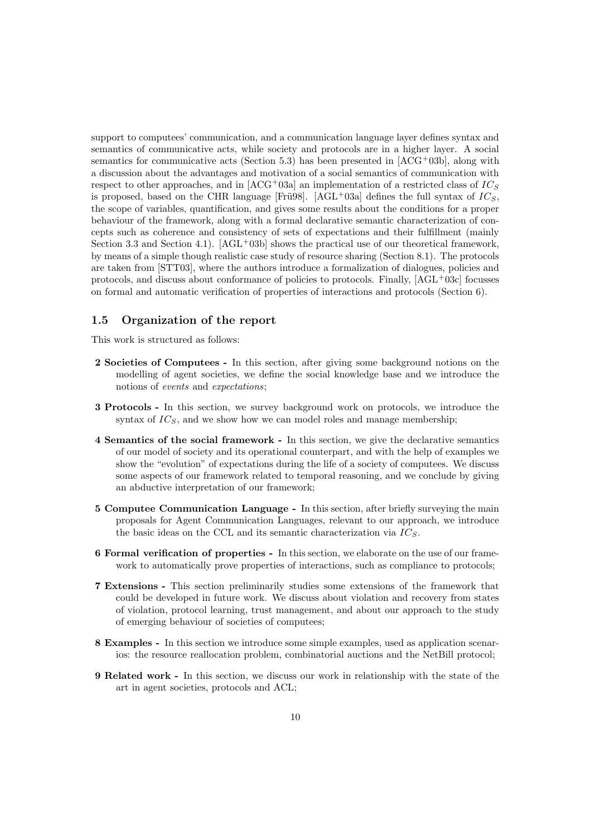support to computees' communication, and a communication language layer defines syntax and semantics of communicative acts, while society and protocols are in a higher layer. A social semantics for communicative acts (Section 5.3) has been presented in  $[ACG<sup>+</sup>03b]$ , along with a discussion about the advantages and motivation of a social semantics of communication with respect to other approaches, and in  $[ACG^+03a]$  an implementation of a restricted class of  $IC_S$ is proposed, based on the CHR language [Fru98]. [AGL+03a] defines the full syntax of  $IC_S$ , the scope of variables, quantification, and gives some results about the conditions for a proper behaviour of the framework, along with a formal declarative semantic characterization of concepts such as coherence and consistency of sets of expectations and their fulfillment (mainly Section 3.3 and Section 4.1).  $[AGL^+03b]$  shows the practical use of our theoretical framework, by means of a simple though realistic case study of resource sharing (Section 8.1). The protocols are taken from [STT03], where the authors introduce a formalization of dialogues, policies and protocols, and discuss about conformance of policies to protocols. Finally, [AGL+03c] focusses on formal and automatic verification of properties of interactions and protocols (Section 6).

# 1.5 Organization of the report

This work is structured as follows:

- 2 Societies of Computees In this section, after giving some background notions on the modelling of agent societies, we define the social knowledge base and we introduce the notions of events and expectations;
- 3 Protocols In this section, we survey background work on protocols, we introduce the syntax of  $IC_S$ , and we show how we can model roles and manage membership;
- 4 Semantics of the social framework In this section, we give the declarative semantics of our model of society and its operational counterpart, and with the help of examples we show the "evolution" of expectations during the life of a society of computees. We discuss some aspects of our framework related to temporal reasoning, and we conclude by giving an abductive interpretation of our framework;
- 5 Computee Communication Language In this section, after briefly surveying the main proposals for Agent Communication Languages, relevant to our approach, we introduce the basic ideas on the CCL and its semantic characterization via  $IC_S$ .
- 6 Formal verification of properties In this section, we elaborate on the use of our framework to automatically prove properties of interactions, such as compliance to protocols;
- 7 Extensions This section preliminarily studies some extensions of the framework that could be developed in future work. We discuss about violation and recovery from states of violation, protocol learning, trust management, and about our approach to the study of emerging behaviour of societies of computees;
- 8 Examples In this section we introduce some simple examples, used as application scenarios: the resource reallocation problem, combinatorial auctions and the NetBill protocol;
- 9 Related work In this section, we discuss our work in relationship with the state of the art in agent societies, protocols and ACL;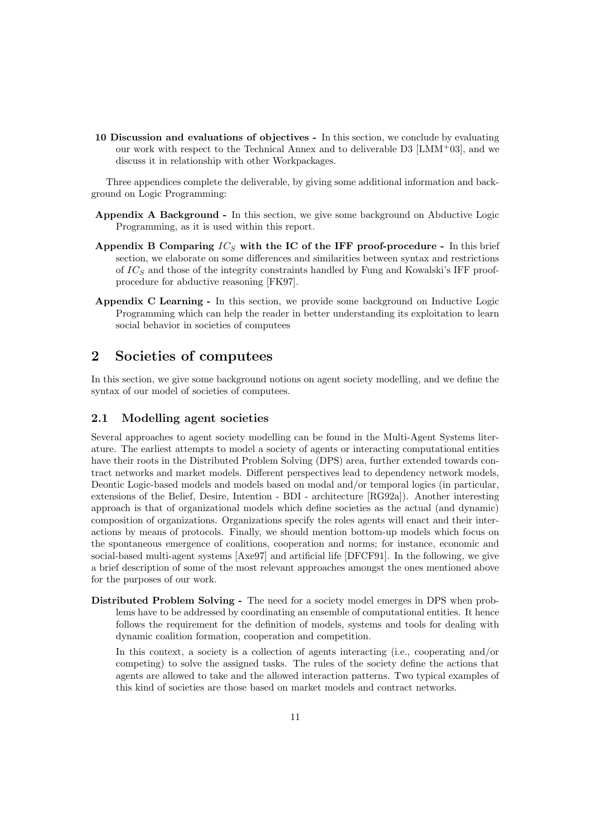10 Discussion and evaluations of objectives - In this section, we conclude by evaluating our work with respect to the Technical Annex and to deliverable  $D3$  [LMM+03], and we discuss it in relationship with other Workpackages.

Three appendices complete the deliverable, by giving some additional information and background on Logic Programming:

- Appendix A Background In this section, we give some background on Abductive Logic Programming, as it is used within this report.
- Appendix B Comparing  $IC_S$  with the IC of the IFF proof-procedure In this brief section, we elaborate on some differences and similarities between syntax and restrictions of  $IC_S$  and those of the integrity constraints handled by Fung and Kowalski's IFF proofprocedure for abductive reasoning [FK97].
- Appendix C Learning In this section, we provide some background on Inductive Logic Programming which can help the reader in better understanding its exploitation to learn social behavior in societies of computees

# 2 Societies of computees

In this section, we give some background notions on agent society modelling, and we define the syntax of our model of societies of computees.

# 2.1 Modelling agent societies

Several approaches to agent society modelling can be found in the Multi-Agent Systems literature. The earliest attempts to model a society of agents or interacting computational entities have their roots in the Distributed Problem Solving (DPS) area, further extended towards contract networks and market models. Different perspectives lead to dependency network models, Deontic Logic-based models and models based on modal and/or temporal logics (in particular, extensions of the Belief, Desire, Intention - BDI - architecture [RG92a]). Another interesting approach is that of organizational models which define societies as the actual (and dynamic) composition of organizations. Organizations specify the roles agents will enact and their interactions by means of protocols. Finally, we should mention bottom-up models which focus on the spontaneous emergence of coalitions, cooperation and norms; for instance, economic and social-based multi-agent systems [Axe97] and artificial life [DFCF91]. In the following, we give a brief description of some of the most relevant approaches amongst the ones mentioned above for the purposes of our work.

Distributed Problem Solving - The need for a society model emerges in DPS when problems have to be addressed by coordinating an ensemble of computational entities. It hence follows the requirement for the definition of models, systems and tools for dealing with dynamic coalition formation, cooperation and competition.

In this context, a society is a collection of agents interacting (i.e., cooperating and/or competing) to solve the assigned tasks. The rules of the society define the actions that agents are allowed to take and the allowed interaction patterns. Two typical examples of this kind of societies are those based on market models and contract networks.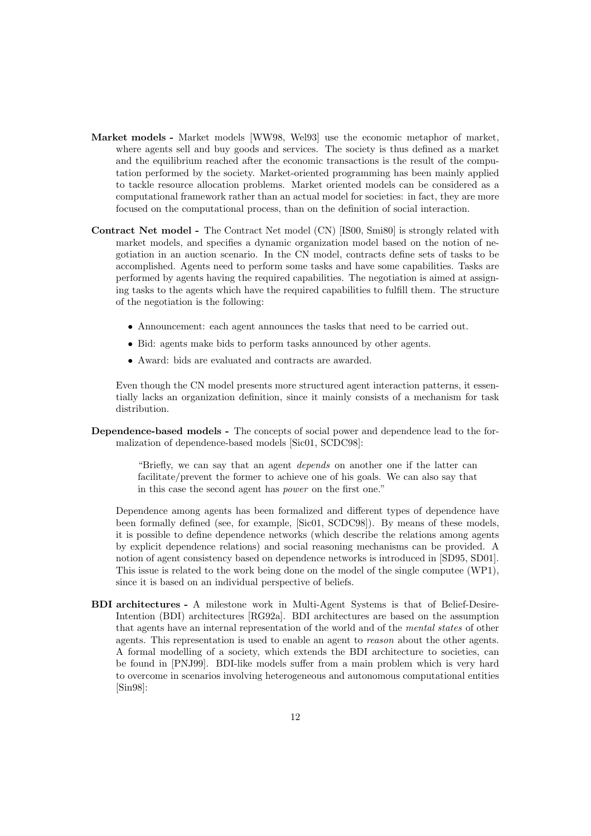- Market models Market models [WW98, Wel93] use the economic metaphor of market, where agents sell and buy goods and services. The society is thus defined as a market and the equilibrium reached after the economic transactions is the result of the computation performed by the society. Market-oriented programming has been mainly applied to tackle resource allocation problems. Market oriented models can be considered as a computational framework rather than an actual model for societies: in fact, they are more focused on the computational process, than on the definition of social interaction.
- Contract Net model The Contract Net model (CN) [IS00, Smi80] is strongly related with market models, and specifies a dynamic organization model based on the notion of negotiation in an auction scenario. In the CN model, contracts define sets of tasks to be accomplished. Agents need to perform some tasks and have some capabilities. Tasks are performed by agents having the required capabilities. The negotiation is aimed at assigning tasks to the agents which have the required capabilities to fulfill them. The structure of the negotiation is the following:
	- Announcement: each agent announces the tasks that need to be carried out.
	- Bid: agents make bids to perform tasks announced by other agents.
	- Award: bids are evaluated and contracts are awarded.

Even though the CN model presents more structured agent interaction patterns, it essentially lacks an organization definition, since it mainly consists of a mechanism for task distribution.

Dependence-based models - The concepts of social power and dependence lead to the formalization of dependence-based models [Sic01, SCDC98]:

> "Briefly, we can say that an agent depends on another one if the latter can facilitate/prevent the former to achieve one of his goals. We can also say that in this case the second agent has power on the first one."

Dependence among agents has been formalized and different types of dependence have been formally defined (see, for example, [Sic01, SCDC98]). By means of these models, it is possible to define dependence networks (which describe the relations among agents by explicit dependence relations) and social reasoning mechanisms can be provided. A notion of agent consistency based on dependence networks is introduced in [SD95, SD01]. This issue is related to the work being done on the model of the single computee (WP1), since it is based on an individual perspective of beliefs.

BDI architectures - A milestone work in Multi-Agent Systems is that of Belief-Desire-Intention (BDI) architectures [RG92a]. BDI architectures are based on the assumption that agents have an internal representation of the world and of the mental states of other agents. This representation is used to enable an agent to reason about the other agents. A formal modelling of a society, which extends the BDI architecture to societies, can be found in [PNJ99]. BDI-like models suffer from a main problem which is very hard to overcome in scenarios involving heterogeneous and autonomous computational entities [Sin98]: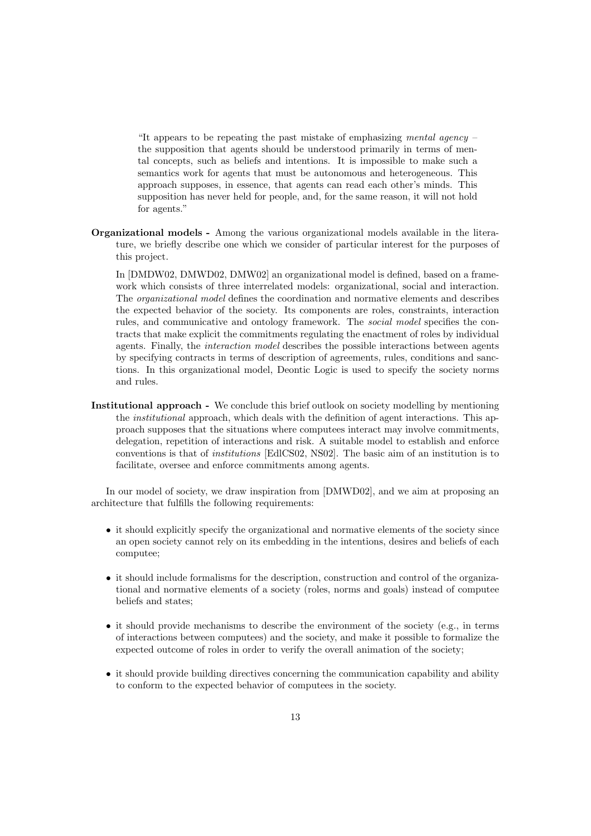"It appears to be repeating the past mistake of emphasizing mental agency  $$ the supposition that agents should be understood primarily in terms of mental concepts, such as beliefs and intentions. It is impossible to make such a semantics work for agents that must be autonomous and heterogeneous. This approach supposes, in essence, that agents can read each other's minds. This supposition has never held for people, and, for the same reason, it will not hold for agents."

Organizational models - Among the various organizational models available in the literature, we briefly describe one which we consider of particular interest for the purposes of this project.

In [DMDW02, DMWD02, DMW02] an organizational model is defined, based on a framework which consists of three interrelated models: organizational, social and interaction. The organizational model defines the coordination and normative elements and describes the expected behavior of the society. Its components are roles, constraints, interaction rules, and communicative and ontology framework. The social model specifies the contracts that make explicit the commitments regulating the enactment of roles by individual agents. Finally, the interaction model describes the possible interactions between agents by specifying contracts in terms of description of agreements, rules, conditions and sanctions. In this organizational model, Deontic Logic is used to specify the society norms and rules.

Institutional approach - We conclude this brief outlook on society modelling by mentioning the institutional approach, which deals with the definition of agent interactions. This approach supposes that the situations where computees interact may involve commitments, delegation, repetition of interactions and risk. A suitable model to establish and enforce conventions is that of institutions [EdlCS02, NS02]. The basic aim of an institution is to facilitate, oversee and enforce commitments among agents.

In our model of society, we draw inspiration from [DMWD02], and we aim at proposing an architecture that fulfills the following requirements:

- it should explicitly specify the organizational and normative elements of the society since an open society cannot rely on its embedding in the intentions, desires and beliefs of each computee;
- it should include formalisms for the description, construction and control of the organizational and normative elements of a society (roles, norms and goals) instead of computee beliefs and states;
- $\bullet$  it should provide mechanisms to describe the environment of the society (e.g., in terms of interactions between computees) and the society, and make it possible to formalize the expected outcome of roles in order to verify the overall animation of the society;
- it should provide building directives concerning the communication capability and ability to conform to the expected behavior of computees in the society.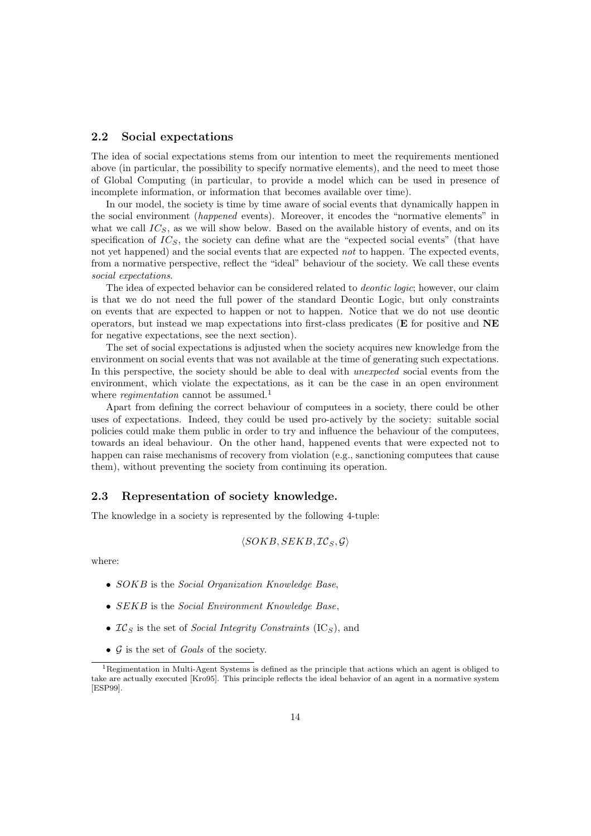#### 2.2 Social expectations

The idea of social expectations stems from our intention to meet the requirements mentioned above (in particular, the possibility to specify normative elements), and the need to meet those of Global Computing (in particular, to provide a model which can be used in presence of incomplete information, or information that becomes available over time).

In our model, the society is time by time aware of social events that dynamically happen in the social environment (happened events). Moreover, it encodes the "normative elements" in what we call  $IC_S$ , as we will show below. Based on the available history of events, and on its specification of  $IC_S$ , the society can define what are the "expected social events" (that have not yet happened) and the social events that are expected not to happen. The expected events, from a normative perspective, reflect the "ideal" behaviour of the society. We call these events social expectations.

The idea of expected behavior can be considered related to *deontic logic*; however, our claim is that we do not need the full power of the standard Deontic Logic, but only constraints on events that are expected to happen or not to happen. Notice that we do not use deontic operators, but instead we map expectations into first-class predicates ( $E$  for positive and  $NE$ for negative expectations, see the next section).

The set of social expectations is adjusted when the society acquires new knowledge from the environment on social events that was not available at the time of generating such expectations. In this perspective, the society should be able to deal with *unexpected* social events from the environment, which violate the expectations, as it can be the case in an open environment where *regimentation* cannot be assumed.<sup>1</sup>

Apart from defining the correct behaviour of computees in a society, there could be other uses of expectations. Indeed, they could be used pro-actively by the society: suitable social policies could make them public in order to try and influence the behaviour of the computees, towards an ideal behaviour. On the other hand, happened events that were expected not to happen can raise mechanisms of recovery from violation (e.g., sanctioning computees that cause them), without preventing the society from continuing its operation.

# 2.3 Representation of society knowledge.

The knowledge in a society is represented by the following 4-tuple:

$$
\langle SOKB, SEKB, \mathcal{IC}_S, \mathcal{G} \rangle
$$

where:

- SOKB is the Social Organization Knowledge Base,
- SEKB is the Social Environment Knowledge Base,
- $IC_S$  is the set of *Social Integrity Constraints* (IC<sub>S</sub>), and
- $G$  is the set of *Goals* of the society.

<sup>1</sup>Regimentation in Multi-Agent Systems is defined as the principle that actions which an agent is obliged to take are actually executed [Kro95]. This principle reflects the ideal behavior of an agent in a normative system [ESP99].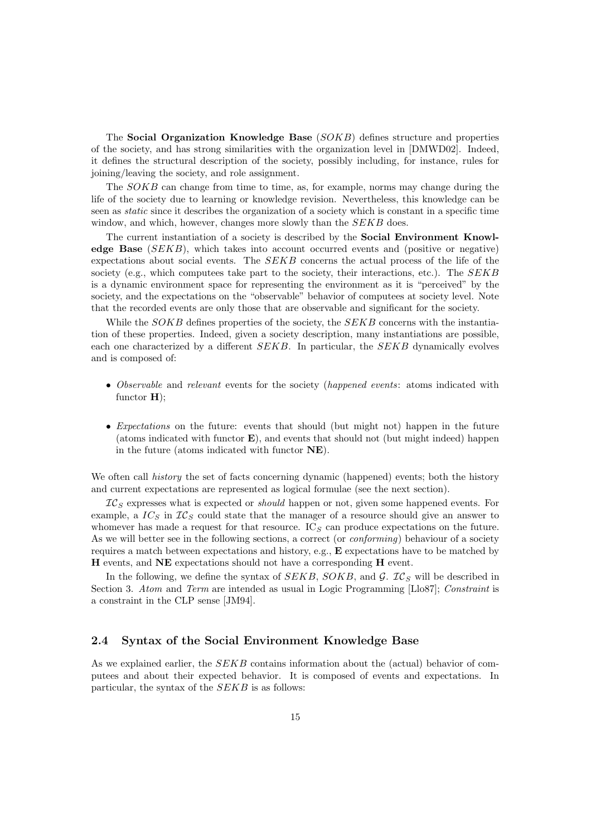The Social Organization Knowledge Base (SOKB) defines structure and properties of the society, and has strong similarities with the organization level in [DMWD02]. Indeed, it defines the structural description of the society, possibly including, for instance, rules for joining/leaving the society, and role assignment.

The SOKB can change from time to time, as, for example, norms may change during the life of the society due to learning or knowledge revision. Nevertheless, this knowledge can be seen as *static* since it describes the organization of a society which is constant in a specific time window, and which, however, changes more slowly than the SEKB does.

The current instantiation of a society is described by the Social Environment Knowledge Base  $(SEKB)$ , which takes into account occurred events and (positive or negative) expectations about social events. The  $SEKB$  concerns the actual process of the life of the society (e.g., which computees take part to the society, their interactions, etc.). The  $SEKB$ is a dynamic environment space for representing the environment as it is "perceived" by the society, and the expectations on the "observable" behavior of computees at society level. Note that the recorded events are only those that are observable and significant for the society.

While the *SOKB* defines properties of the society, the *SEKB* concerns with the instantiation of these properties. Indeed, given a society description, many instantiations are possible, each one characterized by a different SEKB. In particular, the SEKB dynamically evolves and is composed of:

- Observable and relevant events for the society (happened events: atoms indicated with functor  $H$ );
- Expectations on the future: events that should (but might not) happen in the future (atoms indicated with functor  $E$ ), and events that should not (but might indeed) happen in the future (atoms indicated with functor NE).

We often call *history* the set of facts concerning dynamic (happened) events; both the history and current expectations are represented as logical formulae (see the next section).

 $IC<sub>S</sub>$  expresses what is expected or *should* happen or not, given some happened events. For example, a  $IC_S$  in  $IC_S$  could state that the manager of a resource should give an answer to whomever has made a request for that resource.  $IC_S$  can produce expectations on the future. As we will better see in the following sections, a correct (or *conforming*) behaviour of a society requires a match between expectations and history, e.g., E expectations have to be matched by H events, and NE expectations should not have a corresponding H event.

In the following, we define the syntax of  $SEKB$ ,  $SOKB$ , and  $G$ .  $IC_S$  will be described in Section 3. Atom and Term are intended as usual in Logic Programming [Llo87]; Constraint is a constraint in the CLP sense [JM94].

# 2.4 Syntax of the Social Environment Knowledge Base

As we explained earlier, the SEKB contains information about the (actual) behavior of computees and about their expected behavior. It is composed of events and expectations. In particular, the syntax of the  $SEKB$  is as follows: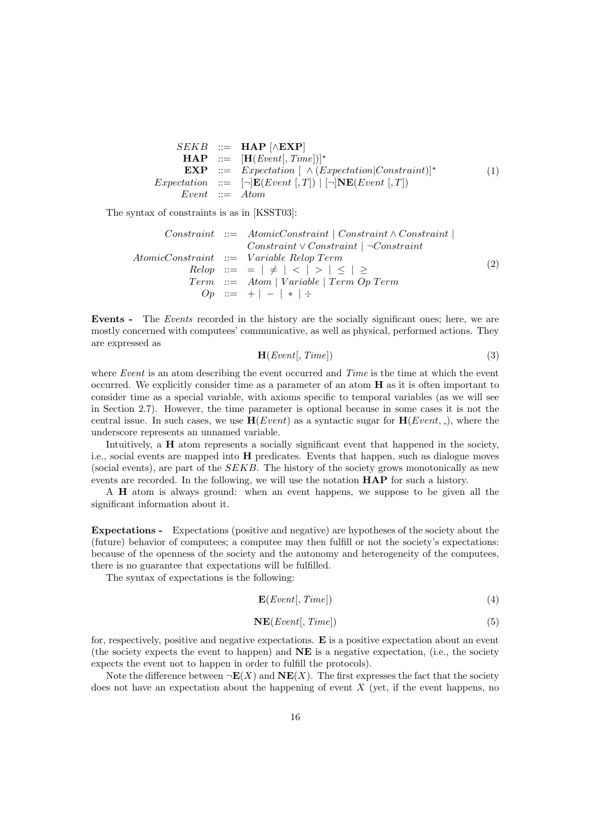|                  | $SEKB$ ::= <b>HAP</b> $[\wedge$ <b>EXP</b> ]                                                                                          |     |
|------------------|---------------------------------------------------------------------------------------------------------------------------------------|-----|
|                  | $\mathbf{HAP}$ ::= $[\mathbf{H}(Event[, Time])]$ *                                                                                    |     |
|                  | <b>EXP</b> ::= <i>Expectation</i> $\left[ \begin{array}{cc} \wedge (Expectation Constraint)]^* \end{array} \right]$                   | (1) |
|                  | <i>Expectation</i> ::= $\lceil \neg \rceil \mathbf{E}(Event \rceil, T) \rceil \rceil \lceil \neg \rceil \mathbf{NE}(Event \rceil, T)$ |     |
| $Event ::= Atom$ |                                                                                                                                       |     |

The syntax of constraints is as in [KSST03]:

Constraint ::= AtomicConstraint | Constraint ∧ Constraint | Constraint ∨ Constraint | ¬Constraint AtomicConstraint ::= V ariable Relop Term Relop ::= = | 6= | < | > | ≤ | ≥ Term ::= Atom | V ariable | Term Op Term Op ::= + | − | ∗ | ÷ (2)

Events - The Events recorded in the history are the socially significant ones; here, we are mostly concerned with computees' communicative, as well as physical, performed actions. They are expressed as

$$
\mathbf{H}(Event[, Time]) \tag{3}
$$

where Event is an atom describing the event occurred and Time is the time at which the event occurred. We explicitly consider time as a parameter of an atom H as it is often important to consider time as a special variable, with axioms specific to temporal variables (as we will see in Section 2.7). However, the time parameter is optional because in some cases it is not the central issue. In such cases, we use  $H(Event)$  as a syntactic sugar for  $H(Event, \_)$ , where the underscore represents an unnamed variable.

Intuitively, a H atom represents a socially significant event that happened in the society, i.e., social events are mapped into H predicates. Events that happen, such as dialogue moves (social events), are part of the  $SEKB$ . The history of the society grows monotonically as new events are recorded. In the following, we will use the notation **HAP** for such a history.

A H atom is always ground: when an event happens, we suppose to be given all the significant information about it.

Expectations - Expectations (positive and negative) are hypotheses of the society about the (future) behavior of computees; a computee may then fulfill or not the society's expectations: because of the openness of the society and the autonomy and heterogeneity of the computees, there is no guarantee that expectations will be fulfilled.

The syntax of expectations is the following:

$$
\mathbf{E}(Event[, Time]) \tag{4}
$$

$$
NE(Event[, Time]) \t\t(5)
$$

for, respectively, positive and negative expectations.  $\bf{E}$  is a positive expectation about an event (the society expects the event to happen) and  $N\mathbf{E}$  is a negative expectation, (i.e., the society expects the event not to happen in order to fulfill the protocols).

Note the difference between  $\neg E(X)$  and  $N E(X)$ . The first expresses the fact that the society does not have an expectation about the happening of event  $X$  (yet, if the event happens, no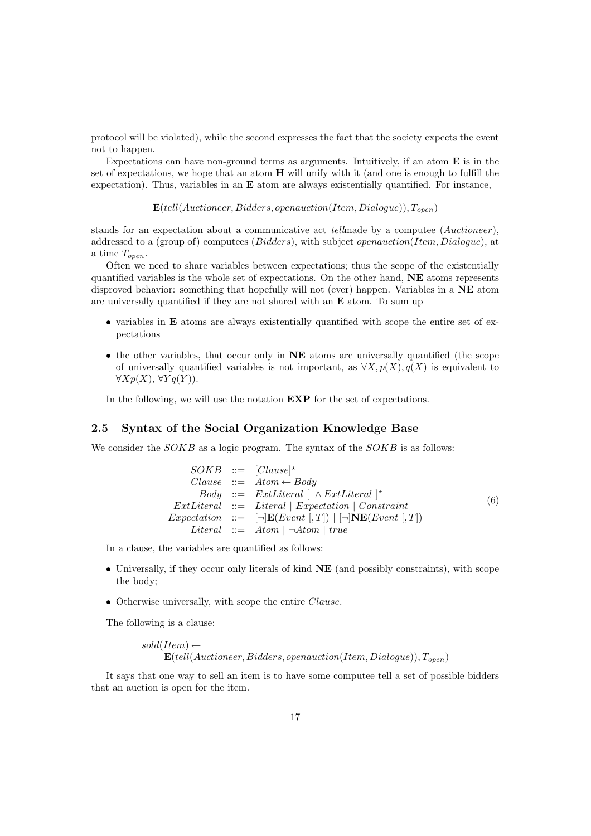protocol will be violated), while the second expresses the fact that the society expects the event not to happen.

Expectations can have non-ground terms as arguments. Intuitively, if an atom  $\bf{E}$  is in the set of expectations, we hope that an atom H will unify with it (and one is enough to fulfill the expectation). Thus, variables in an  $E$  atom are always existentially quantified. For instance,

 ${\bf E}(tell(Auctioneer, Bidders, openauction(Item, Dialogue)), T<sub>open</sub>)$ 

stands for an expectation about a communicative act tellmade by a computee (Auctioneer), addressed to a (group of) computees (*Bidders*), with subject *openauction*(*Item, Dialogue*), at a time  $T_{open}$ .

Often we need to share variables between expectations; thus the scope of the existentially quantified variables is the whole set of expectations. On the other hand, NE atoms represents disproved behavior: something that hopefully will not (ever) happen. Variables in a NE atom are universally quantified if they are not shared with an  $E$  atom. To sum up

- variables in **E** atoms are always existentially quantified with scope the entire set of expectations
- the other variables, that occur only in NE atoms are universally quantified (the scope of universally quantified variables is not important, as  $\forall X, p(X), q(X)$  is equivalent to  $\forall Xp(X), \forall Yq(Y)$ .

In the following, we will use the notation  $EXP$  for the set of expectations.

# 2.5 Syntax of the Social Organization Knowledge Base

We consider the  $SOKB$  as a logic program. The syntax of the  $SOKB$  is as follows:

|  | $SOKB$ ::= $[Clause]^\star$                                                                                       |     |
|--|-------------------------------------------------------------------------------------------------------------------|-----|
|  | $Clause ::= Atom \leftarrow Body$                                                                                 |     |
|  | $Body ::= ExtLiteral \mid \wedge ExtLiteral \mid^*$                                                               |     |
|  | $ExtLiteral$ ::= Literal   Expectation   Constraint                                                               | (6) |
|  | <i>Expectation</i> ::= $\lceil \neg   \mathbf{E}(Event  , T)   \rceil   \mathbf{N} \mathbf{E}(Event  , T) \rceil$ |     |
|  | <i>Literal</i> $::=$ <i>Atom</i> $\neg$ <i>Atom</i> $\mid$ <i>true</i>                                            |     |

In a clause, the variables are quantified as follows:

- Universally, if they occur only literals of kind NE (and possibly constraints), with scope the body;
- Otherwise universally, with scope the entire *Clause*.

The following is a clause:

 $sold(Item) \leftarrow$  $\mathbf{E}(tell(Auctioneer, Bidders, openauction(Item, Dialogue)), T<sub>open</sub>)$ 

It says that one way to sell an item is to have some computee tell a set of possible bidders that an auction is open for the item.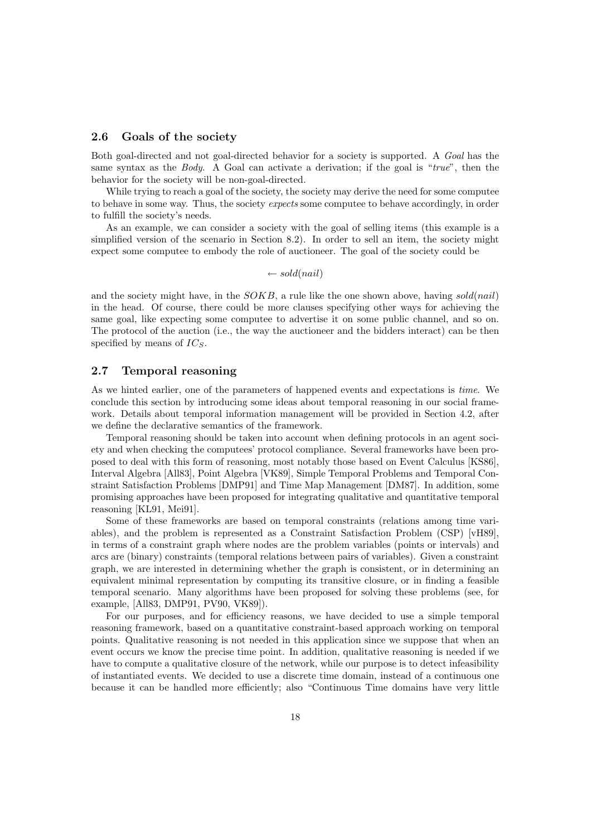# 2.6 Goals of the society

Both goal-directed and not goal-directed behavior for a society is supported. A Goal has the same syntax as the Body. A Goal can activate a derivation; if the goal is "true", then the behavior for the society will be non-goal-directed.

While trying to reach a goal of the society, the society may derive the need for some computee to behave in some way. Thus, the society *expects* some computee to behave accordingly, in order to fulfill the society's needs.

As an example, we can consider a society with the goal of selling items (this example is a simplified version of the scenario in Section 8.2). In order to sell an item, the society might expect some computee to embody the role of auctioneer. The goal of the society could be

 $\leftarrow sold(nail)$ 

and the society might have, in the  $SOKB$ , a rule like the one shown above, having sold(nail) in the head. Of course, there could be more clauses specifying other ways for achieving the same goal, like expecting some computee to advertise it on some public channel, and so on. The protocol of the auction (i.e., the way the auctioneer and the bidders interact) can be then specified by means of  $IC_s$ .

# 2.7 Temporal reasoning

As we hinted earlier, one of the parameters of happened events and expectations is time. We conclude this section by introducing some ideas about temporal reasoning in our social framework. Details about temporal information management will be provided in Section 4.2, after we define the declarative semantics of the framework.

Temporal reasoning should be taken into account when defining protocols in an agent society and when checking the computees' protocol compliance. Several frameworks have been proposed to deal with this form of reasoning, most notably those based on Event Calculus [KS86], Interval Algebra [All83], Point Algebra [VK89], Simple Temporal Problems and Temporal Constraint Satisfaction Problems [DMP91] and Time Map Management [DM87]. In addition, some promising approaches have been proposed for integrating qualitative and quantitative temporal reasoning [KL91, Mei91].

Some of these frameworks are based on temporal constraints (relations among time variables), and the problem is represented as a Constraint Satisfaction Problem (CSP) [vH89], in terms of a constraint graph where nodes are the problem variables (points or intervals) and arcs are (binary) constraints (temporal relations between pairs of variables). Given a constraint graph, we are interested in determining whether the graph is consistent, or in determining an equivalent minimal representation by computing its transitive closure, or in finding a feasible temporal scenario. Many algorithms have been proposed for solving these problems (see, for example, [All83, DMP91, PV90, VK89]).

For our purposes, and for efficiency reasons, we have decided to use a simple temporal reasoning framework, based on a quantitative constraint-based approach working on temporal points. Qualitative reasoning is not needed in this application since we suppose that when an event occurs we know the precise time point. In addition, qualitative reasoning is needed if we have to compute a qualitative closure of the network, while our purpose is to detect infeasibility of instantiated events. We decided to use a discrete time domain, instead of a continuous one because it can be handled more efficiently; also "Continuous Time domains have very little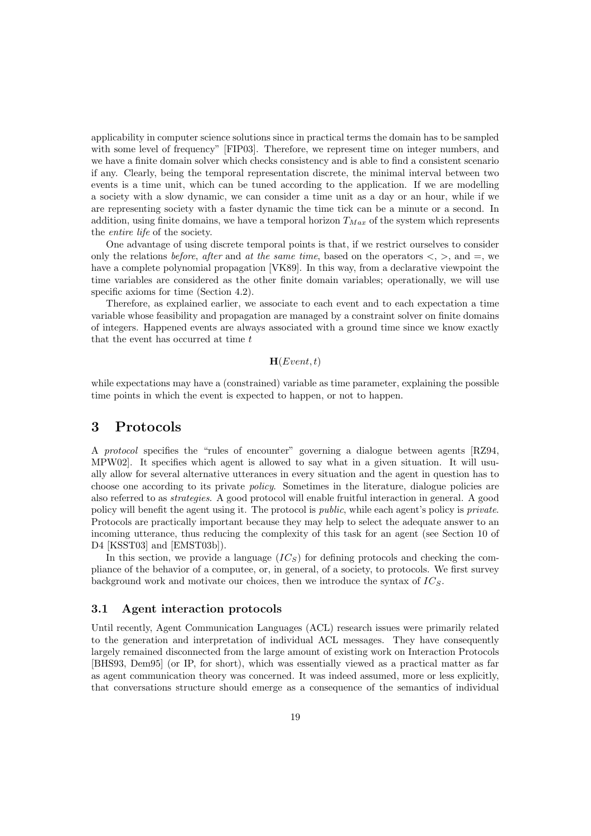applicability in computer science solutions since in practical terms the domain has to be sampled with some level of frequency" [FIP03]. Therefore, we represent time on integer numbers, and we have a finite domain solver which checks consistency and is able to find a consistent scenario if any. Clearly, being the temporal representation discrete, the minimal interval between two events is a time unit, which can be tuned according to the application. If we are modelling a society with a slow dynamic, we can consider a time unit as a day or an hour, while if we are representing society with a faster dynamic the time tick can be a minute or a second. In addition, using finite domains, we have a temporal horizon  $T_{Max}$  of the system which represents the entire life of the society.

One advantage of using discrete temporal points is that, if we restrict ourselves to consider only the relations before, after and at the same time, based on the operators  $\langle , \rangle$ , and  $=$ , we have a complete polynomial propagation [VK89]. In this way, from a declarative viewpoint the time variables are considered as the other finite domain variables; operationally, we will use specific axioms for time (Section 4.2).

Therefore, as explained earlier, we associate to each event and to each expectation a time variable whose feasibility and propagation are managed by a constraint solver on finite domains of integers. Happened events are always associated with a ground time since we know exactly that the event has occurred at time  $t$ 

#### $H(Event, t)$

while expectations may have a (constrained) variable as time parameter, explaining the possible time points in which the event is expected to happen, or not to happen.

# 3 Protocols

A protocol specifies the "rules of encounter" governing a dialogue between agents [RZ94, MPW02]. It specifies which agent is allowed to say what in a given situation. It will usually allow for several alternative utterances in every situation and the agent in question has to choose one according to its private policy. Sometimes in the literature, dialogue policies are also referred to as strategies. A good protocol will enable fruitful interaction in general. A good policy will benefit the agent using it. The protocol is *public*, while each agent's policy is *private*. Protocols are practically important because they may help to select the adequate answer to an incoming utterance, thus reducing the complexity of this task for an agent (see Section 10 of D4 [KSST03] and [EMST03b]).

In this section, we provide a language  $(IC<sub>S</sub>)$  for defining protocols and checking the compliance of the behavior of a computee, or, in general, of a society, to protocols. We first survey background work and motivate our choices, then we introduce the syntax of  $IC_S$ .

# 3.1 Agent interaction protocols

Until recently, Agent Communication Languages (ACL) research issues were primarily related to the generation and interpretation of individual ACL messages. They have consequently largely remained disconnected from the large amount of existing work on Interaction Protocols [BHS93, Dem95] (or IP, for short), which was essentially viewed as a practical matter as far as agent communication theory was concerned. It was indeed assumed, more or less explicitly, that conversations structure should emerge as a consequence of the semantics of individual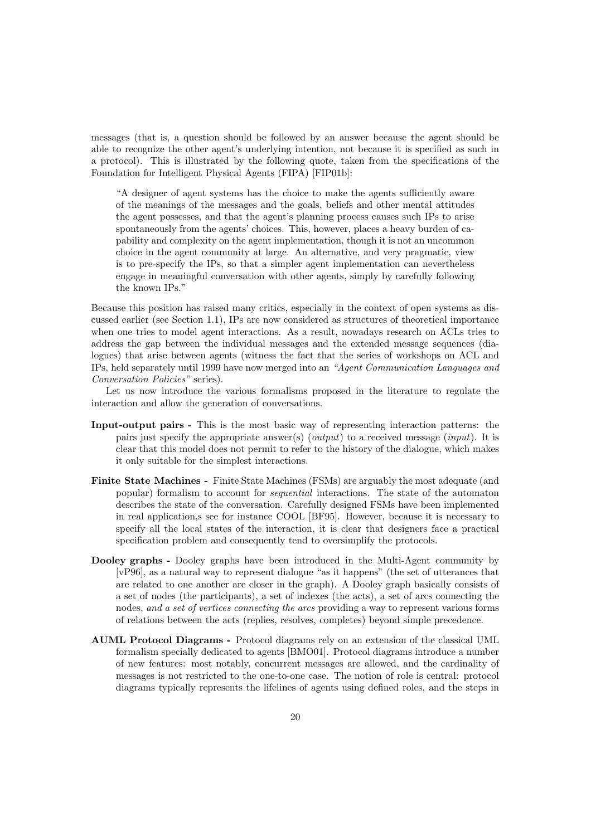messages (that is, a question should be followed by an answer because the agent should be able to recognize the other agent's underlying intention, not because it is specified as such in a protocol). This is illustrated by the following quote, taken from the specifications of the Foundation for Intelligent Physical Agents (FIPA) [FIP01b]:

"A designer of agent systems has the choice to make the agents sufficiently aware of the meanings of the messages and the goals, beliefs and other mental attitudes the agent possesses, and that the agent's planning process causes such IPs to arise spontaneously from the agents' choices. This, however, places a heavy burden of capability and complexity on the agent implementation, though it is not an uncommon choice in the agent community at large. An alternative, and very pragmatic, view is to pre-specify the IPs, so that a simpler agent implementation can nevertheless engage in meaningful conversation with other agents, simply by carefully following the known IPs."

Because this position has raised many critics, especially in the context of open systems as discussed earlier (see Section 1.1), IPs are now considered as structures of theoretical importance when one tries to model agent interactions. As a result, nowadays research on ACLs tries to address the gap between the individual messages and the extended message sequences (dialogues) that arise between agents (witness the fact that the series of workshops on ACL and IPs, held separately until 1999 have now merged into an "Agent Communication Languages and Conversation Policies" series).

Let us now introduce the various formalisms proposed in the literature to regulate the interaction and allow the generation of conversations.

- Input-output pairs This is the most basic way of representing interaction patterns: the pairs just specify the appropriate answer(s) (*output*) to a received message (*input*). It is clear that this model does not permit to refer to the history of the dialogue, which makes it only suitable for the simplest interactions.
- Finite State Machines Finite State Machines (FSMs) are arguably the most adequate (and popular) formalism to account for sequential interactions. The state of the automaton describes the state of the conversation. Carefully designed FSMs have been implemented in real application,s see for instance COOL [BF95]. However, because it is necessary to specify all the local states of the interaction, it is clear that designers face a practical specification problem and consequently tend to oversimplify the protocols.
- Dooley graphs Dooley graphs have been introduced in the Multi-Agent community by [vP96], as a natural way to represent dialogue "as it happens" (the set of utterances that are related to one another are closer in the graph). A Dooley graph basically consists of a set of nodes (the participants), a set of indexes (the acts), a set of arcs connecting the nodes, and a set of vertices connecting the arcs providing a way to represent various forms of relations between the acts (replies, resolves, completes) beyond simple precedence.
- AUML Protocol Diagrams Protocol diagrams rely on an extension of the classical UML formalism specially dedicated to agents [BMO01]. Protocol diagrams introduce a number of new features: most notably, concurrent messages are allowed, and the cardinality of messages is not restricted to the one-to-one case. The notion of role is central: protocol diagrams typically represents the lifelines of agents using defined roles, and the steps in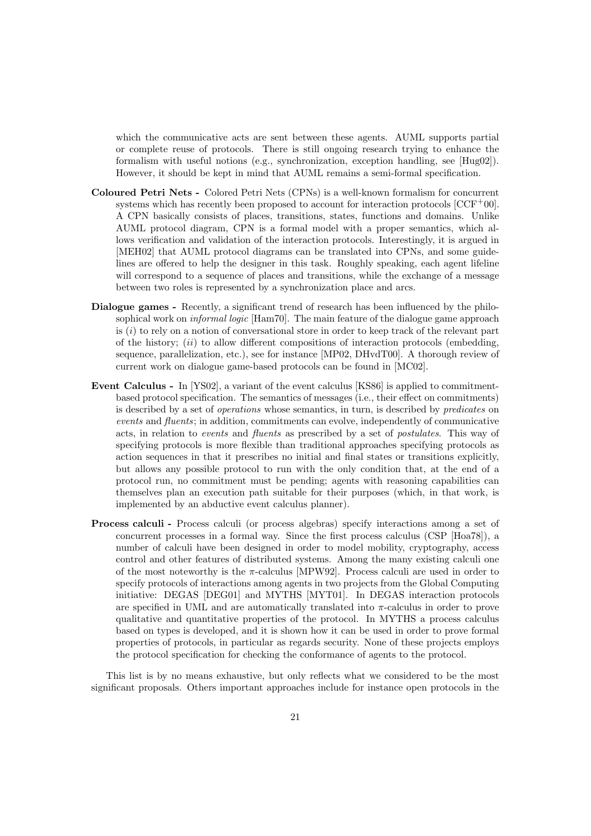which the communicative acts are sent between these agents. AUML supports partial or complete reuse of protocols. There is still ongoing research trying to enhance the formalism with useful notions (e.g., synchronization, exception handling, see [Hug02]). However, it should be kept in mind that AUML remains a semi-formal specification.

- Coloured Petri Nets Colored Petri Nets (CPNs) is a well-known formalism for concurrent systems which has recently been proposed to account for interaction protocols  $[CCF^+00]$ . A CPN basically consists of places, transitions, states, functions and domains. Unlike AUML protocol diagram, CPN is a formal model with a proper semantics, which allows verification and validation of the interaction protocols. Interestingly, it is argued in [MEH02] that AUML protocol diagrams can be translated into CPNs, and some guidelines are offered to help the designer in this task. Roughly speaking, each agent lifeline will correspond to a sequence of places and transitions, while the exchange of a message between two roles is represented by a synchronization place and arcs.
- Dialogue games Recently, a significant trend of research has been influenced by the philosophical work on *informal logic* [Ham70]. The main feature of the dialogue game approach is  $(i)$  to rely on a notion of conversational store in order to keep track of the relevant part of the history;  $(ii)$  to allow different compositions of interaction protocols (embedding, sequence, parallelization, etc.), see for instance [MP02, DHvdT00]. A thorough review of current work on dialogue game-based protocols can be found in [MC02].
- Event Calculus In [YS02], a variant of the event calculus [KS86] is applied to commitmentbased protocol specification. The semantics of messages (i.e., their effect on commitments) is described by a set of *operations* whose semantics, in turn, is described by *predicates* on events and fluents; in addition, commitments can evolve, independently of communicative acts, in relation to events and fluents as prescribed by a set of postulates. This way of specifying protocols is more flexible than traditional approaches specifying protocols as action sequences in that it prescribes no initial and final states or transitions explicitly, but allows any possible protocol to run with the only condition that, at the end of a protocol run, no commitment must be pending; agents with reasoning capabilities can themselves plan an execution path suitable for their purposes (which, in that work, is implemented by an abductive event calculus planner).
- Process calculi Process calculi (or process algebras) specify interactions among a set of concurrent processes in a formal way. Since the first process calculus (CSP [Hoa78]), a number of calculi have been designed in order to model mobility, cryptography, access control and other features of distributed systems. Among the many existing calculi one of the most noteworthy is the  $\pi$ -calculus [MPW92]. Process calculi are used in order to specify protocols of interactions among agents in two projects from the Global Computing initiative: DEGAS [DEG01] and MYTHS [MYT01]. In DEGAS interaction protocols are specified in UML and are automatically translated into  $\pi$ -calculus in order to prove qualitative and quantitative properties of the protocol. In MYTHS a process calculus based on types is developed, and it is shown how it can be used in order to prove formal properties of protocols, in particular as regards security. None of these projects employs the protocol specification for checking the conformance of agents to the protocol.

This list is by no means exhaustive, but only reflects what we considered to be the most significant proposals. Others important approaches include for instance open protocols in the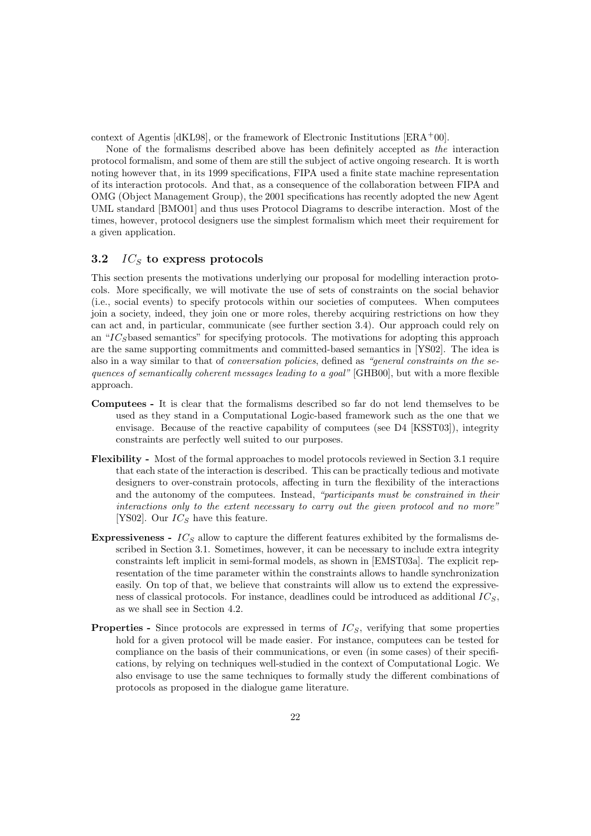context of Agentis [dKL98], or the framework of Electronic Institutions [ERA+00].

None of the formalisms described above has been definitely accepted as the interaction protocol formalism, and some of them are still the subject of active ongoing research. It is worth noting however that, in its 1999 specifications, FIPA used a finite state machine representation of its interaction protocols. And that, as a consequence of the collaboration between FIPA and OMG (Object Management Group), the 2001 specifications has recently adopted the new Agent UML standard [BMO01] and thus uses Protocol Diagrams to describe interaction. Most of the times, however, protocol designers use the simplest formalism which meet their requirement for a given application.

# 3.2  $IC<sub>S</sub>$  to express protocols

This section presents the motivations underlying our proposal for modelling interaction protocols. More specifically, we will motivate the use of sets of constraints on the social behavior (i.e., social events) to specify protocols within our societies of computees. When computees join a society, indeed, they join one or more roles, thereby acquiring restrictions on how they can act and, in particular, communicate (see further section 3.4). Our approach could rely on an " $IC<sub>S</sub>$ based semantics" for specifying protocols. The motivations for adopting this approach are the same supporting commitments and committed-based semantics in [YS02]. The idea is also in a way similar to that of conversation policies, defined as "general constraints on the sequences of semantically coherent messages leading to a goal" [GHB00], but with a more flexible approach.

- Computees It is clear that the formalisms described so far do not lend themselves to be used as they stand in a Computational Logic-based framework such as the one that we envisage. Because of the reactive capability of computees (see D4 [KSST03]), integrity constraints are perfectly well suited to our purposes.
- Flexibility Most of the formal approaches to model protocols reviewed in Section 3.1 require that each state of the interaction is described. This can be practically tedious and motivate designers to over-constrain protocols, affecting in turn the flexibility of the interactions and the autonomy of the computees. Instead, "participants must be constrained in their interactions only to the extent necessary to carry out the given protocol and no more" [YS02]. Our  $IC<sub>S</sub>$  have this feature.
- Expressiveness  $IC_S$  allow to capture the different features exhibited by the formalisms described in Section 3.1. Sometimes, however, it can be necessary to include extra integrity constraints left implicit in semi-formal models, as shown in [EMST03a]. The explicit representation of the time parameter within the constraints allows to handle synchronization easily. On top of that, we believe that constraints will allow us to extend the expressiveness of classical protocols. For instance, deadlines could be introduced as additional  $IC_S$ , as we shall see in Section 4.2.
- **Properties -** Since protocols are expressed in terms of  $IC_S$ , verifying that some properties hold for a given protocol will be made easier. For instance, computees can be tested for compliance on the basis of their communications, or even (in some cases) of their specifications, by relying on techniques well-studied in the context of Computational Logic. We also envisage to use the same techniques to formally study the different combinations of protocols as proposed in the dialogue game literature.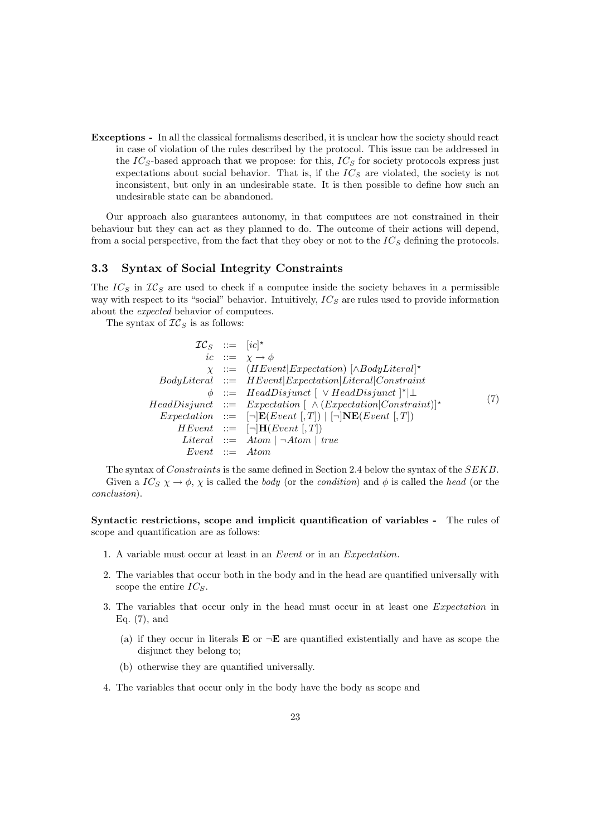Exceptions - In all the classical formalisms described, it is unclear how the society should react in case of violation of the rules described by the protocol. This issue can be addressed in the  $IC_S$ -based approach that we propose: for this,  $IC_S$  for society protocols express just expectations about social behavior. That is, if the  $IC_S$  are violated, the society is not inconsistent, but only in an undesirable state. It is then possible to define how such an undesirable state can be abandoned.

Our approach also guarantees autonomy, in that computees are not constrained in their behaviour but they can act as they planned to do. The outcome of their actions will depend, from a social perspective, from the fact that they obey or not to the  $IC<sub>S</sub>$  defining the protocols.

# 3.3 Syntax of Social Integrity Constraints

The  $IC_S$  in  $IC_S$  are used to check if a computee inside the society behaves in a permissible way with respect to its "social" behavior. Intuitively,  $IC_S$  are rules used to provide information about the expected behavior of computees.

The syntax of  $TC_S$  is as follows:

| $TC_S$ ::= $[ic]^*$ |                                                                                         |     |
|---------------------|-----------------------------------------------------------------------------------------|-----|
|                     | ic ::= $\chi \rightarrow \phi$                                                          |     |
|                     | $\chi$ ::= (HEvent Expectation) [ $\wedge$ BodyLiteral]*                                |     |
|                     | $Body Literal ::= HEvent Expectation  Literal Constraint$                               |     |
|                     | $\phi$ ::= HeadDisjunct $\vert \vee$ HeadDisjunct $\vert^{\star} \vert \perp$           |     |
|                     | $HeadDisjunct \ ::= \ Expectation[\ \land (Expectation Construction]$                   | (7) |
|                     | <i>Expectation</i> ::= $[\neg] \mathbf{E}(Event[, T])   [\neg] \mathbf{NE}(Event[, T])$ |     |
|                     | $HEvent ::= \lnot   \mathbf{H}(Event  , T)$                                             |     |
|                     | <i>Literal</i> $::=$ <i>Atom</i> $\vert \neg Atom \vert$ <i>true</i>                    |     |
| $Event ::= Atom$    |                                                                                         |     |

The syntax of Constraints is the same defined in Section 2.4 below the syntax of the SEKB. Given a  $IC_S \chi \to \phi$ ,  $\chi$  is called the *body* (or the *condition*) and  $\phi$  is called the *head* (or the conclusion).

Syntactic restrictions, scope and implicit quantification of variables - The rules of scope and quantification are as follows:

- 1. A variable must occur at least in an Event or in an Expectation.
- 2. The variables that occur both in the body and in the head are quantified universally with scope the entire  $IC_S$ .
- 3. The variables that occur only in the head must occur in at least one Expectation in Eq. (7), and
	- (a) if they occur in literals **E** or  $\neg$ **E** are quantified existentially and have as scope the disjunct they belong to;
	- (b) otherwise they are quantified universally.
- 4. The variables that occur only in the body have the body as scope and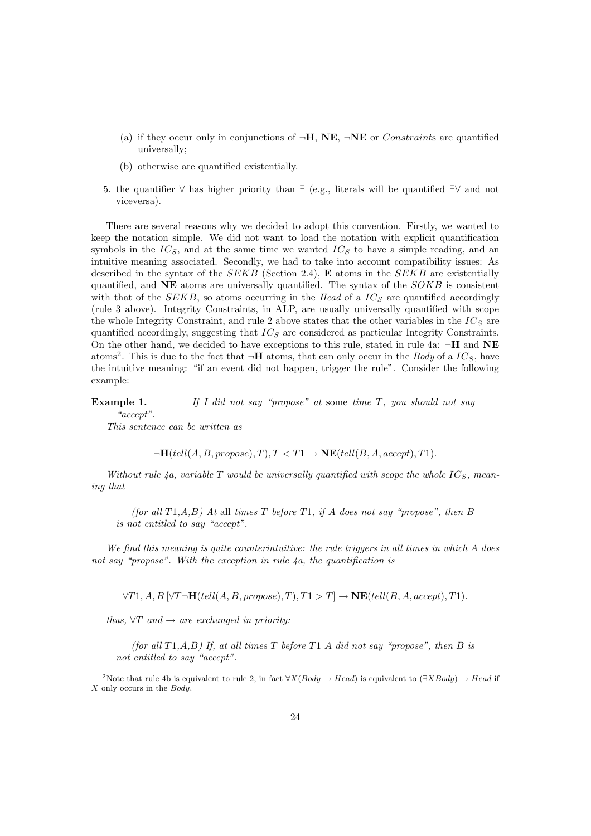- (a) if they occur only in conjunctions of  $\neg H$ , NE,  $\neg NE$  or *Constraints* are quantified universally;
- (b) otherwise are quantified existentially.
- 5. the quantifier ∀ has higher priority than ∃ (e.g., literals will be quantified ∃∀ and not viceversa).

There are several reasons why we decided to adopt this convention. Firstly, we wanted to keep the notation simple. We did not want to load the notation with explicit quantification symbols in the  $IC_S$ , and at the same time we wanted  $IC_S$  to have a simple reading, and an intuitive meaning associated. Secondly, we had to take into account compatibility issues: As described in the syntax of the  $SEKB$  (Section 2.4), **E** atoms in the  $SEKB$  are existentially quantified, and  $NE$  atoms are universally quantified. The syntax of the  $SOKB$  is consistent with that of the  $SEKB$ , so atoms occurring in the Head of a  $IC_S$  are quantified accordingly (rule 3 above). Integrity Constraints, in ALP, are usually universally quantified with scope the whole Integrity Constraint, and rule 2 above states that the other variables in the  $IC_S$  are quantified accordingly, suggesting that  $IC_S$  are considered as particular Integrity Constraints. On the other hand, we decided to have exceptions to this rule, stated in rule 4a:  $\neg$ **H** and **NE** atoms<sup>2</sup>. This is due to the fact that  $\neg$ **H** atoms, that can only occur in the *Body* of a *IC<sub>S</sub>*, have the intuitive meaning: "if an event did not happen, trigger the rule". Consider the following example:

**Example 1.** If I did not say "propose" at some time  $T$ , you should not say "accept".

This sentence can be written as

 $\neg H(tell(A, B, propose), T), T < T1 \rightarrow \text{NE}(tell(B, A, accept), T1).$ 

Without rule 4a, variable T would be universally quantified with scope the whole  $IC_S$ , meaning that

(for all  $T1, A, B$ ) At all times T before T1, if A does not say "propose", then B is not entitled to say "accept".

We find this meaning is quite counterintuitive: the rule triggers in all times in which  $A$  does not say "propose". With the exception in rule  $\lambda a$ , the quantification is

 $\forall T1, A, B \, [\forall T \neg \mathbf{H}(tell(A, B, propose), T), T1 > T] \rightarrow \mathbf{NE}(tell(B, A, accept), T1).$ 

thus,  $\forall T$  and  $\rightarrow$  are exchanged in priority:

(for all  $T1, A, B$ ) If, at all times T before T1 A did not say "propose", then B is not entitled to say "accept".

<sup>&</sup>lt;sup>2</sup>Note that rule 4b is equivalent to rule 2, in fact  $\forall X(Body \rightarrow Head)$  is equivalent to  $(\exists XBody) \rightarrow Head$  if X only occurs in the Body.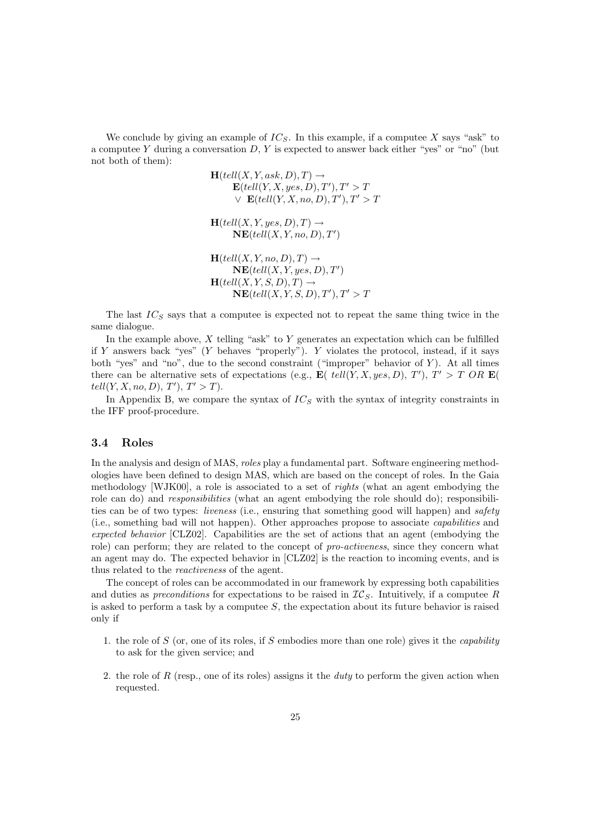We conclude by giving an example of  $IC_S$ . In this example, if a computee X says "ask" to a computee Y during a conversation  $D, Y$  is expected to answer back either "yes" or "no" (but not both of them):

$$
\mathbf{H}(tell(X, Y, ask, D), T) \rightarrow
$$
\n
$$
\mathbf{E}(tell(Y, X, yes, D), T'), T' > T
$$
\n
$$
\vee \mathbf{E}(tell(Y, X, no, D), T'), T' > T
$$
\n
$$
\mathbf{H}(tell(X, Y, yes, D), T) \rightarrow
$$
\n
$$
\mathbf{NE}(tell(X, Y, no, D), T')
$$
\n
$$
\mathbf{H}(tell(X, Y, no, D), T) \rightarrow
$$
\n
$$
\mathbf{NE}(tell(X, Y, yes, D), T')
$$
\n
$$
\mathbf{H}(tell(X, Y, S, D), T) \rightarrow
$$
\n
$$
\mathbf{NE}(tell(X, Y, S, D), T'), T' > T
$$

The last  $IC_S$  says that a computee is expected not to repeat the same thing twice in the same dialogue.

In the example above,  $X$  telling "ask" to  $Y$  generates an expectation which can be fulfilled if Y answers back "yes" (Y behaves "properly"). Y violates the protocol, instead, if it says both "yes" and "no", due to the second constraint ("improper" behavior of  $Y$ ). At all times there can be alternative sets of expectations (e.g.,  $\mathbf{E}(\text{tell}(Y, X, yes, D), T')$ ,  $T' > T \text{ OR } \mathbf{E}(\text{)}$ )  $tell(Y, X, no, D), T', T' > T).$ 

In Appendix B, we compare the syntax of  $IC_S$  with the syntax of integrity constraints in the IFF proof-procedure.

## 3.4 Roles

In the analysis and design of MAS, roles play a fundamental part. Software engineering methodologies have been defined to design MAS, which are based on the concept of roles. In the Gaia methodology [WJK00], a role is associated to a set of rights (what an agent embodying the role can do) and *responsibilities* (what an agent embodying the role should do); responsibilities can be of two types: *liveness* (i.e., ensuring that something good will happen) and safety (i.e., something bad will not happen). Other approaches propose to associate capabilities and expected behavior [CLZ02]. Capabilities are the set of actions that an agent (embodying the role) can perform; they are related to the concept of *pro-activeness*, since they concern what an agent may do. The expected behavior in [CLZ02] is the reaction to incoming events, and is thus related to the reactiveness of the agent.

The concept of roles can be accommodated in our framework by expressing both capabilities and duties as preconditions for expectations to be raised in  $\mathcal{IC}_S$ . Intuitively, if a computee R is asked to perform a task by a computee  $S$ , the expectation about its future behavior is raised only if

- 1. the role of  $S$  (or, one of its roles, if  $S$  embodies more than one role) gives it the *capability* to ask for the given service; and
- 2. the role of R (resp., one of its roles) assigns it the *duty* to perform the given action when requested.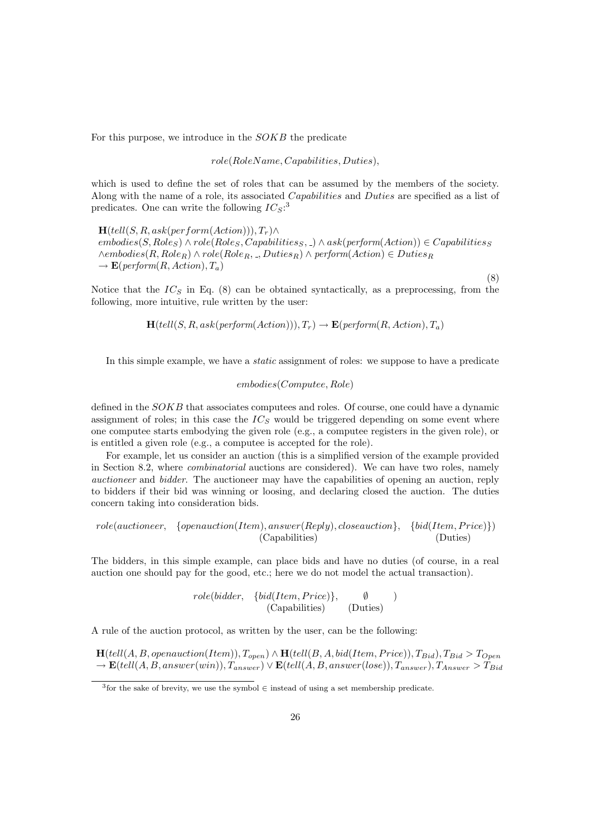For this purpose, we introduce in the SOKB the predicate

role(RoleName, Capabilities, Duties),

which is used to define the set of roles that can be assumed by the members of the society. Along with the name of a role, its associated *Capabilities* and *Duties* are specified as a list of predicates. One can write the following  $IC_S$ :<sup>3</sup>

 $\mathbf{H}(tell(S, R, ask(perform(Action))), T_r) \wedge$  $embedies(S, Role_S) \land role(Roles, Capabilities_S, \_) \land ask(perform(Action)) \in Capabilities_S$  $\wedge$ embodies $(R, Role_R) \wedge role(Role_R, \_, Duties_R) \wedge perform(Action) ∈ Duties_R$  $\rightarrow \mathbf{E}(\text{perform}(R, Action), T_a)$ (8)

Notice that the  $IC_S$  in Eq. (8) can be obtained syntactically, as a preprocessing, from the following, more intuitive, rule written by the user:

 $\mathbf{H}(tell (S, R, ask (perform (Action))), T_r) \rightarrow \mathbf{E}(perform (R, Action), T_a)$ 

In this simple example, we have a *static* assignment of roles: we suppose to have a predicate

$$
embodies (Computee, Role)
$$

defined in the SOKB that associates computees and roles. Of course, one could have a dynamic assignment of roles; in this case the  $IC_S$  would be triggered depending on some event where one computee starts embodying the given role (e.g., a computee registers in the given role), or is entitled a given role (e.g., a computee is accepted for the role).

For example, let us consider an auction (this is a simplified version of the example provided in Section 8.2, where combinatorial auctions are considered). We can have two roles, namely auctioneer and bidder. The auctioneer may have the capabilities of opening an auction, reply to bidders if their bid was winning or loosing, and declaring closed the auction. The duties concern taking into consideration bids.

$$
role(auctioneer, \{openauction(Item), answer(Reply), closeauction\}, \{bid(Item, Price)\})
$$
  
(Capabilities) (Duties)

The bidders, in this simple example, can place bids and have no duties (of course, in a real auction one should pay for the good, etc.; here we do not model the actual transaction).

$$
role(bidder, \{bid(Item, Price)\}, \emptyset) \tag{Capabilities} \tag{Duties}
$$

A rule of the auction protocol, as written by the user, can be the following:

 $\mathbf{H}(tell(A, B, openauction(Item)), T_{open}) \wedge \mathbf{H}(tell(B, A, bid(Item, Price)), T_{Bid}), T_{Bid} > T_{Open}$  $\rightarrow \mathbf{E}(tell(A, B, answer(win)), T_{answer}) \vee \mathbf{E}(tell(A, B, answer(lose)), T_{answer}), T_{Answer} > T_{Bid}$ 

 $3$  for the sake of brevity, we use the symbol  $\in$  instead of using a set membership predicate.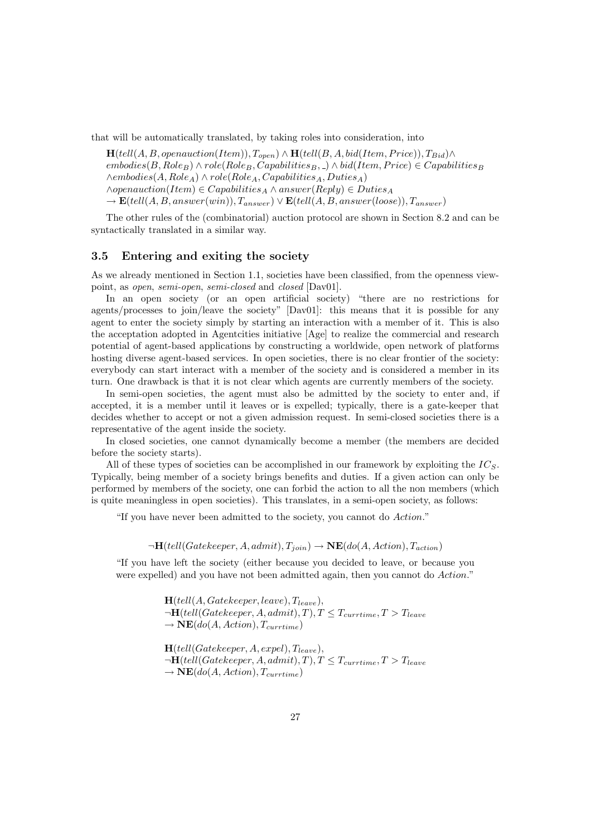that will be automatically translated, by taking roles into consideration, into

 $\mathbf{H}(tell(A, B, openauction(Item)), T_{open}) \wedge \mathbf{H}(tell(B, A, bid(Item, Price)), T_{Bid}) \wedge$  $embodies(B, Role_B) \wedge role(Role_B, Capabilities_B, \Box) \wedge bid(Item, Price) \in Capabilities_B$  $\wedge$ embodies $(A, Role_A) \wedge role(Role_A, Capabilities_A, Duties_A)$  $\wedge open auction(Item) \in Capabilities_A \wedge answer(Reply) \in Duties_A$  $\rightarrow$  **E**(tell(A, B, answer(win)),  $T_{answer}$ )  $\vee$  **E**(tell(A, B, answer(loose)),  $T_{answer}$ )

The other rules of the (combinatorial) auction protocol are shown in Section 8.2 and can be syntactically translated in a similar way.

# 3.5 Entering and exiting the society

As we already mentioned in Section 1.1, societies have been classified, from the openness viewpoint, as open, semi-open, semi-closed and closed [Dav01].

In an open society (or an open artificial society) "there are no restrictions for agents/processes to join/leave the society" [Dav01]: this means that it is possible for any agent to enter the society simply by starting an interaction with a member of it. This is also the acceptation adopted in Agentcities initiative [Age] to realize the commercial and research potential of agent-based applications by constructing a worldwide, open network of platforms hosting diverse agent-based services. In open societies, there is no clear frontier of the society: everybody can start interact with a member of the society and is considered a member in its turn. One drawback is that it is not clear which agents are currently members of the society.

In semi-open societies, the agent must also be admitted by the society to enter and, if accepted, it is a member until it leaves or is expelled; typically, there is a gate-keeper that decides whether to accept or not a given admission request. In semi-closed societies there is a representative of the agent inside the society.

In closed societies, one cannot dynamically become a member (the members are decided before the society starts).

All of these types of societies can be accomplished in our framework by exploiting the  $IC_S$ . Typically, being member of a society brings benefits and duties. If a given action can only be performed by members of the society, one can forbid the action to all the non members (which is quite meaningless in open societies). This translates, in a semi-open society, as follows:

"If you have never been admitted to the society, you cannot do Action."

 $\neg H(tell(Gatekeeper, A, admit), T_{join}) \rightarrow \text{NE}(do(A, Action), T_{action})$ 

"If you have left the society (either because you decided to leave, or because you were expelled) and you have not been admitted again, then you cannot do Action."

> $H(tell(A, Gatekeeper, leave), T_{leave}),$  $\neg H(tell(Gatekeeper, A, admit), T), T \leq T_{currentime}, T > T_{leave}$  $\rightarrow \text{NE}(do(A, Action), T_{currentime})$  $H(tell(Gatekeeper, A, expel), T_{leave}),$  $\neg H(tell(Gatekeeper, A, admit), T), T \leq T_{currentime}, T > T_{leave}$  $\rightarrow \mathbf{NE}(do(A, Action), T_{currentime})$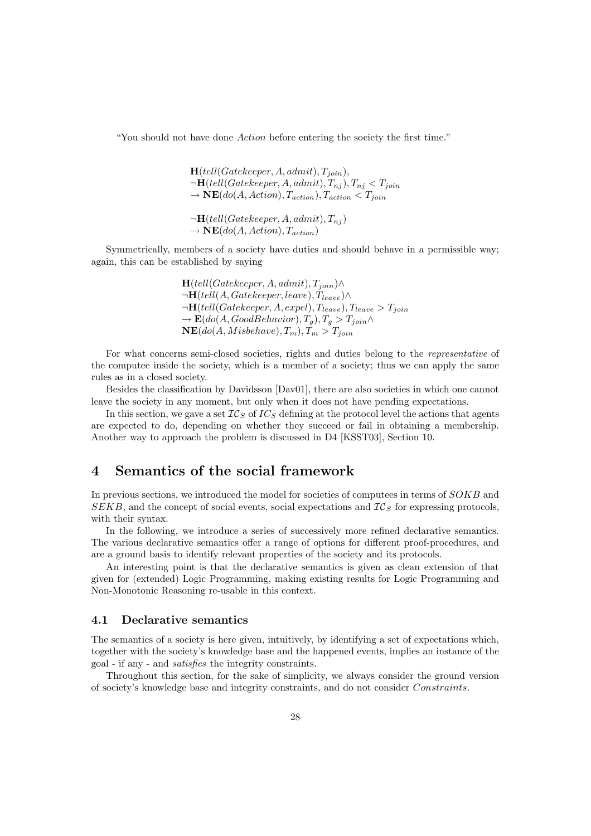"You should not have done Action before entering the society the first time."

 $H(tell(Gatekeeper, A, admit), T<sub>join</sub>),$  $\neg H(tell(Gatekeeper, A, admit), T_{ni}), T_{ni} < T_{join}$  $\rightarrow \overrightarrow{\text{NE}}(do(A, Action), T_{action}), T_{action} < T_{join}$  $\neg H(tell(Gatekeeper, A, admit), T_{ni})$ 

Symmetrically, members of a society have duties and should behave in a permissible way; again, this can be established by saying

 $\rightarrow \mathbf{NE}(do(A, Action), T_{action})$ 

 $H(tell(Gatekeeper, A, admit), T<sub>ioin</sub>) \wedge$  $\neg H(tell(A, Gatekeeper, leave), T_{leave}) \wedge$  $\neg H(tell(Gatekeeper, A, expel), T_{leave}), T_{leave} > T_{join}$  $\rightarrow \mathbf{E}(do(A, GoodBehavior), T_g), T_g > T_{join} \wedge$  $NE(do(A, Misbehave), T_m), T_m > T_{join}$ 

For what concerns semi-closed societies, rights and duties belong to the representative of the computee inside the society, which is a member of a society; thus we can apply the same rules as in a closed society.

Besides the classification by Davidsson [Dav01], there are also societies in which one cannot leave the society in any moment, but only when it does not have pending expectations.

In this section, we gave a set  $IC_S$  of  $IC_S$  defining at the protocol level the actions that agents are expected to do, depending on whether they succeed or fail in obtaining a membership. Another way to approach the problem is discussed in D4 [KSST03], Section 10.

# 4 Semantics of the social framework

In previous sections, we introduced the model for societies of computees in terms of  $SOKB$  and  $SEKB$ , and the concept of social events, social expectations and  $IC_S$  for expressing protocols, with their syntax.

In the following, we introduce a series of successively more refined declarative semantics. The various declarative semantics offer a range of options for different proof-procedures, and are a ground basis to identify relevant properties of the society and its protocols.

An interesting point is that the declarative semantics is given as clean extension of that given for (extended) Logic Programming, making existing results for Logic Programming and Non-Monotonic Reasoning re-usable in this context.

### 4.1 Declarative semantics

The semantics of a society is here given, intuitively, by identifying a set of expectations which, together with the society's knowledge base and the happened events, implies an instance of the goal - if any - and satisfies the integrity constraints.

Throughout this section, for the sake of simplicity, we always consider the ground version of society's knowledge base and integrity constraints, and do not consider Constraints.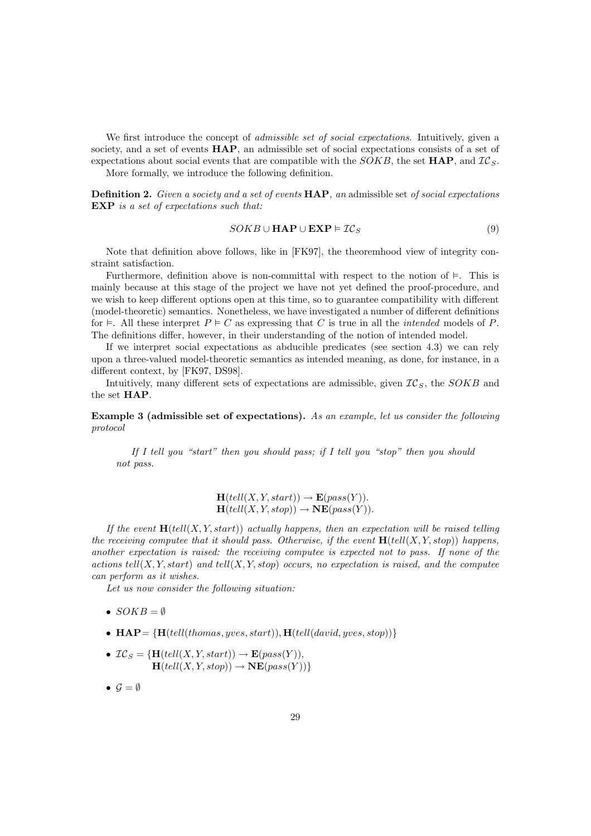We first introduce the concept of *admissible set of social expectations*. Intuitively, given a society, and a set of events **HAP**, an admissible set of social expectations consists of a set of expectations about social events that are compatible with the  $SOKB$ , the set  $HAP$ , and  $IC_S$ .

More formally, we introduce the following definition.

Definition 2. Given a society and a set of events HAP, an admissible set of social expectations EXP is a set of expectations such that:

$$
SOKB \cup \mathbf{HAP} \cup \mathbf{EXP} \models \mathcal{IC}_S \tag{9}
$$

Note that definition above follows, like in [FK97], the theoremhood view of integrity constraint satisfaction.

Furthermore, definition above is non-committal with respect to the notion of  $\models$ . This is mainly because at this stage of the project we have not yet defined the proof-procedure, and we wish to keep different options open at this time, so to guarantee compatibility with different (model-theoretic) semantics. Nonetheless, we have investigated a number of different definitions for  $\models$ . All these interpret  $P \models C$  as expressing that C is true in all the *intended* models of P. The definitions differ, however, in their understanding of the notion of intended model.

If we interpret social expectations as abducible predicates (see section 4.3) we can rely upon a three-valued model-theoretic semantics as intended meaning, as done, for instance, in a different context, by [FK97, DS98].

Intuitively, many different sets of expectations are admissible, given  $IC<sub>S</sub>$ , the  $SOKB$  and the set HAP.

Example 3 (admissible set of expectations). As an example, let us consider the following protocol

If I tell you "start" then you should pass; if I tell you "stop" then you should not pass.

> $\mathbf{H}(tell(X, Y, start)) \rightarrow \mathbf{E}(pass(Y)).$  $H(tell(X, Y, stop)) \rightarrow NE(pass(Y)).$

If the event  $\mathbf{H}(tell(X, Y, start))$  actually happens, then an expectation will be raised telling the receiving computee that it should pass. Otherwise, if the event  $\mathbf{H}(tell(X, Y, stop))$  happens, another expectation is raised: the receiving computee is expected not to pass. If none of the actions tell $(X, Y, start)$  and tell $(X, Y, stop)$  occurs, no expectation is raised, and the computee can perform as it wishes.

Let us now consider the following situation:

- $SOKB = \emptyset$
- $\textbf{HAP} = \{ \textbf{H}(tell (thomas, yves, start)), \textbf{H}(tell (david, yves, stop)) \}$
- $IC_S = \{H(tell(X, Y, start)) \rightarrow E(pass(Y)),$  $\mathbf{H}(tell(X, Y, stop)) \rightarrow \mathbf{NE}(pass(Y))$
- $\mathcal{G} = \emptyset$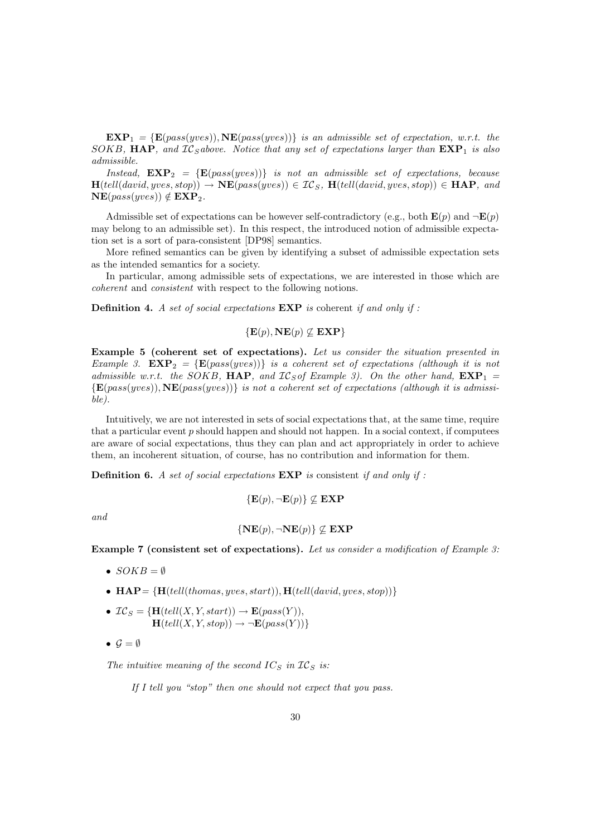$\mathbf{EXP}_{1} = \{ \mathbf{E}(pass(yves)), \mathbf{NE}(pass(yves)) \}$  is an admissible set of expectation, w.r.t. the SOKB, HAP, and  $IC$ <sub>S</sub>above. Notice that any set of expectations larger than  $EXP<sub>1</sub>$  is also admissible.

Instead,  $EXP_2 = {E(pass(yves))}$  is not an admissible set of expectations, because  $H(tell(david, yves, stop)) \rightarrow NE(pass(yves)) \in IC_S$ ,  $H(tell(david, yves, stop)) \in HAP$ , and  $NE(pass(yves)) \notin EXP_2.$ 

Admissible set of expectations can be however self-contradictory (e.g., both  $\mathbf{E}(p)$ ) and  $\neg \mathbf{E}(p)$ may belong to an admissible set). In this respect, the introduced notion of admissible expectation set is a sort of para-consistent [DP98] semantics.

More refined semantics can be given by identifying a subset of admissible expectation sets as the intended semantics for a society.

In particular, among admissible sets of expectations, we are interested in those which are coherent and consistent with respect to the following notions.

**Definition 4.** A set of social expectations  $\mathbf{EXP}$  is coherent if and only if :

$$
\{ \mathbf{E}(p), \mathbf{NE}(p) \nsubseteq \mathbf{EXP} \}
$$

Example 5 (coherent set of expectations). Let us consider the situation presented in Example 3.  $EXP_2 = \{E(pass(yves))\}$  is a coherent set of expectations (although it is not admissible w.r.t. the SOKB, **HAP**, and  $IC<sub>S</sub>$  of Example 3). On the other hand,  $EXP<sub>1</sub> =$  ${E(pass(yves)), \text{NE}(pass(yves))}$  is not a coherent set of expectations (although it is admissible).

Intuitively, we are not interested in sets of social expectations that, at the same time, require that a particular event  $p$  should happen and should not happen. In a social context, if computees are aware of social expectations, thus they can plan and act appropriately in order to achieve them, an incoherent situation, of course, has no contribution and information for them.

**Definition 6.** A set of social expectations  $\mathbf{EXP}$  is consistent if and only if :

 ${E(p), \neg E(p)} \not\subset EXP$ 

and

$$
\left\{ \mathbf{NE}(p),\neg \mathbf{NE}(p) \right\} \nsubseteq \mathbf{EXP}
$$

Example 7 (consistent set of expectations). Let us consider a modification of Example 3:

- $SOKB = \emptyset$
- $\mathbf{HAP} = \{ \mathbf{H}(tell (thomas, yves, start)), \mathbf{H}(tell (david, yves, stop)) \}$
- $IC_S = \{H(tell(X, Y, start)) \rightarrow E(pass(Y)),$  $\overline{\mathbf{H}(tell(X, Y, stop))} \rightarrow \neg \overline{\mathbf{E}(pass(Y)})$
- $\mathcal{G} = \emptyset$

The intuitive meaning of the second  $IC_S$  in  $IC_S$  is:

If I tell you "stop" then one should not expect that you pass.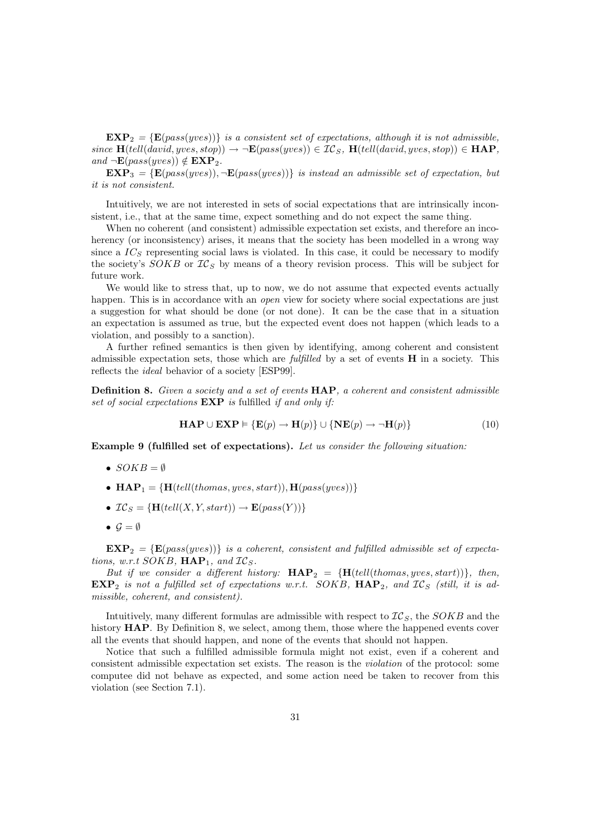$EXP<sub>2</sub> = {E(pass(yves))}$  is a consistent set of expectations, although it is not admissible, since  $\mathbf{H}(tell(david, yves, stop)) \rightarrow \neg \mathbf{E}(pass(yves)) \in \mathcal{IC}_S$ ,  $\mathbf{H}(tell(david, yves, stop)) \in \mathbf{HAP}$ , and  $\neg E(pass(yves)) \notin EXP_2$ .

 $EXP_{3} = \{E(pass(yves)), \neg E(pass(yves))\}$  is instead an admissible set of expectation, but it is not consistent.

Intuitively, we are not interested in sets of social expectations that are intrinsically inconsistent, i.e., that at the same time, expect something and do not expect the same thing.

When no coherent (and consistent) admissible expectation set exists, and therefore an incoherency (or inconsistency) arises, it means that the society has been modelled in a wrong way since a  $IC<sub>S</sub>$  representing social laws is violated. In this case, it could be necessary to modify the society's  $SOKB$  or  $IC_S$  by means of a theory revision process. This will be subject for future work.

We would like to stress that, up to now, we do not assume that expected events actually happen. This is in accordance with an *open* view for society where social expectations are just a suggestion for what should be done (or not done). It can be the case that in a situation an expectation is assumed as true, but the expected event does not happen (which leads to a violation, and possibly to a sanction).

A further refined semantics is then given by identifying, among coherent and consistent admissible expectation sets, those which are *fulfilled* by a set of events  $\bf{H}$  in a society. This reflects the ideal behavior of a society [ESP99].

Definition 8. Given a society and a set of events HAP, a coherent and consistent admissible set of social expectations  $EXP$  is fulfilled if and only if:

$$
\mathbf{HAP} \cup \mathbf{EXP} \models \{\mathbf{E}(p) \rightarrow \mathbf{H}(p)\} \cup \{\mathbf{NE}(p) \rightarrow \neg \mathbf{H}(p)\}\tag{10}
$$

Example 9 (fulfilled set of expectations). Let us consider the following situation:

- $SOKB = \emptyset$
- $\mathbf{HAP}_1 = \{ \mathbf{H}(tell (thomas, wes, start)), \mathbf{H}(pass(wes)) \}$
- $IC_S = {H(tell(X, Y, start)) \rightarrow E(pass(Y))}$
- $\mathcal{G} = \emptyset$

 $EXP<sub>2</sub> = {E(pass(yves))}$  is a coherent, consistent and fulfilled admissible set of expectations, w.r.t SOKB,  $HAP_1$ , and  $IC_S$ .

But if we consider a different history:  $HAP_2 = {H(tell(thomas, yves, start))}, then,$  $EXP<sub>2</sub>$  is not a fulfilled set of expectations w.r.t. SOKB,  $HAP<sub>2</sub>$ , and  $IC<sub>S</sub>$  (still, it is admissible, coherent, and consistent).

Intuitively, many different formulas are admissible with respect to  $TC_S$ , the  $SOKB$  and the history HAP. By Definition 8, we select, among them, those where the happened events cover all the events that should happen, and none of the events that should not happen.

Notice that such a fulfilled admissible formula might not exist, even if a coherent and consistent admissible expectation set exists. The reason is the violation of the protocol: some computee did not behave as expected, and some action need be taken to recover from this violation (see Section 7.1).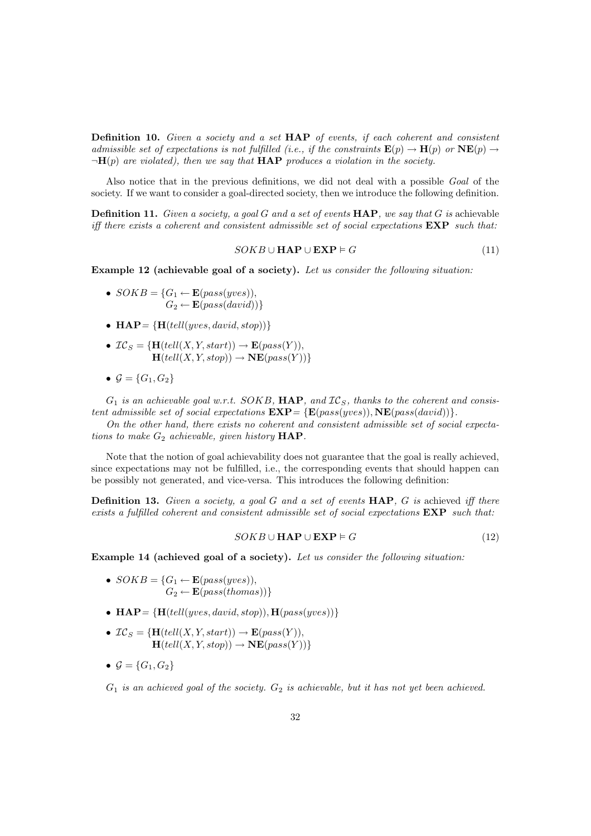Definition 10. Given a society and a set HAP of events, if each coherent and consistent admissible set of expectations is not fulfilled (i.e., if the constraints  $\mathbf{E}(p) \to \mathbf{H}(p)$  or  $\mathbf{NE}(p) \to$  $\neg H(p)$  are violated), then we say that **HAP** produces a violation in the society.

Also notice that in the previous definitions, we did not deal with a possible Goal of the society. If we want to consider a goal-directed society, then we introduce the following definition.

**Definition 11.** Given a society, a goal G and a set of events  $\text{HAP}$ , we say that G is achievable iff there exists a coherent and consistent admissible set of social expectations  $EXP$  such that:

$$
SOKB \cup \mathbf{HAP} \cup \mathbf{EXP} \models G \tag{11}
$$

Example 12 (achievable goal of a society). Let us consider the following situation:

- $SOKB = \{G_1 \leftarrow \mathbf{E}(pass(yves)),\}$  $G_2 \leftarrow \mathbf{E}(pass(david))$
- $\mathbf{HAP} = \{ \mathbf{H}(tell(yves, david, stop)) \}$
- $IC_S = \{H(tell(X, Y, start)) \rightarrow E(pass(Y)),$  $\overrightarrow{\mathbf{H}(tell(X, Y, stop))} \rightarrow \overrightarrow{\mathbf{NE}}(pass(Y))$
- $G = \{G_1, G_2\}$

 $G_1$  is an achievable goal w.r.t. SOKB, HAP, and  $IC_S$ , thanks to the coherent and consistent admissible set of social expectations  $\mathbf{EXP} = \{ \mathbf{E}(pass(yves)), \mathbf{NE}(pass(david)) \}$ .

On the other hand, there exists no coherent and consistent admissible set of social expectations to make  $G_2$  achievable, given history  $HAP$ .

Note that the notion of goal achievability does not guarantee that the goal is really achieved, since expectations may not be fulfilled, i.e., the corresponding events that should happen can be possibly not generated, and vice-versa. This introduces the following definition:

**Definition 13.** Given a society, a goal G and a set of events  $\text{HAP}$ , G is achieved iff there exists a fulfilled coherent and consistent admissible set of social expectations  $EXP$  such that:

$$
SOKB \cup \mathbf{HAP} \cup \mathbf{EXP} \models G \tag{12}
$$

Example 14 (achieved goal of a society). Let us consider the following situation:

- $SOKB = \{G_1 \leftarrow \mathbf{E}(pass(yves)),\}$  $G_2 \leftarrow \mathbf{E}(pass(thomas))$
- $\mathbf{HAP} = \{ \mathbf{H}(tell(yves, david, stop)), \mathbf{H}(pass(yves)) \}$
- $IC_S = {\bf H}(tell(X, Y, start)) \rightarrow {\bf E}(pass(Y)),$  $\mathbf{H}(tell(X, Y, stop)) \rightarrow \mathbf{NE}(pass(Y))\}$
- $\mathcal{G} = \{G_1, G_2\}$

 $G_1$  is an achieved goal of the society.  $G_2$  is achievable, but it has not yet been achieved.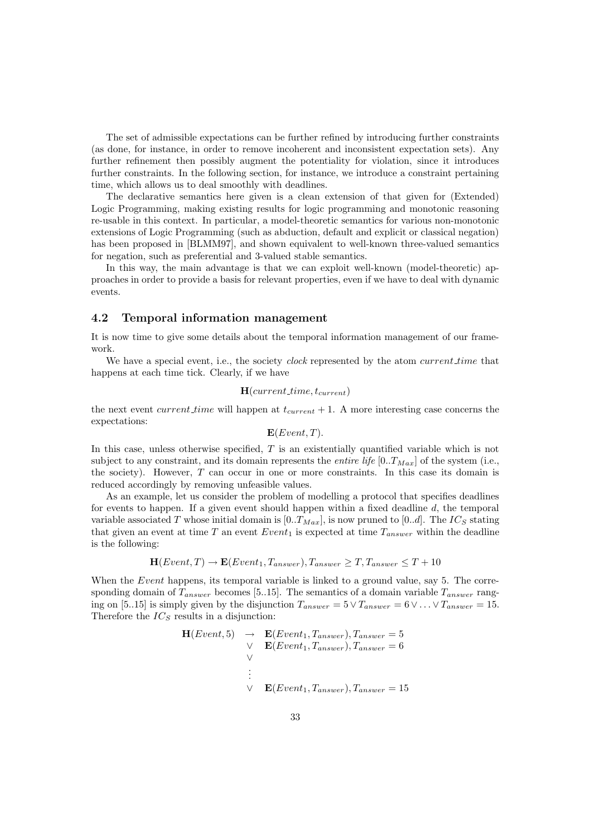The set of admissible expectations can be further refined by introducing further constraints (as done, for instance, in order to remove incoherent and inconsistent expectation sets). Any further refinement then possibly augment the potentiality for violation, since it introduces further constraints. In the following section, for instance, we introduce a constraint pertaining time, which allows us to deal smoothly with deadlines.

The declarative semantics here given is a clean extension of that given for (Extended) Logic Programming, making existing results for logic programming and monotonic reasoning re-usable in this context. In particular, a model-theoretic semantics for various non-monotonic extensions of Logic Programming (such as abduction, default and explicit or classical negation) has been proposed in [BLMM97], and shown equivalent to well-known three-valued semantics for negation, such as preferential and 3-valued stable semantics.

In this way, the main advantage is that we can exploit well-known (model-theoretic) approaches in order to provide a basis for relevant properties, even if we have to deal with dynamic events.

#### 4.2 Temporal information management

It is now time to give some details about the temporal information management of our framework.

We have a special event, i.e., the society *clock* represented by the atom *current time* that happens at each time tick. Clearly, if we have

# $H(current\_time, t_{current})$

the next event *current time* will happen at  $t_{current} + 1$ . A more interesting case concerns the expectations:

$$
\mathbf{E}(Event, T)
$$
.

In this case, unless otherwise specified, T is an existentially quantified variable which is not subject to any constraint, and its domain represents the *entire life*  $[0..T_{Max}]$  of the system (i.e., the society). However, T can occur in one or more constraints. In this case its domain is reduced accordingly by removing unfeasible values.

As an example, let us consider the problem of modelling a protocol that specifies deadlines for events to happen. If a given event should happen within a fixed deadline d, the temporal variable associated T whose initial domain is  $[0..T_{Max}]$ , is now pruned to  $[0..d]$ . The  $IC_S$  stating that given an event at time T an event  $Event_1$  is expected at time  $T_{answer}$  within the deadline is the following:

$$
\mathbf{H}(Event, T) \rightarrow \mathbf{E}(Event_1, T_{answer}), T_{answer} \geq T, T_{answer} \leq T + 10
$$

When the *Event* happens, its temporal variable is linked to a ground value, say 5. The corresponding domain of  $T_{answer}$  becomes [5..15]. The semantics of a domain variable  $T_{answer}$  ranging on [5..15] is simply given by the disjunction  $T_{answer} = 5 \vee T_{answer} = 6 \vee \dots \vee T_{answer} = 15$ . Therefore the  $IC_S$  results in a disjunction:

$$
\mathbf{H}(Event, 5) \rightarrow \mathbf{E}(Event_1, T_{answer}), T_{answer} = 5
$$
  
\n
$$
\vee \mathbf{E}(Event_1, T_{answer}), T_{answer} = 6
$$
  
\n
$$
\vee \mathbf{E}(Event_1, T_{answer}), T_{answer} = 15
$$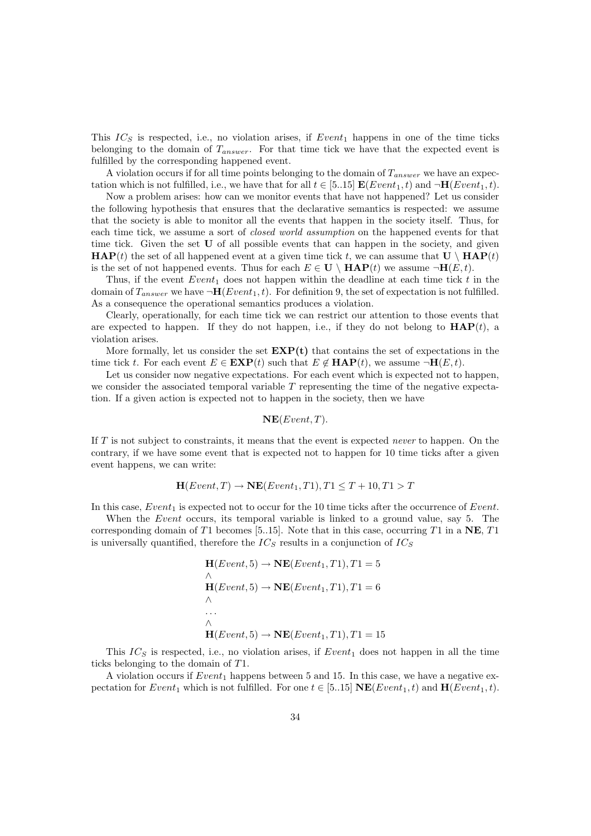This  $IC_S$  is respected, i.e., no violation arises, if  $Event_1$  happens in one of the time ticks belonging to the domain of  $T_{answer}$ . For that time tick we have that the expected event is fulfilled by the corresponding happened event.

A violation occurs if for all time points belonging to the domain of  $T_{answer}$  we have an expectation which is not fulfilled, i.e., we have that for all  $t \in [5..15]$   $\mathbf{E}(Event_1, t)$  and  $\neg \mathbf{H}(Event_1, t)$ .

Now a problem arises: how can we monitor events that have not happened? Let us consider the following hypothesis that ensures that the declarative semantics is respected: we assume that the society is able to monitor all the events that happen in the society itself. Thus, for each time tick, we assume a sort of *closed world assumption* on the happened events for that time tick. Given the set **U** of all possible events that can happen in the society, and given  $\mathbf{HAP}(t)$  the set of all happened event at a given time tick t, we can assume that  $\mathbf{U} \setminus \mathbf{HAP}(t)$ is the set of not happened events. Thus for each  $E \in U \setminus \textbf{HAP}(t)$  we assume  $\neg \textbf{H}(E,t)$ .

Thus, if the event  $Event_1$  does not happen within the deadline at each time tick t in the domain of  $T_{answer}$  we have  $\neg H(Event_1, t)$ . For definition 9, the set of expectation is not fulfilled. As a consequence the operational semantics produces a violation.

Clearly, operationally, for each time tick we can restrict our attention to those events that are expected to happen. If they do not happen, i.e., if they do not belong to  $\mathbf{HAP}(t)$ , a violation arises.

More formally, let us consider the set  $EXP(t)$  that contains the set of expectations in the time tick t. For each event  $E \in EXP(t)$  such that  $E \notin HAP(t)$ , we assume  $\neg H(E,t)$ .

Let us consider now negative expectations. For each event which is expected not to happen, we consider the associated temporal variable  $T$  representing the time of the negative expectation. If a given action is expected not to happen in the society, then we have

$$
\mathbf{NE}(Event, T).
$$

If  $T$  is not subject to constraints, it means that the event is expected *never* to happen. On the contrary, if we have some event that is expected not to happen for 10 time ticks after a given event happens, we can write:

$$
\mathbf{H}(Event, T) \rightarrow \mathbf{NE}(Event_1, T1), T1 \le T + 10, T1 > T
$$

In this case,  $Event_1$  is expected not to occur for the 10 time ticks after the occurrence of Event.

When the Event occurs, its temporal variable is linked to a ground value, say 5. The corresponding domain of T1 becomes [5..15]. Note that in this case, occurring T1 in a  $NE$ , T1 is universally quantified, therefore the  $IC_S$  results in a conjunction of  $IC_S$ 

$$
\mathbf{H}(Event, 5) \rightarrow \mathbf{NE}(Event_1, T1), T1 = 5
$$
  
\n
$$
\Lambda
$$
  
\n
$$
\mathbf{H}(Event, 5) \rightarrow \mathbf{NE}(Event_1, T1), T1 = 6
$$
  
\n...  
\n
$$
\Lambda
$$
  
\n
$$
\mathbf{H}(Event, 5) \rightarrow \mathbf{NE}(Event_1, T1), T1 = 15
$$

This  $IC_S$  is respected, i.e., no violation arises, if  $Event_1$  does not happen in all the time ticks belonging to the domain of T1.

A violation occurs if  $Event_1$  happens between 5 and 15. In this case, we have a negative expectation for  $Event_1$  which is not fulfilled. For one  $t \in [5..15]$   $NE(Event_1, t)$  and  $H(Event_1, t)$ .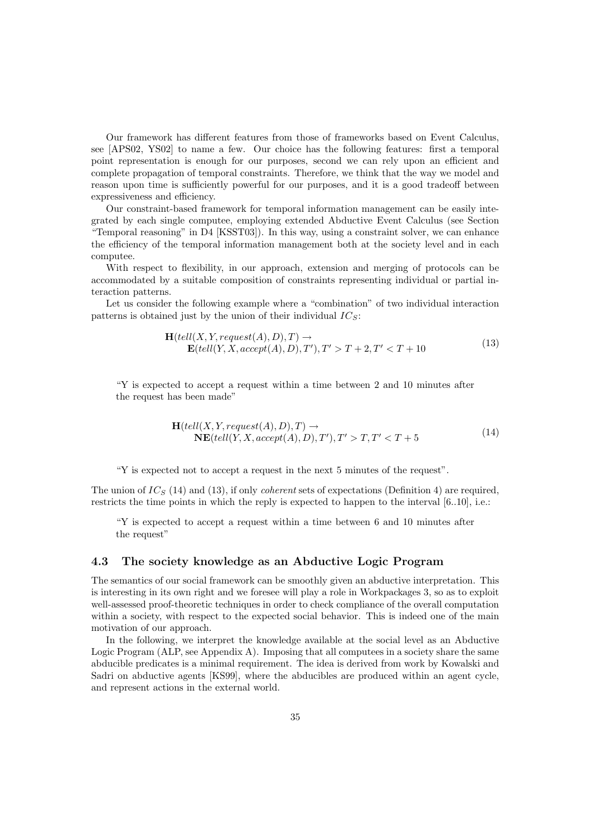Our framework has different features from those of frameworks based on Event Calculus, see [APS02, YS02] to name a few. Our choice has the following features: first a temporal point representation is enough for our purposes, second we can rely upon an efficient and complete propagation of temporal constraints. Therefore, we think that the way we model and reason upon time is sufficiently powerful for our purposes, and it is a good tradeoff between expressiveness and efficiency.

Our constraint-based framework for temporal information management can be easily integrated by each single computee, employing extended Abductive Event Calculus (see Section "Temporal reasoning" in D4 [KSST03]). In this way, using a constraint solver, we can enhance the efficiency of the temporal information management both at the society level and in each computee.

With respect to flexibility, in our approach, extension and merging of protocols can be accommodated by a suitable composition of constraints representing individual or partial interaction patterns.

Let us consider the following example where a "combination" of two individual interaction patterns is obtained just by the union of their individual  $IC_S$ :

$$
\mathbf{H}(tell(X, Y, request(A), D), T) \rightarrow \mathbf{E}(tell(Y, X, accept(A), D), T'), T' > T + 2, T' < T + 10
$$
\n
$$
(13)
$$

"Y is expected to accept a request within a time between 2 and 10 minutes after the request has been made"

$$
\mathbf{H}(tell(X, Y, request(A), D), T) \rightarrow \mathbf{NE}(tell(Y, X, accept(A), D), T'), T' > T, T' < T + 5
$$
\n
$$
(14)
$$

"Y is expected not to accept a request in the next 5 minutes of the request".

The union of  $IC_S$  (14) and (13), if only *coherent* sets of expectations (Definition 4) are required, restricts the time points in which the reply is expected to happen to the interval [6..10], i.e.:

"Y is expected to accept a request within a time between 6 and 10 minutes after the request"

# 4.3 The society knowledge as an Abductive Logic Program

The semantics of our social framework can be smoothly given an abductive interpretation. This is interesting in its own right and we foresee will play a role in Workpackages 3, so as to exploit well-assessed proof-theoretic techniques in order to check compliance of the overall computation within a society, with respect to the expected social behavior. This is indeed one of the main motivation of our approach.

In the following, we interpret the knowledge available at the social level as an Abductive Logic Program (ALP, see Appendix A). Imposing that all computees in a society share the same abducible predicates is a minimal requirement. The idea is derived from work by Kowalski and Sadri on abductive agents [KS99], where the abducibles are produced within an agent cycle, and represent actions in the external world.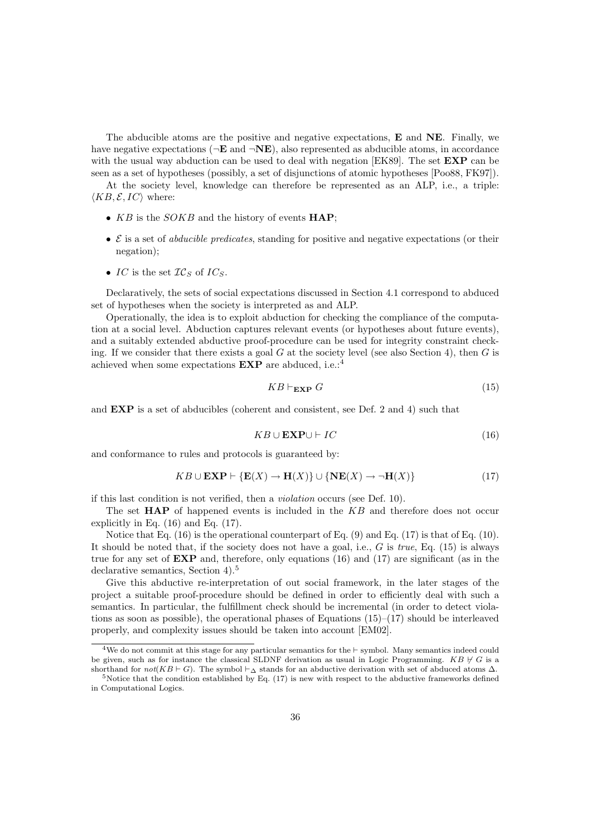The abducible atoms are the positive and negative expectations, E and NE. Finally, we have negative expectations ( $\neg \mathbf{E}$  and  $\neg \mathbf{NE}$ ), also represented as abducible atoms, in accordance with the usual way abduction can be used to deal with negation [EK89]. The set **EXP** can be seen as a set of hypotheses (possibly, a set of disjunctions of atomic hypotheses [Poo88, FK97]).

At the society level, knowledge can therefore be represented as an ALP, i.e., a triple:  $\langle KB, \mathcal{E}, IC \rangle$  where:

- $KB$  is the  $SOKB$  and the history of events  $HAP$ ;
- $\mathcal E$  is a set of *abducible predicates*, standing for positive and negative expectations (or their negation);
- IC is the set  $TC_S$  of  $IC_S$ .

Declaratively, the sets of social expectations discussed in Section 4.1 correspond to abduced set of hypotheses when the society is interpreted as and ALP.

Operationally, the idea is to exploit abduction for checking the compliance of the computation at a social level. Abduction captures relevant events (or hypotheses about future events), and a suitably extended abductive proof-procedure can be used for integrity constraint checking. If we consider that there exists a goal  $G$  at the society level (see also Section 4), then  $G$  is achieved when some expectations  $\mathbf{EXP}$  are abduced, i.e.:<sup>4</sup>

$$
KB \vdash_{\mathbf{EXP}} G \tag{15}
$$

and EXP is a set of abducibles (coherent and consistent, see Def. 2 and 4) such that

$$
KB \cup \mathbf{EXP} \cup \vdash IC \tag{16}
$$

and conformance to rules and protocols is guaranteed by:

$$
KB \cup \mathbf{EXP} \vdash \{\mathbf{E}(X) \to \mathbf{H}(X)\} \cup \{\mathbf{NE}(X) \to \neg \mathbf{H}(X)\}\tag{17}
$$

if this last condition is not verified, then a violation occurs (see Def. 10).

The set  $HAP$  of happened events is included in the  $KB$  and therefore does not occur explicitly in Eq. (16) and Eq. (17).

Notice that Eq.  $(16)$  is the operational counterpart of Eq.  $(9)$  and Eq.  $(17)$  is that of Eq.  $(10)$ . It should be noted that, if the society does not have a goal, i.e.,  $G$  is true, Eq. (15) is always true for any set of  $EXP$  and, therefore, only equations (16) and (17) are significant (as in the declarative semantics, Section 4).<sup>5</sup>

Give this abductive re-interpretation of out social framework, in the later stages of the project a suitable proof-procedure should be defined in order to efficiently deal with such a semantics. In particular, the fulfillment check should be incremental (in order to detect violations as soon as possible), the operational phases of Equations  $(15)-(17)$  should be interleaved properly, and complexity issues should be taken into account [EM02].

<sup>&</sup>lt;sup>4</sup>We do not commit at this stage for any particular semantics for the  $\vdash$  symbol. Many semantics indeed could be given, such as for instance the classical SLDNF derivation as usual in Logic Programming.  $KB \nvdash G$  is a shorthand for  $not(KB \vdash G)$ . The symbol  $\vdash_{\Delta}$  stands for an abductive derivation with set of abduced atoms  $\Delta$ .

 $5$ Notice that the condition established by Eq.  $(17)$  is new with respect to the abductive frameworks defined in Computational Logics.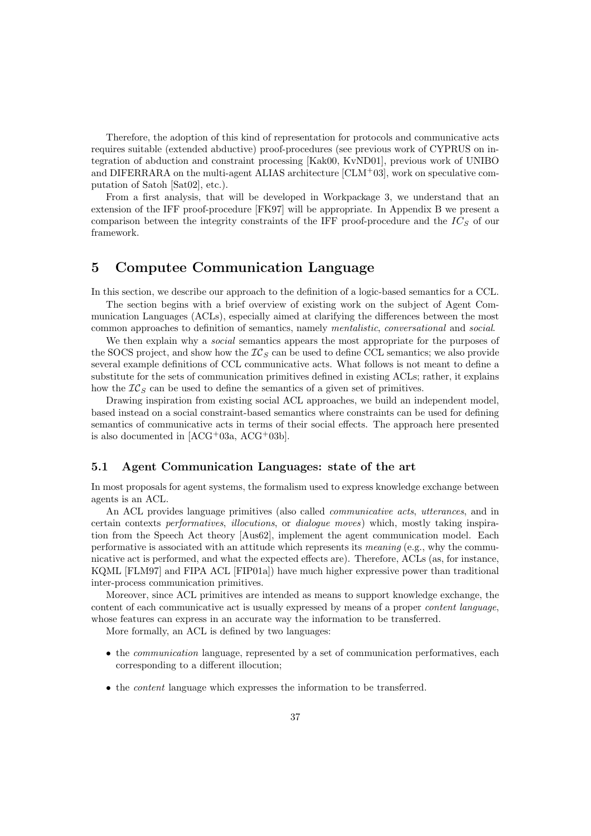Therefore, the adoption of this kind of representation for protocols and communicative acts requires suitable (extended abductive) proof-procedures (see previous work of CYPRUS on integration of abduction and constraint processing [Kak00, KvND01], previous work of UNIBO and DIFERRARA on the multi-agent ALIAS architecture  $[CLM+03]$ , work on speculative computation of Satoh [Sat02], etc.).

From a first analysis, that will be developed in Workpackage 3, we understand that an extension of the IFF proof-procedure [FK97] will be appropriate. In Appendix B we present a comparison between the integrity constraints of the IFF proof-procedure and the  $IC<sub>S</sub>$  of our framework.

# 5 Computee Communication Language

In this section, we describe our approach to the definition of a logic-based semantics for a CCL.

The section begins with a brief overview of existing work on the subject of Agent Communication Languages (ACLs), especially aimed at clarifying the differences between the most common approaches to definition of semantics, namely mentalistic, conversational and social.

We then explain why a *social* semantics appears the most appropriate for the purposes of the SOCS project, and show how the  $IC_S$  can be used to define CCL semantics; we also provide several example definitions of CCL communicative acts. What follows is not meant to define a substitute for the sets of communication primitives defined in existing ACLs; rather, it explains how the  $IC<sub>S</sub>$  can be used to define the semantics of a given set of primitives.

Drawing inspiration from existing social ACL approaches, we build an independent model, based instead on a social constraint-based semantics where constraints can be used for defining semantics of communicative acts in terms of their social effects. The approach here presented is also documented in  $[ACG^+03a, ACG^+03b].$ 

### 5.1 Agent Communication Languages: state of the art

In most proposals for agent systems, the formalism used to express knowledge exchange between agents is an ACL.

An ACL provides language primitives (also called communicative acts, utterances, and in certain contexts performatives, illocutions, or dialogue moves) which, mostly taking inspiration from the Speech Act theory [Aus62], implement the agent communication model. Each performative is associated with an attitude which represents its *meaning* (e.g., why the communicative act is performed, and what the expected effects are). Therefore, ACLs (as, for instance, KQML [FLM97] and FIPA ACL [FIP01a]) have much higher expressive power than traditional inter-process communication primitives.

Moreover, since ACL primitives are intended as means to support knowledge exchange, the content of each communicative act is usually expressed by means of a proper content language, whose features can express in an accurate way the information to be transferred.

More formally, an ACL is defined by two languages:

- the *communication* language, represented by a set of communication performatives, each corresponding to a different illocution;
- the content language which expresses the information to be transferred.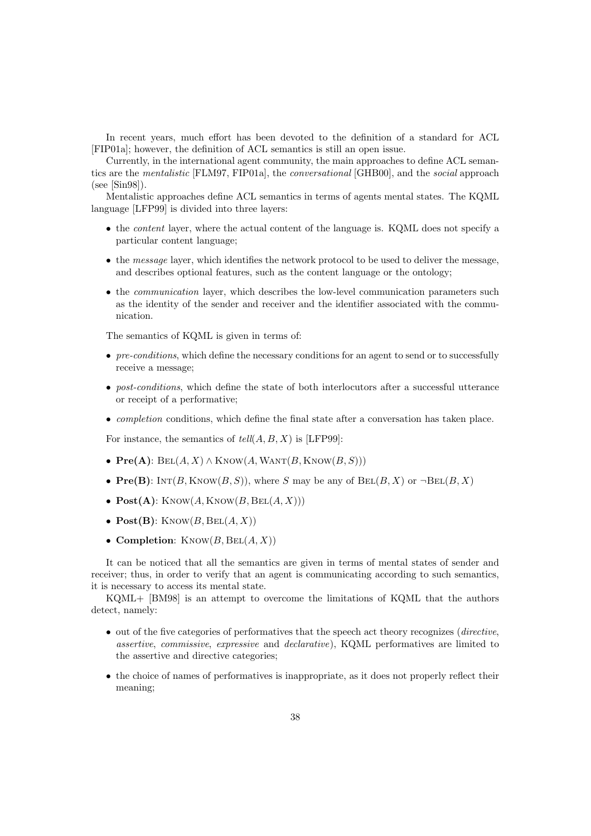In recent years, much effort has been devoted to the definition of a standard for ACL [FIP01a]; however, the definition of ACL semantics is still an open issue.

Currently, in the international agent community, the main approaches to define ACL semantics are the mentalistic [FLM97, FIP01a], the conversational [GHB00], and the social approach (see [Sin98]).

Mentalistic approaches define ACL semantics in terms of agents mental states. The KQML language [LFP99] is divided into three layers:

- the content layer, where the actual content of the language is. KQML does not specify a particular content language;
- the message layer, which identifies the network protocol to be used to deliver the message, and describes optional features, such as the content language or the ontology;
- the *communication* layer, which describes the low-level communication parameters such as the identity of the sender and receiver and the identifier associated with the communication.

The semantics of KQML is given in terms of:

- pre-conditions, which define the necessary conditions for an agent to send or to successfully receive a message;
- *post-conditions*, which define the state of both interlocutors after a successful utterance or receipt of a performative;
- completion conditions, which define the final state after a conversation has taken place.

For instance, the semantics of  $tell(A, B, X)$  is [LFP99]:

- $Pre(A):$   $BEL(A, X) \wedge$  KNOW $(A,$  WANT $(B,$  KNOW $(B, S)))$
- Pre(B):  $\text{INT}(B, \text{Know}(B, S))$ , where S may be any of  $\text{BEL}(B, X)$  or  $\neg \text{BEL}(B, X)$
- $Post(A):$  KNOW $(A,$  KNOW $(B, BEL(A, X)))$
- $Post(B)$ : KNOW $(B, BEL(A, X))$
- Completion:  $KNOW(B, BEL(A, X))$

It can be noticed that all the semantics are given in terms of mental states of sender and receiver; thus, in order to verify that an agent is communicating according to such semantics, it is necessary to access its mental state.

KQML+ [BM98] is an attempt to overcome the limitations of KQML that the authors detect, namely:

- out of the five categories of performatives that the speech act theory recognizes (*directive*, assertive, commissive, expressive and declarative), KQML performatives are limited to the assertive and directive categories;
- the choice of names of performatives is inappropriate, as it does not properly reflect their meaning;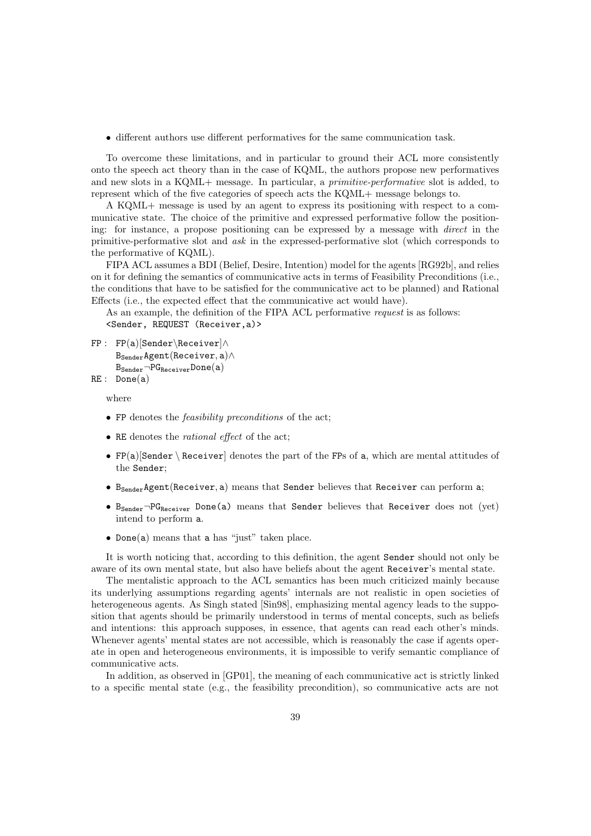• different authors use different performatives for the same communication task.

To overcome these limitations, and in particular to ground their ACL more consistently onto the speech act theory than in the case of KQML, the authors propose new performatives and new slots in a KQML+ message. In particular, a *primitive-performative* slot is added, to represent which of the five categories of speech acts the KQML+ message belongs to.

A KQML+ message is used by an agent to express its positioning with respect to a communicative state. The choice of the primitive and expressed performative follow the positioning: for instance, a propose positioning can be expressed by a message with direct in the primitive-performative slot and ask in the expressed-performative slot (which corresponds to the performative of KQML).

FIPA ACL assumes a BDI (Belief, Desire, Intention) model for the agents [RG92b], and relies on it for defining the semantics of communicative acts in terms of Feasibility Preconditions (i.e., the conditions that have to be satisfied for the communicative act to be planned) and Rational Effects (i.e., the expected effect that the communicative act would have).

As an example, the definition of the FIPA ACL performative *request* is as follows: <Sender, REQUEST (Receiver,a)>

```
FP : FP(a)[Sender\Receiver]∧
       BSenderAgent(Receiver, a)∧
       B_{\text{Sender}} \neg PG_{\text{Receiver}} \text{Done(a)}
```

```
RE : Done(a)
```
where

- FP denotes the *feasibility preconditions* of the act;
- RE denotes the *rational effect* of the act;
- $FP(a)[Sender \text{Receiver}]$  denotes the part of the FPs of a, which are mental attitudes of the Sender;
- B<sub>Sender</sub>Agent(Receiver, a) means that Sender believes that Receiver can perform a;
- B<sub>Sender</sub>-PG<sub>Receiver</sub> Done(a) means that Sender believes that Receiver does not (yet) intend to perform a.
- Done(a) means that a has "just" taken place.

It is worth noticing that, according to this definition, the agent Sender should not only be aware of its own mental state, but also have beliefs about the agent Receiver's mental state.

The mentalistic approach to the ACL semantics has been much criticized mainly because its underlying assumptions regarding agents' internals are not realistic in open societies of heterogeneous agents. As Singh stated [Sin98], emphasizing mental agency leads to the supposition that agents should be primarily understood in terms of mental concepts, such as beliefs and intentions: this approach supposes, in essence, that agents can read each other's minds. Whenever agents' mental states are not accessible, which is reasonably the case if agents operate in open and heterogeneous environments, it is impossible to verify semantic compliance of communicative acts.

In addition, as observed in [GP01], the meaning of each communicative act is strictly linked to a specific mental state (e.g., the feasibility precondition), so communicative acts are not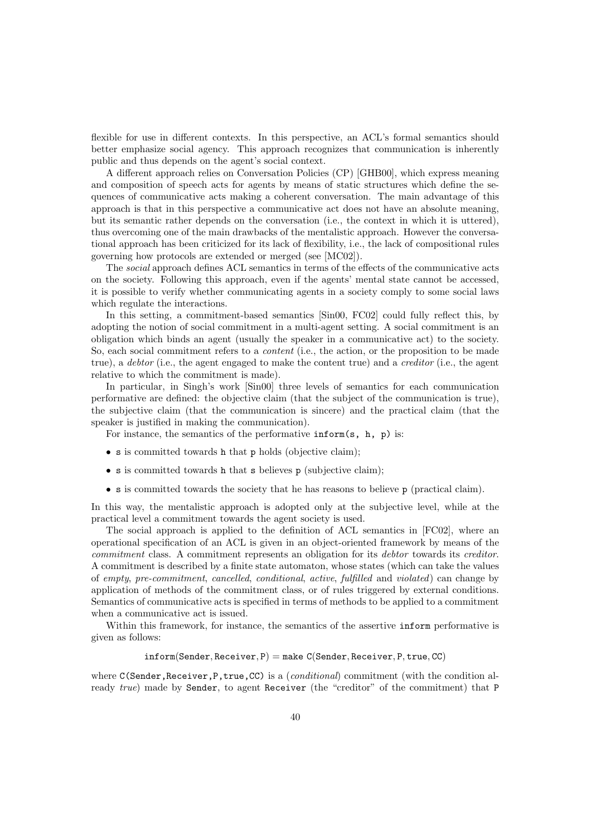flexible for use in different contexts. In this perspective, an ACL's formal semantics should better emphasize social agency. This approach recognizes that communication is inherently public and thus depends on the agent's social context.

A different approach relies on Conversation Policies (CP) [GHB00], which express meaning and composition of speech acts for agents by means of static structures which define the sequences of communicative acts making a coherent conversation. The main advantage of this approach is that in this perspective a communicative act does not have an absolute meaning, but its semantic rather depends on the conversation (i.e., the context in which it is uttered), thus overcoming one of the main drawbacks of the mentalistic approach. However the conversational approach has been criticized for its lack of flexibility, i.e., the lack of compositional rules governing how protocols are extended or merged (see [MC02]).

The social approach defines ACL semantics in terms of the effects of the communicative acts on the society. Following this approach, even if the agents' mental state cannot be accessed, it is possible to verify whether communicating agents in a society comply to some social laws which regulate the interactions.

In this setting, a commitment-based semantics [Sin00, FC02] could fully reflect this, by adopting the notion of social commitment in a multi-agent setting. A social commitment is an obligation which binds an agent (usually the speaker in a communicative act) to the society. So, each social commitment refers to a *content* (i.e., the action, or the proposition to be made true), a debtor (i.e., the agent engaged to make the content true) and a creditor (i.e., the agent relative to which the commitment is made).

In particular, in Singh's work [Sin00] three levels of semantics for each communication performative are defined: the objective claim (that the subject of the communication is true), the subjective claim (that the communication is sincere) and the practical claim (that the speaker is justified in making the communication).

For instance, the semantics of the performative  $\inf \text{orm}(s, h, p)$  is:

- s is committed towards h that p holds (objective claim);
- s is committed towards **h** that s believes **p** (subjective claim);
- s is committed towards the society that he has reasons to believe p (practical claim).

In this way, the mentalistic approach is adopted only at the subjective level, while at the practical level a commitment towards the agent society is used.

The social approach is applied to the definition of ACL semantics in [FC02], where an operational specification of an ACL is given in an object-oriented framework by means of the commitment class. A commitment represents an obligation for its debtor towards its creditor. A commitment is described by a finite state automaton, whose states (which can take the values of empty, pre-commitment, cancelled, conditional, active, fulfilled and violated) can change by application of methods of the commitment class, or of rules triggered by external conditions. Semantics of communicative acts is specified in terms of methods to be applied to a commitment when a communicative act is issued.

Within this framework, for instance, the semantics of the assertive inform performative is given as follows:

### $inform(Sender, Receiver, P) = make C(Sender, Receiver, P, true, CC)$

where  $C(Sender, Receiver, P, true, CC)$  is a (*conditional*) commitment (with the condition already true) made by Sender, to agent Receiver (the "creditor" of the commitment) that P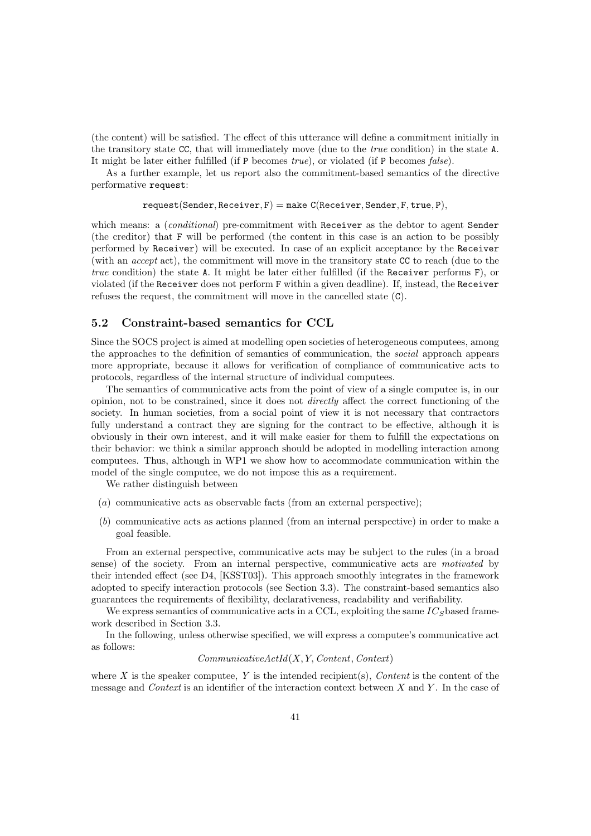(the content) will be satisfied. The effect of this utterance will define a commitment initially in the transitory state CC, that will immediately move (due to the true condition) in the state A. It might be later either fulfilled (if P becomes true), or violated (if P becomes false).

As a further example, let us report also the commitment-based semantics of the directive performative request:

$$
\mathtt{request}(\mathtt{Sender}, \mathtt{Receiver}, F) = \mathtt{make} \ \mathtt{C}(\mathtt{Receiver}, \mathtt{Sender}, F, \mathtt{true}, F),
$$

which means: a *(conditional)* pre-commitment with Receiver as the debtor to agent Sender (the creditor) that F will be performed (the content in this case is an action to be possibly performed by Receiver) will be executed. In case of an explicit acceptance by the Receiver (with an accept act), the commitment will move in the transitory state CC to reach (due to the true condition) the state A. It might be later either fulfilled (if the Receiver performs F), or violated (if the Receiver does not perform F within a given deadline). If, instead, the Receiver refuses the request, the commitment will move in the cancelled state (C).

# 5.2 Constraint-based semantics for CCL

Since the SOCS project is aimed at modelling open societies of heterogeneous computees, among the approaches to the definition of semantics of communication, the social approach appears more appropriate, because it allows for verification of compliance of communicative acts to protocols, regardless of the internal structure of individual computees.

The semantics of communicative acts from the point of view of a single computee is, in our opinion, not to be constrained, since it does not directly affect the correct functioning of the society. In human societies, from a social point of view it is not necessary that contractors fully understand a contract they are signing for the contract to be effective, although it is obviously in their own interest, and it will make easier for them to fulfill the expectations on their behavior: we think a similar approach should be adopted in modelling interaction among computees. Thus, although in WP1 we show how to accommodate communication within the model of the single computee, we do not impose this as a requirement.

We rather distinguish between

- (a) communicative acts as observable facts (from an external perspective);
- (b) communicative acts as actions planned (from an internal perspective) in order to make a goal feasible.

From an external perspective, communicative acts may be subject to the rules (in a broad sense) of the society. From an internal perspective, communicative acts are motivated by their intended effect (see D4, [KSST03]). This approach smoothly integrates in the framework adopted to specify interaction protocols (see Section 3.3). The constraint-based semantics also guarantees the requirements of flexibility, declarativeness, readability and verifiability.

We express semantics of communicative acts in a CCL, exploiting the same  $IC_S$  based framework described in Section 3.3.

In the following, unless otherwise specified, we will express a computee's communicative act as follows:

## CommunicativeActId(X, Y, Content, Context)

where X is the speaker computee, Y is the intended recipient(s), Content is the content of the message and *Context* is an identifier of the interaction context between  $X$  and  $Y$ . In the case of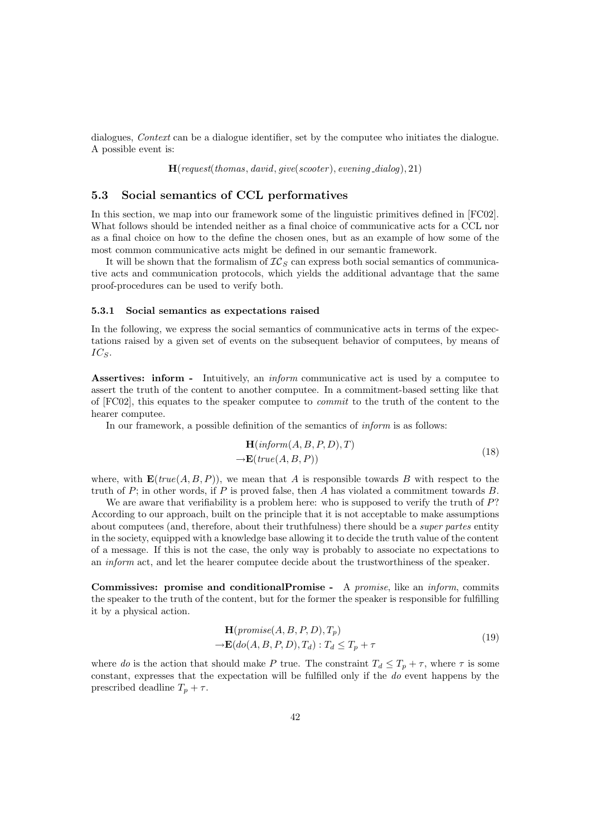dialogues, *Context* can be a dialogue identifier, set by the computee who initiates the dialogue. A possible event is:

 $H(request(thomas, david, give(scooter), evening\_dialog), 21)$ 

# 5.3 Social semantics of CCL performatives

In this section, we map into our framework some of the linguistic primitives defined in [FC02]. What follows should be intended neither as a final choice of communicative acts for a CCL nor as a final choice on how to the define the chosen ones, but as an example of how some of the most common communicative acts might be defined in our semantic framework.

It will be shown that the formalism of  $IC_S$  can express both social semantics of communicative acts and communication protocols, which yields the additional advantage that the same proof-procedures can be used to verify both.

#### 5.3.1 Social semantics as expectations raised

In the following, we express the social semantics of communicative acts in terms of the expectations raised by a given set of events on the subsequent behavior of computees, by means of  $IC_S$ .

Assertives: inform - Intuitively, an *inform* communicative act is used by a computee to assert the truth of the content to another computee. In a commitment-based setting like that of [FC02], this equates to the speaker computee to commit to the truth of the content to the hearer computee.

In our framework, a possible definition of the semantics of inform is as follows:

$$
\mathbf{H}(inform(A, B, P, D), T)
$$
  
\n
$$
\rightarrow \mathbf{E}(true(A, B, P))
$$
\n(18)

where, with  $\mathbf{E}(true(A, B, P))$ , we mean that A is responsible towards B with respect to the truth of  $P$ ; in other words, if  $P$  is proved false, then  $A$  has violated a commitment towards  $B$ .

We are aware that verifiability is a problem here: who is supposed to verify the truth of  $P$ ? According to our approach, built on the principle that it is not acceptable to make assumptions about computees (and, therefore, about their truthfulness) there should be a *super partes* entity in the society, equipped with a knowledge base allowing it to decide the truth value of the content of a message. If this is not the case, the only way is probably to associate no expectations to an inform act, and let the hearer computee decide about the trustworthiness of the speaker.

Commissives: promise and conditionalPromise - A promise, like an inform, commits the speaker to the truth of the content, but for the former the speaker is responsible for fulfilling it by a physical action.

$$
\mathbf{H}(promise(A, B, P, D), T_p)
$$
  
\n
$$
\rightarrow \mathbf{E}(do(A, B, P, D), T_d) : T_d \le T_p + \tau
$$
\n(19)

where do is the action that should make P true. The constraint  $T_d \leq T_p + \tau$ , where  $\tau$  is some constant, expresses that the expectation will be fulfilled only if the do event happens by the prescribed deadline  $T_p + \tau$ .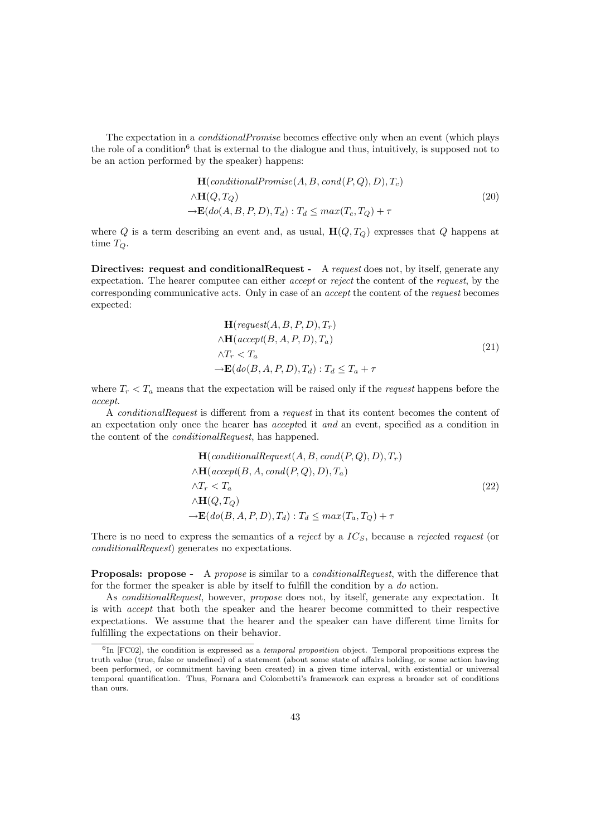The expectation in a *conditionalPromise* becomes effective only when an event (which plays the role of a condition<sup>6</sup> that is external to the dialogue and thus, intuitively, is supposed not to be an action performed by the speaker) happens:

$$
\mathbf{H}(conditional Promise(A, B, cond(P, Q), D), T_c)
$$
  

$$
\wedge \mathbf{H}(Q, T_Q)
$$
  

$$
\rightarrow \mathbf{E}(do(A, B, P, D), T_d) : T_d \le max(T_c, T_Q) + \tau
$$
 (20)

where Q is a term describing an event and, as usual,  $H(Q, T_Q)$  expresses that Q happens at time  $T_Q$ .

Directives: request and conditionalRequest - A request does not, by itself, generate any expectation. The hearer computee can either *accept* or *reject* the content of the *request*, by the corresponding communicative acts. Only in case of an accept the content of the request becomes expected:

$$
\mathbf{H}(request(A, B, P, D), T_r)
$$
  
\n
$$
\wedge \mathbf{H}(accept(B, A, P, D), T_a)
$$
  
\n
$$
\wedge T_r < T_a
$$
  
\n
$$
\rightarrow \mathbf{E}(do(B, A, P, D), T_a) : T_d \le T_a + \tau
$$
\n(21)

where  $T_r < T_a$  means that the expectation will be raised only if the *request* happens before the accept.

A conditionalRequest is different from a request in that its content becomes the content of an expectation only once the hearer has accepted it and an event, specified as a condition in the content of the conditionalRequest, has happened.

$$
\mathbf{H}(conditionalRequest(A, B, cond(P, Q), D), T_r)
$$
  
\n
$$
\land \mathbf{H}(accept(B, A, cond(P, Q), D), T_a)
$$
  
\n
$$
\land T_r < T_a
$$
\n
$$
\land \mathbf{H}(Q, T_Q)
$$
\n
$$
\rightarrow \mathbf{E}(do(B, A, P, D), T_d) : T_d \leq max(T_a, T_Q) + \tau
$$
\n(22)

There is no need to express the semantics of a reject by a  $IC<sub>S</sub>$ , because a rejected request (or conditionalRequest) generates no expectations.

**Proposals: propose -** A propose is similar to a *conditionalRequest*, with the difference that for the former the speaker is able by itself to fulfill the condition by a do action.

As *conditionalRequest*, however, *propose* does not, by itself, generate any expectation. It is with accept that both the speaker and the hearer become committed to their respective expectations. We assume that the hearer and the speaker can have different time limits for fulfilling the expectations on their behavior.

 ${}^{6}$ In [FC02], the condition is expressed as a *temporal proposition* object. Temporal propositions express the truth value (true, false or undefined) of a statement (about some state of affairs holding, or some action having been performed, or commitment having been created) in a given time interval, with existential or universal temporal quantification. Thus, Fornara and Colombetti's framework can express a broader set of conditions than ours.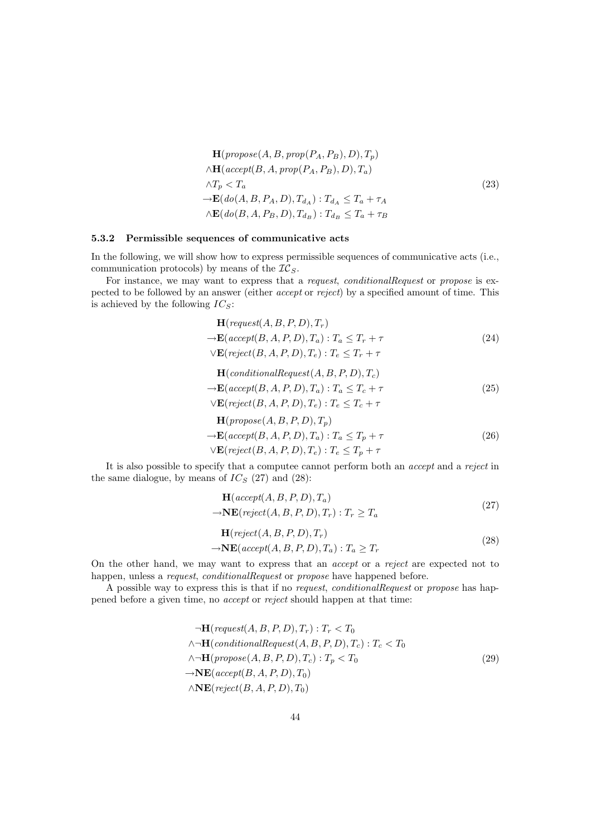$$
\mathbf{H}(propose(A, B, prop(P_A, P_B), D), T_p)
$$
\n
$$
\wedge \mathbf{H}(accept(B, A, prop(P_A, P_B), D), T_a)
$$
\n
$$
\wedge T_p < T_a
$$
\n
$$
\rightarrow \mathbf{E}(do(A, B, P_A, D), T_{d_A}) : T_{d_A} \le T_a + \tau_A
$$
\n
$$
\wedge \mathbf{E}(do(B, A, P_B, D), T_{d_B}) : T_{d_B} \le T_a + \tau_B
$$
\n(23)

#### 5.3.2 Permissible sequences of communicative acts

In the following, we will show how to express permissible sequences of communicative acts (i.e., communication protocols) by means of the  $TC<sub>S</sub>$ .

For instance, we may want to express that a *request, conditionalRequest* or *propose* is expected to be followed by an answer (either accept or reject) by a specified amount of time. This is achieved by the following  $IC_S$ :

$$
\mathbf{H}(request(A, B, P, D), T_r)
$$
  
\n
$$
\rightarrow \mathbf{E}(accept(B, A, P, D), T_a): T_a \le T_r + \tau
$$
  
\n
$$
\lor \mathbf{E}(reject(B, A, P, D), T_e): T_e \le T_r + \tau
$$
\n(24)

$$
\mathbf{H}(conditionalRequest(A, B, P, D), T_c)
$$
  
\n
$$
\rightarrow \mathbf{E}(accept(B, A, P, D), T_a): T_a \le T_c + \tau
$$
  
\n
$$
\lor \mathbf{E}(reject(B, A, P, D), T_e): T_e \le T_c + \tau
$$
\n(25)

$$
\mathbf{H}(propose(A, B, P, D), T_p)
$$
  
\n
$$
\rightarrow \mathbf{E}(accept(B, A, P, D), T_a): T_a \le T_p + \tau
$$
  
\n
$$
\lor \mathbf{E}(reject(B, A, P, D), T_e): T_e \le T_p + \tau
$$
\n(26)

It is also possible to specify that a computee cannot perform both an accept and a reject in the same dialogue, by means of  $IC_S$  (27) and (28):

$$
\mathbf{H}(accept(A, B, P, D), T_a) \rightarrow \mathbf{NE}(reject(A, B, P, D), T_r) : T_r \ge T_a \tag{27}
$$

$$
\mathbf{H}(reject(A, B, P, D), T_r) \rightarrow \mathbf{NE}(accept(A, B, P, D), T_a) : T_a \ge T_r
$$
\n(28)

On the other hand, we may want to express that an accept or a reject are expected not to happen, unless a *request, conditionalRequest* or *propose* have happened before.

A possible way to express this is that if no request, conditionalRequest or propose has happened before a given time, no accept or reject should happen at that time:

$$
\neg \mathbf{H}(\text{request}(A, B, P, D), T_r) : T_r < T_0
$$
\n
$$
\land \neg \mathbf{H}(\text{conditionalRequest}(A, B, P, D), T_c) : T_c < T_0
$$
\n
$$
\land \neg \mathbf{H}(\text{propose}(A, B, P, D), T_c) : T_p < T_0
$$
\n
$$
\rightarrow \mathbf{NE}(\text{accept}(B, A, P, D), T_0)
$$
\n
$$
\land \mathbf{NE}(\text{reject}(B, A, P, D), T_0)
$$
\n
$$
\land \mathbf{NE}(\text{reject}(B, A, P, D), T_0)
$$
\n
$$
(29)
$$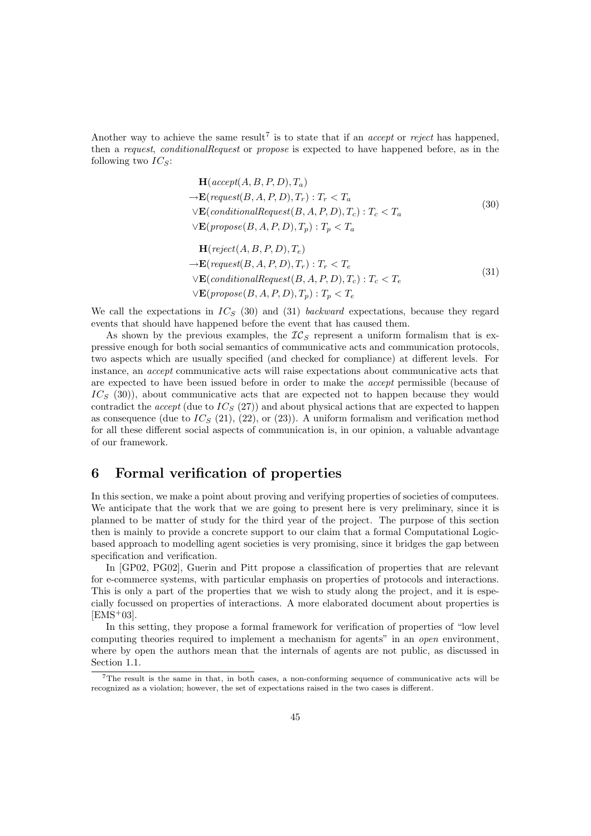Another way to achieve the same result<sup>7</sup> is to state that if an *accept* or *reject* has happened, then a request, conditionalRequest or propose is expected to have happened before, as in the following two  $IC_S$ :

$$
\mathbf{H}(accept(A, B, P, D), T_a)
$$
\n
$$
\rightarrow \mathbf{E}(request(B, A, P, D), T_r) : T_r < T_a
$$
\n
$$
\lor \mathbf{E}(conditionalRequest(B, A, P, D), T_c) : T_c < T_a
$$
\n
$$
\lor \mathbf{E}(propose(B, A, P, D), T_p) : T_p < T_a
$$
\n
$$
\mathbf{H}(t, t, (A, B, D, D), T_c) : T_p < T_a
$$
\n(30)

$$
\mathbf{H}(reject(A, B, P, D), T_e)
$$
  
\n
$$
\rightarrow \mathbf{E}(request(B, A, P, D), T_r) : T_r < T_e
$$
  
\n
$$
\lor \mathbf{E}(conditionalRequest(B, A, P, D), T_c) : T_c < T_e
$$
  
\n
$$
\lor \mathbf{E}(propose(B, A, P, D), T_p) : T_p < T_e
$$
\n(31)

We call the expectations in  $IC_S$  (30) and (31) backward expectations, because they regard events that should have happened before the event that has caused them.

As shown by the previous examples, the  $IC<sub>S</sub>$  represent a uniform formalism that is expressive enough for both social semantics of communicative acts and communication protocols, two aspects which are usually specified (and checked for compliance) at different levels. For instance, an accept communicative acts will raise expectations about communicative acts that are expected to have been issued before in order to make the accept permissible (because of  $IC<sub>S</sub>$  (30)), about communicative acts that are expected not to happen because they would contradict the *accept* (due to  $IC_S(27)$ ) and about physical actions that are expected to happen as consequence (due to  $IC_S$  (21), (22), or (23)). A uniform formalism and verification method for all these different social aspects of communication is, in our opinion, a valuable advantage of our framework.

# 6 Formal verification of properties

In this section, we make a point about proving and verifying properties of societies of computees. We anticipate that the work that we are going to present here is very preliminary, since it is planned to be matter of study for the third year of the project. The purpose of this section then is mainly to provide a concrete support to our claim that a formal Computational Logicbased approach to modelling agent societies is very promising, since it bridges the gap between specification and verification.

In [GP02, PG02], Guerin and Pitt propose a classification of properties that are relevant for e-commerce systems, with particular emphasis on properties of protocols and interactions. This is only a part of the properties that we wish to study along the project, and it is especially focussed on properties of interactions. A more elaborated document about properties is  $[EMS+03]$ .

In this setting, they propose a formal framework for verification of properties of "low level computing theories required to implement a mechanism for agents" in an open environment, where by open the authors mean that the internals of agents are not public, as discussed in Section 1.1.

<sup>7</sup>The result is the same in that, in both cases, a non-conforming sequence of communicative acts will be recognized as a violation; however, the set of expectations raised in the two cases is different.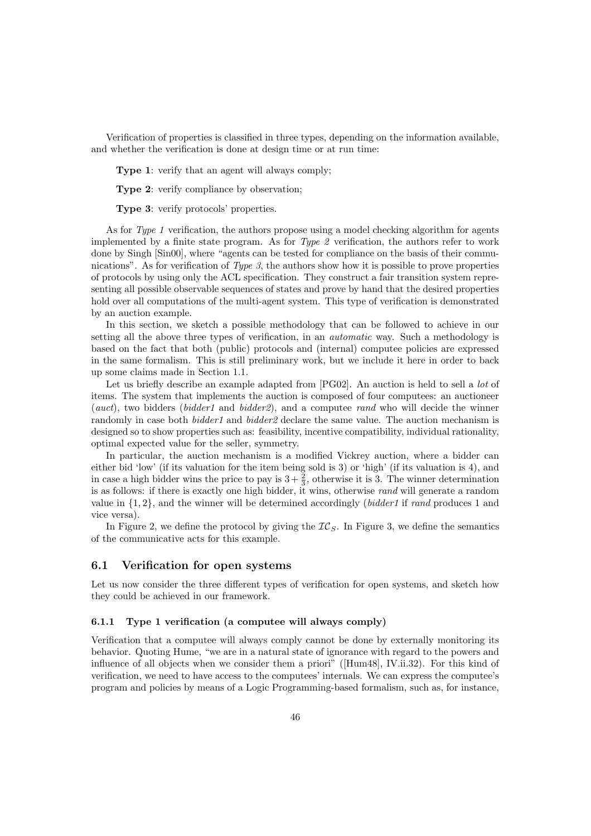Verification of properties is classified in three types, depending on the information available, and whether the verification is done at design time or at run time:

Type 1: verify that an agent will always comply;

Type 2: verify compliance by observation;

Type 3: verify protocols' properties.

As for Type 1 verification, the authors propose using a model checking algorithm for agents implemented by a finite state program. As for Type 2 verification, the authors refer to work done by Singh [Sin00], where "agents can be tested for compliance on the basis of their communications". As for verification of  $Type\,3$ , the authors show how it is possible to prove properties of protocols by using only the ACL specification. They construct a fair transition system representing all possible observable sequences of states and prove by hand that the desired properties hold over all computations of the multi-agent system. This type of verification is demonstrated by an auction example.

In this section, we sketch a possible methodology that can be followed to achieve in our setting all the above three types of verification, in an *automatic* way. Such a methodology is based on the fact that both (public) protocols and (internal) computee policies are expressed in the same formalism. This is still preliminary work, but we include it here in order to back up some claims made in Section 1.1.

Let us briefly describe an example adapted from [PG02]. An auction is held to sell a *lot* of items. The system that implements the auction is composed of four computees: an auctioneer (auct), two bidders (bidder1 and bidder2), and a computee rand who will decide the winner randomly in case both *bidder1* and *bidder2* declare the same value. The auction mechanism is designed so to show properties such as: feasibility, incentive compatibility, individual rationality, optimal expected value for the seller, symmetry.

In particular, the auction mechanism is a modified Vickrey auction, where a bidder can either bid 'low' (if its valuation for the item being sold is 3) or 'high' (if its valuation is 4), and in case a high bidder wins the price to pay is  $3+\frac{2}{3}$ , otherwise it is 3. The winner determination is as follows: if there is exactly one high bidder, it wins, otherwise rand will generate a random value in  $\{1, 2\}$ , and the winner will be determined accordingly *(bidder1* if rand produces 1 and vice versa).

In Figure 2, we define the protocol by giving the  $IC_S$ . In Figure 3, we define the semantics of the communicative acts for this example.

### 6.1 Verification for open systems

Let us now consider the three different types of verification for open systems, and sketch how they could be achieved in our framework.

#### 6.1.1 Type 1 verification (a computee will always comply)

Verification that a computee will always comply cannot be done by externally monitoring its behavior. Quoting Hume, "we are in a natural state of ignorance with regard to the powers and influence of all objects when we consider them a priori" ([Hum48], IV.ii.32). For this kind of verification, we need to have access to the computees' internals. We can express the computee's program and policies by means of a Logic Programming-based formalism, such as, for instance,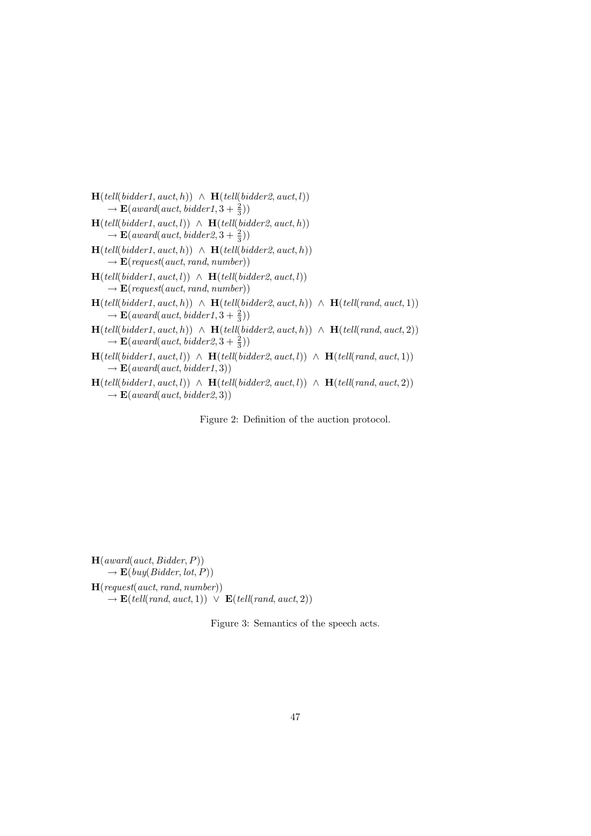$\mathbf{H}(\text{tell}(\text{bidder1}, \text{auct}, h)) \wedge \mathbf{H}(\text{tell}(\text{bidder2}, \text{auct}, l))$  $\rightarrow \mathbf{E}$ (award(auct, bidder1, 3 +  $\frac{2}{3}$ ))

- $H(tell(bidder1, auct, l)) \wedge H(tell(bidder2, auct, h))$  $\rightarrow \mathbf{E}$ (award(auct, bidder2,  $3+\frac{2}{3}$ ))
- $H(tell(bidder1, auct, h)) \wedge H(tell(bidder2, auct, h))$  $\rightarrow \mathbf{E}(\text{request}(auct, rand, number))$
- $H(tell(bidder1, auct, l)) \wedge H(tell(bidder2, auct, l))$  $\rightarrow \mathbf{E}(\text{request}(auct, rand, number))$
- $\mathbf{H}(\text{tell}(\text{bidder1}, \text{auct}, h)) \ \wedge \ \mathbf{H}(\text{tell}(\text{bidder2}, \text{auct}, h)) \ \wedge \ \mathbf{H}(\text{tell}(\text{rand}, \text{auct}, 1))$  $\rightarrow \mathbf{E}$ (award(auct, bidder1,  $3+\frac{2}{3}$ ))
- H(tell(bidder1, auct, h)) ∧ H(tell(bidder2, auct, h)) ∧ H(tell(rand, auct, 2))  $\rightarrow \mathbf{E}$ (award(auct, bidder2,  $3+\frac{2}{3}$ ))
- $H(tell(bidder1, auct, l)) \wedge H(tell(bidder2, auct, l)) \wedge H(tell(rand, auct, l))$  $\rightarrow \mathbf{E}$ (award(auct, bidder1, 3))
- $H(tell(bidder1, auct, l))$  ∧  $H(tell(bidder2, auct, l))$  ∧  $H(tell(rand, auct, 2))$  $\rightarrow$  **E**(award(auct, bidder2, 3))

Figure 2: Definition of the auction protocol.

 $H($ *award* $($ *auct, Bidder, P* $))$  $\rightarrow$  **E**(buy(Bidder, lot, P))  $H(request(auct, rand, number))$  $\rightarrow$  **E**(tell(rand, auct, 1))  $\lor$  **E**(tell(rand, auct, 2))

Figure 3: Semantics of the speech acts.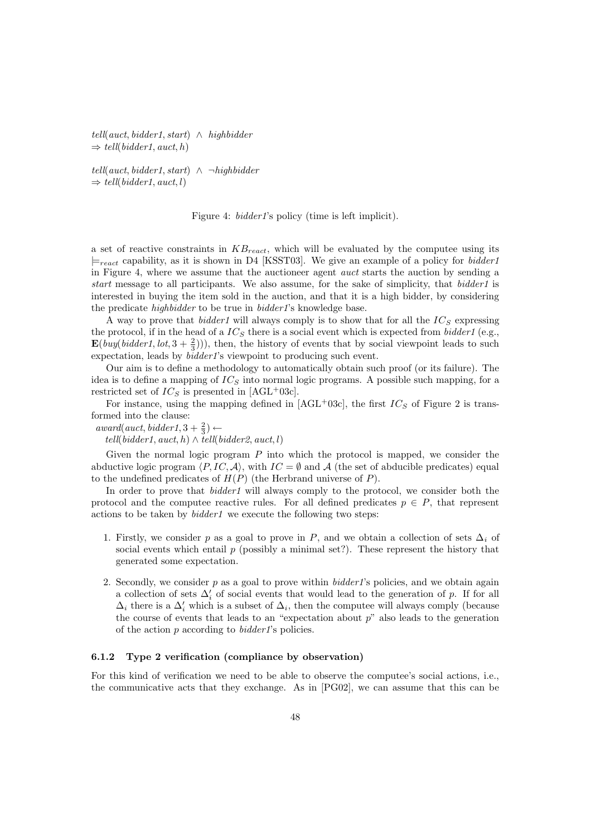tell(auct, bidder1, start) ∧ highbidder  $\Rightarrow$  tell(bidder1, auct, h)

tell(auct, bidder1, start)  $\land \neg highlight$  $\Rightarrow$  tell(bidder1, auct, l)

Figure 4: *bidder1*'s policy (time is left implicit).

a set of reactive constraints in  $KB_{react}$ , which will be evaluated by the computee using its  $\models_{react}$  capability, as it is shown in D4 [KSST03]. We give an example of a policy for *bidder1* in Figure 4, where we assume that the auctioneer agent auct starts the auction by sending a start message to all participants. We also assume, for the sake of simplicity, that bidder1 is interested in buying the item sold in the auction, and that it is a high bidder, by considering the predicate highbidder to be true in bidder1's knowledge base.

A way to prove that *bidder1* will always comply is to show that for all the  $IC_S$  expressing the protocol, if in the head of a  $IC_S$  there is a social event which is expected from *bidder1* (e.g.,  $\mathbf{E}(buy (bidder1, lot, 3 + \frac{2}{3}))),$  then, the history of events that by social viewpoint leads to such expectation, leads by bidder1's viewpoint to producing such event.

Our aim is to define a methodology to automatically obtain such proof (or its failure). The idea is to define a mapping of  $IC<sub>S</sub>$  into normal logic programs. A possible such mapping, for a restricted set of  $IC_S$  is presented in [AGL+03c].

For instance, using the mapping defined in [AGL+03c], the first  $IC_S$  of Figure 2 is transformed into the clause:

 $award(auct, bidder1, 3 + \frac{2}{3}) \leftarrow$ 

tell(bidder1, auct, h)  $\land$  tell(bidder2, auct, l)

Given the normal logic program  $P$  into which the protocol is mapped, we consider the abductive logic program  $\langle P, IC, A \rangle$ , with  $IC = \emptyset$  and A (the set of abducible predicates) equal to the undefined predicates of  $H(P)$  (the Herbrand universe of P).

In order to prove that *bidder1* will always comply to the protocol, we consider both the protocol and the computee reactive rules. For all defined predicates  $p \in P$ , that represent actions to be taken by bidder1 we execute the following two steps:

- 1. Firstly, we consider p as a goal to prove in P, and we obtain a collection of sets  $\Delta_i$  of social events which entail  $p$  (possibly a minimal set?). These represent the history that generated some expectation.
- 2. Secondly, we consider  $p$  as a goal to prove within *bidder1*'s policies, and we obtain again a collection of sets  $\Delta_i'$  of social events that would lead to the generation of p. If for all  $\Delta_i$  there is a  $\Delta'_i$  which is a subset of  $\Delta_i$ , then the computee will always comply (because the course of events that leads to an "expectation about p" also leads to the generation of the action  $p$  according to  $bidder1$ 's policies.

## 6.1.2 Type 2 verification (compliance by observation)

For this kind of verification we need to be able to observe the computee's social actions, i.e., the communicative acts that they exchange. As in [PG02], we can assume that this can be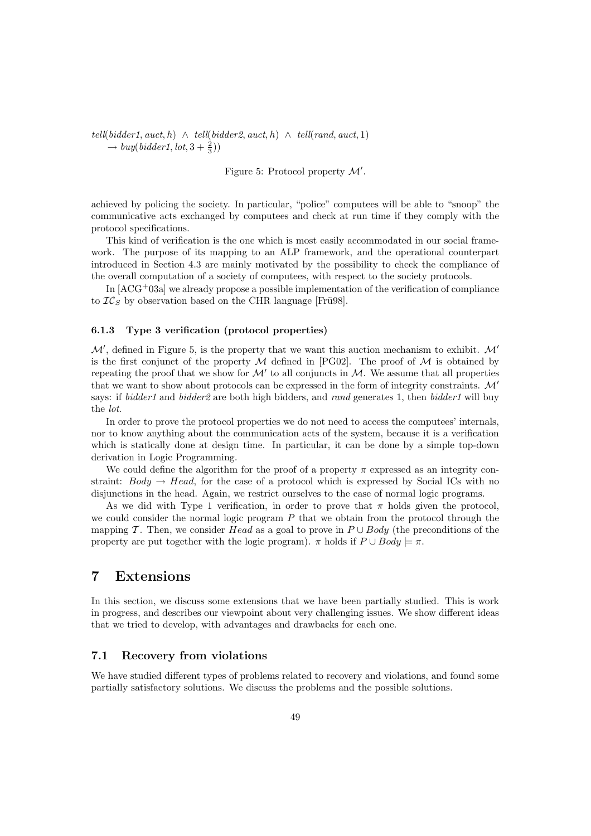$tell(bidder1, auct, h) \wedge tell(bidder2, auct, h) \wedge tell(rand, auct, 1)$  $\rightarrow buy(bidder1, lot, 3 + \frac{2}{3}))$ 

Figure 5: Protocol property  $\mathcal{M}'$ .

achieved by policing the society. In particular, "police" computees will be able to "snoop" the communicative acts exchanged by computees and check at run time if they comply with the protocol specifications.

This kind of verification is the one which is most easily accommodated in our social framework. The purpose of its mapping to an ALP framework, and the operational counterpart introduced in Section 4.3 are mainly motivated by the possibility to check the compliance of the overall computation of a society of computees, with respect to the society protocols.

In  $[ACG^+03a]$  we already propose a possible implementation of the verification of compliance to  $TC_s$  by observation based on the CHR language [Frü98].

# 6.1.3 Type 3 verification (protocol properties)

 $\mathcal{M}'$ , defined in Figure 5, is the property that we want this auction mechanism to exhibit.  $\mathcal{M}'$ is the first conjunct of the property M defined in [PG02]. The proof of M is obtained by repeating the proof that we show for  $\mathcal{M}'$  to all conjuncts in  $\mathcal{M}$ . We assume that all properties that we want to show about protocols can be expressed in the form of integrity constraints.  $\mathcal{M}'$ says: if *bidder1* and *bidder2* are both high bidders, and *rand* generates 1, then *bidder1* will buy the lot.

In order to prove the protocol properties we do not need to access the computees' internals, nor to know anything about the communication acts of the system, because it is a verification which is statically done at design time. In particular, it can be done by a simple top-down derivation in Logic Programming.

We could define the algorithm for the proof of a property  $\pi$  expressed as an integrity constraint:  $Body \rightarrow Head$ , for the case of a protocol which is expressed by Social ICs with no disjunctions in the head. Again, we restrict ourselves to the case of normal logic programs.

As we did with Type 1 verification, in order to prove that  $\pi$  holds given the protocol, we could consider the normal logic program  $P$  that we obtain from the protocol through the mapping T. Then, we consider Head as a goal to prove in  $P \cup Body$  (the preconditions of the property are put together with the logic program).  $\pi$  holds if  $P \cup Body \models \pi$ .

# 7 Extensions

In this section, we discuss some extensions that we have been partially studied. This is work in progress, and describes our viewpoint about very challenging issues. We show different ideas that we tried to develop, with advantages and drawbacks for each one.

# 7.1 Recovery from violations

We have studied different types of problems related to recovery and violations, and found some partially satisfactory solutions. We discuss the problems and the possible solutions.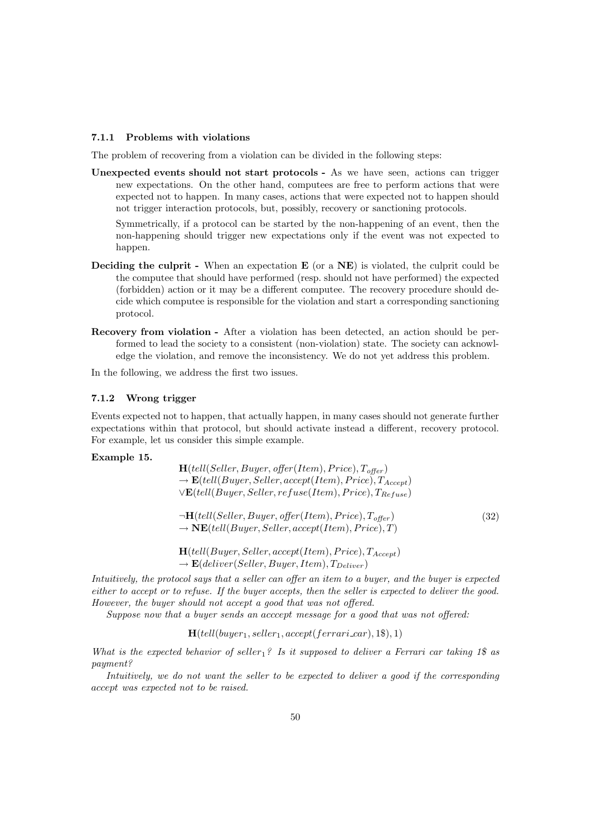### 7.1.1 Problems with violations

The problem of recovering from a violation can be divided in the following steps:

Unexpected events should not start protocols - As we have seen, actions can trigger new expectations. On the other hand, computees are free to perform actions that were expected not to happen. In many cases, actions that were expected not to happen should not trigger interaction protocols, but, possibly, recovery or sanctioning protocols.

Symmetrically, if a protocol can be started by the non-happening of an event, then the non-happening should trigger new expectations only if the event was not expected to happen.

- Deciding the culprit When an expectation E (or a NE) is violated, the culprit could be the computee that should have performed (resp. should not have performed) the expected (forbidden) action or it may be a different computee. The recovery procedure should decide which computee is responsible for the violation and start a corresponding sanctioning protocol.
- Recovery from violation After a violation has been detected, an action should be performed to lead the society to a consistent (non-violation) state. The society can acknowledge the violation, and remove the inconsistency. We do not yet address this problem.

In the following, we address the first two issues.

### 7.1.2 Wrong trigger

Events expected not to happen, that actually happen, in many cases should not generate further expectations within that protocol, but should activate instead a different, recovery protocol. For example, let us consider this simple example.

## Example 15.

 $H(tell(Seller, Buyer, offer(Item), Price), T<sub>offer</sub>)$  $\rightarrow$  **E**(tell(Buyer, Seller, accept(Item), Price),  $T_{Accent}$ )  $\vee$ **E**(tell(Buyer, Seller, refuse(Item), Price),  $T_{Refuse}$ )

$$
\neg \mathbf{H}(tell(Seller, Buyer, offer(Item), Price), T_{offer})
$$
\n
$$
\rightarrow \mathbf{NE}(tell(Buyer, Seller, accept(Item), Price), T)
$$
\n(32)

 $H(tell(Buyer, Seller, accept(Item), Price), T_{Accent})$  $\rightarrow$  **E**(deliver(Seller, Buyer, Item),  $T_{Deliver}$ )

Intuitively, the protocol says that a seller can offer an item to a buyer, and the buyer is expected either to accept or to refuse. If the buyer accepts, then the seller is expected to deliver the good. However, the buyer should not accept a good that was not offered.

Suppose now that a buyer sends an acccept message for a good that was not offered:

 $H(tell(buyer_1, seller_1, accept(ferrari\_car), 1\$ 

What is the expected behavior of seller<sub>1</sub>? Is it supposed to deliver a Ferrari car taking 1\$ as payment?

Intuitively, we do not want the seller to be expected to deliver a good if the corresponding accept was expected not to be raised.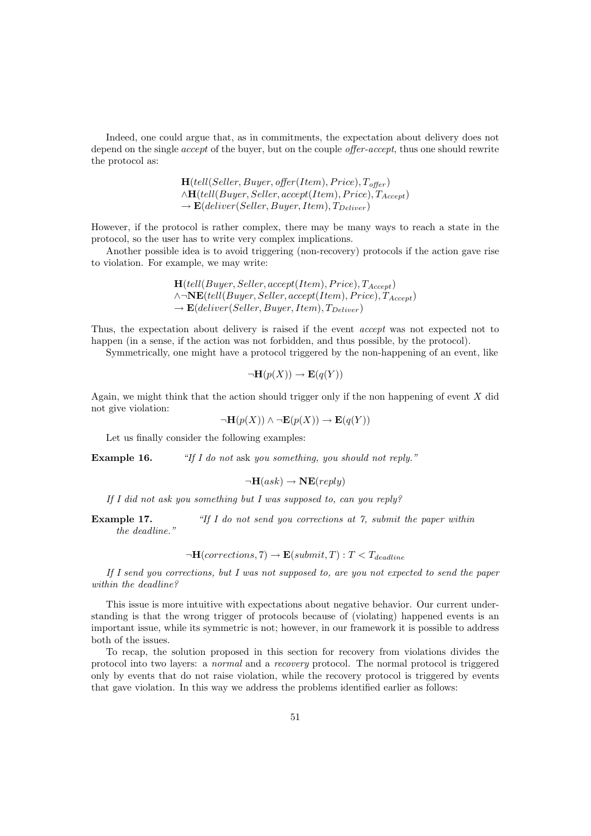Indeed, one could argue that, as in commitments, the expectation about delivery does not depend on the single *accept* of the buyer, but on the couple *offer-accept*, thus one should rewrite the protocol as:

> $H(tell(Seller, Buyer, offer(Item), Price), T<sub>offer</sub>)$  $\wedge$ **H**(tell(Buyer, Seller, accept(Item), Price),  $T_{Accept}$  $\rightarrow$  **E**(deliver(Seller, Buyer, Item),  $T_{Deliver}$ )

However, if the protocol is rather complex, there may be many ways to reach a state in the protocol, so the user has to write very complex implications.

Another possible idea is to avoid triggering (non-recovery) protocols if the action gave rise to violation. For example, we may write:

> $H(tell(Buyer, Seller, accept(Item), Price), T_{Accept})$  $\wedge \neg \mathbf{NE}(tell (Buyer, Seller, accept(Item), Price), T_{Accept})$  $\rightarrow$  **E**(deliver(Seller, Buyer, Item),  $T_{Deliver}$ )

Thus, the expectation about delivery is raised if the event accept was not expected not to happen (in a sense, if the action was not forbidden, and thus possible, by the protocol).

Symmetrically, one might have a protocol triggered by the non-happening of an event, like

$$
\neg \mathbf{H}(p(X)) \to \mathbf{E}(q(Y))
$$

Again, we might think that the action should trigger only if the non happening of event  $X$  did not give violation:

 $\neg\mathbf{H}(p(X)) \wedge \neg\mathbf{E}(p(X)) \rightarrow \mathbf{E}(q(Y))$ 

Let us finally consider the following examples:

Example 16. "If I do not ask you something, you should not reply."

$$
\neg \mathbf{H}(ask) \rightarrow \mathbf{NE}(reply)
$$

If I did not ask you something but I was supposed to, can you reply?

**Example 17.** "If I do not send you corrections at 7, submit the paper within the deadline."

 $\neg H(corrections, 7) \rightarrow E(submit, T) : T < T_{deadline}$ 

If I send you corrections, but I was not supposed to, are you not expected to send the paper within the deadline?

This issue is more intuitive with expectations about negative behavior. Our current understanding is that the wrong trigger of protocols because of (violating) happened events is an important issue, while its symmetric is not; however, in our framework it is possible to address both of the issues.

To recap, the solution proposed in this section for recovery from violations divides the protocol into two layers: a normal and a recovery protocol. The normal protocol is triggered only by events that do not raise violation, while the recovery protocol is triggered by events that gave violation. In this way we address the problems identified earlier as follows: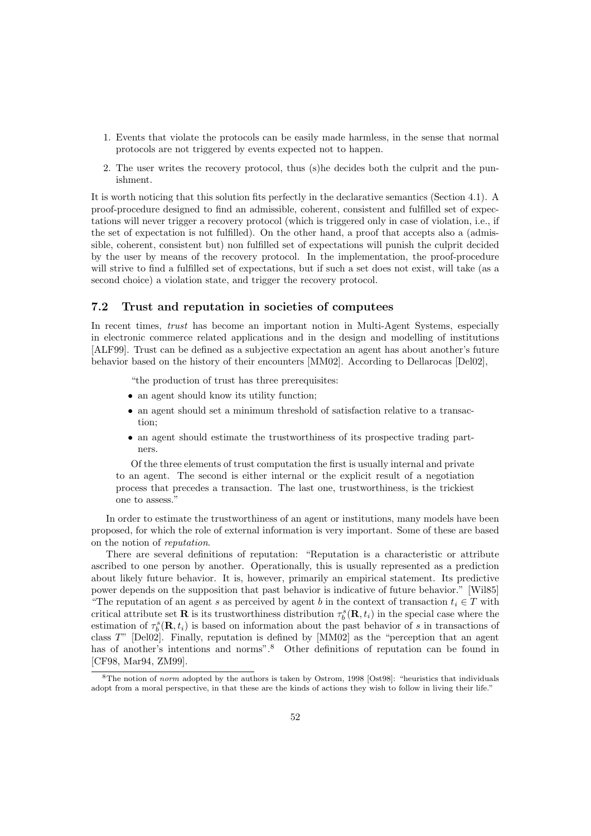- 1. Events that violate the protocols can be easily made harmless, in the sense that normal protocols are not triggered by events expected not to happen.
- 2. The user writes the recovery protocol, thus (s)he decides both the culprit and the punishment.

It is worth noticing that this solution fits perfectly in the declarative semantics (Section 4.1). A proof-procedure designed to find an admissible, coherent, consistent and fulfilled set of expectations will never trigger a recovery protocol (which is triggered only in case of violation, i.e., if the set of expectation is not fulfilled). On the other hand, a proof that accepts also a (admissible, coherent, consistent but) non fulfilled set of expectations will punish the culprit decided by the user by means of the recovery protocol. In the implementation, the proof-procedure will strive to find a fulfilled set of expectations, but if such a set does not exist, will take (as a second choice) a violation state, and trigger the recovery protocol.

# 7.2 Trust and reputation in societies of computees

In recent times, *trust* has become an important notion in Multi-Agent Systems, especially in electronic commerce related applications and in the design and modelling of institutions [ALF99]. Trust can be defined as a subjective expectation an agent has about another's future behavior based on the history of their encounters [MM02]. According to Dellarocas [Del02],

"the production of trust has three prerequisites:

- an agent should know its utility function;
- an agent should set a minimum threshold of satisfaction relative to a transaction;
- an agent should estimate the trustworthiness of its prospective trading partners.

Of the three elements of trust computation the first is usually internal and private to an agent. The second is either internal or the explicit result of a negotiation process that precedes a transaction. The last one, trustworthiness, is the trickiest one to assess."

In order to estimate the trustworthiness of an agent or institutions, many models have been proposed, for which the role of external information is very important. Some of these are based on the notion of reputation.

There are several definitions of reputation: "Reputation is a characteristic or attribute ascribed to one person by another. Operationally, this is usually represented as a prediction about likely future behavior. It is, however, primarily an empirical statement. Its predictive power depends on the supposition that past behavior is indicative of future behavior." [Wil85] "The reputation of an agent s as perceived by agent b in the context of transaction  $t_i \in T$  with critical attribute set **R** is its trustworthiness distribution  $\tau_b^s(\mathbf{R}, t_i)$  in the special case where the estimation of  $\tau_b^s(\mathbf{R},t_i)$  is based on information about the past behavior of s in transactions of class T" [Del02]. Finally, reputation is defined by [MM02] as the "perception that an agent has of another's intentions and norms".<sup>8</sup> Other definitions of reputation can be found in [CF98, Mar94, ZM99].

 $8$ The notion of *norm* adopted by the authors is taken by Ostrom, 1998 [Ost98]: "heuristics that individuals adopt from a moral perspective, in that these are the kinds of actions they wish to follow in living their life."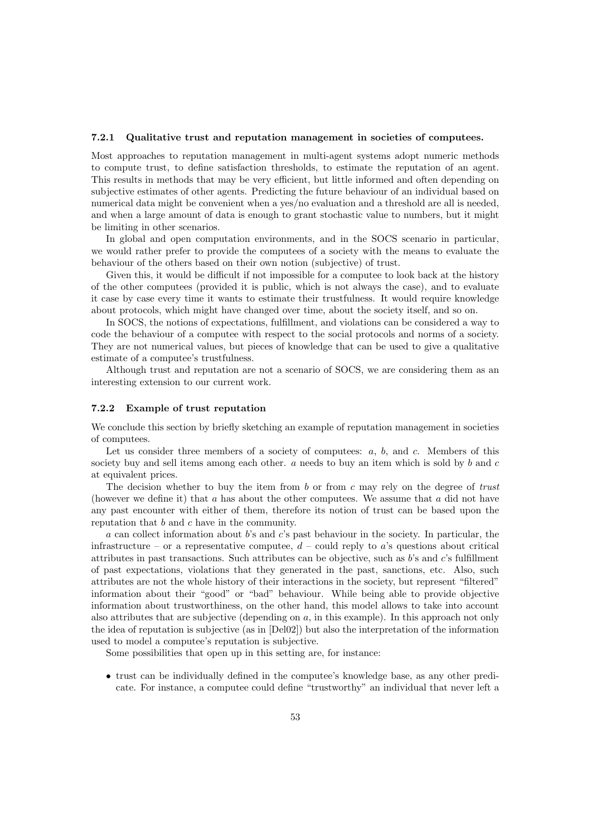#### 7.2.1 Qualitative trust and reputation management in societies of computees.

Most approaches to reputation management in multi-agent systems adopt numeric methods to compute trust, to define satisfaction thresholds, to estimate the reputation of an agent. This results in methods that may be very efficient, but little informed and often depending on subjective estimates of other agents. Predicting the future behaviour of an individual based on numerical data might be convenient when a yes/no evaluation and a threshold are all is needed. and when a large amount of data is enough to grant stochastic value to numbers, but it might be limiting in other scenarios.

In global and open computation environments, and in the SOCS scenario in particular, we would rather prefer to provide the computees of a society with the means to evaluate the behaviour of the others based on their own notion (subjective) of trust.

Given this, it would be difficult if not impossible for a computee to look back at the history of the other computees (provided it is public, which is not always the case), and to evaluate it case by case every time it wants to estimate their trustfulness. It would require knowledge about protocols, which might have changed over time, about the society itself, and so on.

In SOCS, the notions of expectations, fulfillment, and violations can be considered a way to code the behaviour of a computee with respect to the social protocols and norms of a society. They are not numerical values, but pieces of knowledge that can be used to give a qualitative estimate of a computee's trustfulness.

Although trust and reputation are not a scenario of SOCS, we are considering them as an interesting extension to our current work.

### 7.2.2 Example of trust reputation

We conclude this section by briefly sketching an example of reputation management in societies of computees.

Let us consider three members of a society of computees:  $a, b, \text{ and } c$ . Members of this society buy and sell items among each other.  $a$  needs to buy an item which is sold by  $b$  and  $c$ at equivalent prices.

The decision whether to buy the item from b or from c may rely on the degree of trust (however we define it) that a has about the other computees. We assume that a did not have any past encounter with either of them, therefore its notion of trust can be based upon the reputation that  $b$  and  $c$  have in the community.

a can collect information about  $b$ 's and  $c$ 's past behaviour in the society. In particular, the infrastructure – or a representative computee,  $d$  – could reply to a's questions about critical attributes in past transactions. Such attributes can be objective, such as b's and c's fulfillment of past expectations, violations that they generated in the past, sanctions, etc. Also, such attributes are not the whole history of their interactions in the society, but represent "filtered" information about their "good" or "bad" behaviour. While being able to provide objective information about trustworthiness, on the other hand, this model allows to take into account also attributes that are subjective (depending on a, in this example). In this approach not only the idea of reputation is subjective (as in [Del02]) but also the interpretation of the information used to model a computee's reputation is subjective.

Some possibilities that open up in this setting are, for instance:

• trust can be individually defined in the computee's knowledge base, as any other predicate. For instance, a computee could define "trustworthy" an individual that never left a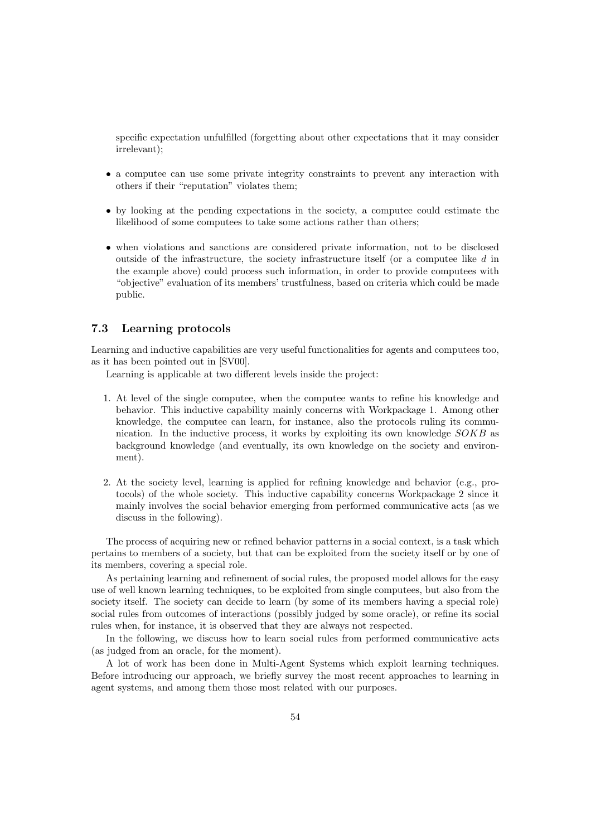specific expectation unfulfilled (forgetting about other expectations that it may consider irrelevant);

- a computee can use some private integrity constraints to prevent any interaction with others if their "reputation" violates them;
- by looking at the pending expectations in the society, a computee could estimate the likelihood of some computees to take some actions rather than others;
- when violations and sanctions are considered private information, not to be disclosed outside of the infrastructure, the society infrastructure itself (or a computee like d in the example above) could process such information, in order to provide computees with "objective" evaluation of its members' trustfulness, based on criteria which could be made public.

# 7.3 Learning protocols

Learning and inductive capabilities are very useful functionalities for agents and computees too, as it has been pointed out in [SV00].

Learning is applicable at two different levels inside the project:

- 1. At level of the single computee, when the computee wants to refine his knowledge and behavior. This inductive capability mainly concerns with Workpackage 1. Among other knowledge, the computee can learn, for instance, also the protocols ruling its communication. In the inductive process, it works by exploiting its own knowledge  $SOKB$  as background knowledge (and eventually, its own knowledge on the society and environment).
- 2. At the society level, learning is applied for refining knowledge and behavior (e.g., protocols) of the whole society. This inductive capability concerns Workpackage 2 since it mainly involves the social behavior emerging from performed communicative acts (as we discuss in the following).

The process of acquiring new or refined behavior patterns in a social context, is a task which pertains to members of a society, but that can be exploited from the society itself or by one of its members, covering a special role.

As pertaining learning and refinement of social rules, the proposed model allows for the easy use of well known learning techniques, to be exploited from single computees, but also from the society itself. The society can decide to learn (by some of its members having a special role) social rules from outcomes of interactions (possibly judged by some oracle), or refine its social rules when, for instance, it is observed that they are always not respected.

In the following, we discuss how to learn social rules from performed communicative acts (as judged from an oracle, for the moment).

A lot of work has been done in Multi-Agent Systems which exploit learning techniques. Before introducing our approach, we briefly survey the most recent approaches to learning in agent systems, and among them those most related with our purposes.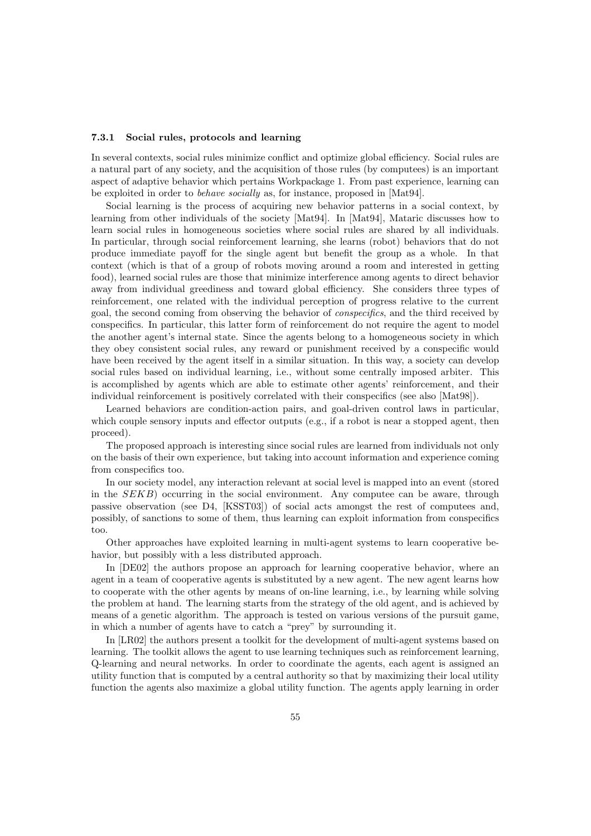### 7.3.1 Social rules, protocols and learning

In several contexts, social rules minimize conflict and optimize global efficiency. Social rules are a natural part of any society, and the acquisition of those rules (by computees) is an important aspect of adaptive behavior which pertains Workpackage 1. From past experience, learning can be exploited in order to behave socially as, for instance, proposed in [Mat94].

Social learning is the process of acquiring new behavior patterns in a social context, by learning from other individuals of the society [Mat94]. In [Mat94], Mataric discusses how to learn social rules in homogeneous societies where social rules are shared by all individuals. In particular, through social reinforcement learning, she learns (robot) behaviors that do not produce immediate payoff for the single agent but benefit the group as a whole. In that context (which is that of a group of robots moving around a room and interested in getting food), learned social rules are those that minimize interference among agents to direct behavior away from individual greediness and toward global efficiency. She considers three types of reinforcement, one related with the individual perception of progress relative to the current goal, the second coming from observing the behavior of conspecifics, and the third received by conspecifics. In particular, this latter form of reinforcement do not require the agent to model the another agent's internal state. Since the agents belong to a homogeneous society in which they obey consistent social rules, any reward or punishment received by a conspecific would have been received by the agent itself in a similar situation. In this way, a society can develop social rules based on individual learning, i.e., without some centrally imposed arbiter. This is accomplished by agents which are able to estimate other agents' reinforcement, and their individual reinforcement is positively correlated with their conspecifics (see also [Mat98]).

Learned behaviors are condition-action pairs, and goal-driven control laws in particular, which couple sensory inputs and effector outputs (e.g., if a robot is near a stopped agent, then proceed).

The proposed approach is interesting since social rules are learned from individuals not only on the basis of their own experience, but taking into account information and experience coming from conspecifics too.

In our society model, any interaction relevant at social level is mapped into an event (stored in the SEKB) occurring in the social environment. Any computee can be aware, through passive observation (see D4, [KSST03]) of social acts amongst the rest of computees and, possibly, of sanctions to some of them, thus learning can exploit information from conspecifics too.

Other approaches have exploited learning in multi-agent systems to learn cooperative behavior, but possibly with a less distributed approach.

In [DE02] the authors propose an approach for learning cooperative behavior, where an agent in a team of cooperative agents is substituted by a new agent. The new agent learns how to cooperate with the other agents by means of on-line learning, i.e., by learning while solving the problem at hand. The learning starts from the strategy of the old agent, and is achieved by means of a genetic algorithm. The approach is tested on various versions of the pursuit game, in which a number of agents have to catch a "prey" by surrounding it.

In [LR02] the authors present a toolkit for the development of multi-agent systems based on learning. The toolkit allows the agent to use learning techniques such as reinforcement learning, Q-learning and neural networks. In order to coordinate the agents, each agent is assigned an utility function that is computed by a central authority so that by maximizing their local utility function the agents also maximize a global utility function. The agents apply learning in order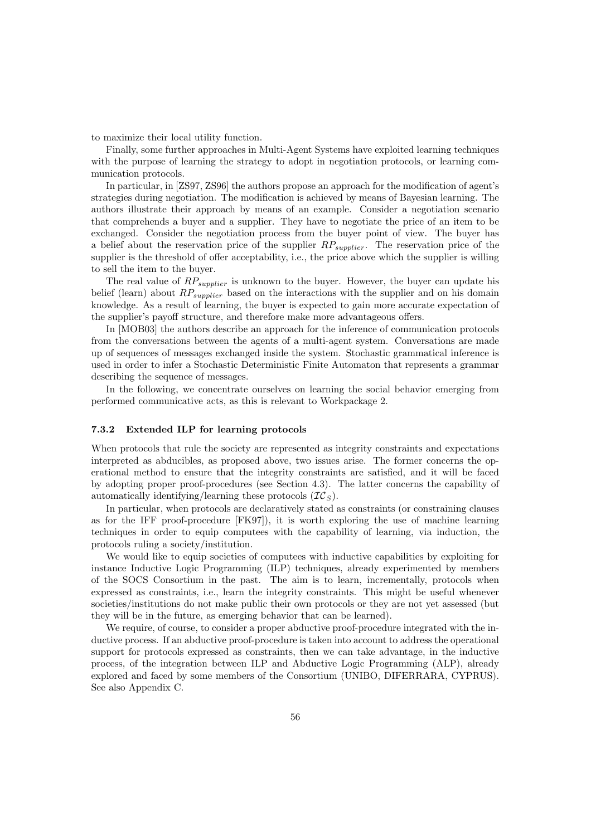to maximize their local utility function.

Finally, some further approaches in Multi-Agent Systems have exploited learning techniques with the purpose of learning the strategy to adopt in negotiation protocols, or learning communication protocols.

In particular, in [ZS97, ZS96] the authors propose an approach for the modification of agent's strategies during negotiation. The modification is achieved by means of Bayesian learning. The authors illustrate their approach by means of an example. Consider a negotiation scenario that comprehends a buyer and a supplier. They have to negotiate the price of an item to be exchanged. Consider the negotiation process from the buyer point of view. The buyer has a belief about the reservation price of the supplier  $RP_{supplier}$ . The reservation price of the supplier is the threshold of offer acceptability, i.e., the price above which the supplier is willing to sell the item to the buyer.

The real value of  $RP_{supplier}$  is unknown to the buyer. However, the buyer can update his belief (learn) about  $RP_{supplier}$  based on the interactions with the supplier and on his domain knowledge. As a result of learning, the buyer is expected to gain more accurate expectation of the supplier's payoff structure, and therefore make more advantageous offers.

In [MOB03] the authors describe an approach for the inference of communication protocols from the conversations between the agents of a multi-agent system. Conversations are made up of sequences of messages exchanged inside the system. Stochastic grammatical inference is used in order to infer a Stochastic Deterministic Finite Automaton that represents a grammar describing the sequence of messages.

In the following, we concentrate ourselves on learning the social behavior emerging from performed communicative acts, as this is relevant to Workpackage 2.

#### 7.3.2 Extended ILP for learning protocols

When protocols that rule the society are represented as integrity constraints and expectations interpreted as abducibles, as proposed above, two issues arise. The former concerns the operational method to ensure that the integrity constraints are satisfied, and it will be faced by adopting proper proof-procedures (see Section 4.3). The latter concerns the capability of automatically identifying/learning these protocols  $(\mathcal{IC}_S)$ .

In particular, when protocols are declaratively stated as constraints (or constraining clauses as for the IFF proof-procedure [FK97]), it is worth exploring the use of machine learning techniques in order to equip computees with the capability of learning, via induction, the protocols ruling a society/institution.

We would like to equip societies of computees with inductive capabilities by exploiting for instance Inductive Logic Programming (ILP) techniques, already experimented by members of the SOCS Consortium in the past. The aim is to learn, incrementally, protocols when expressed as constraints, i.e., learn the integrity constraints. This might be useful whenever societies/institutions do not make public their own protocols or they are not yet assessed (but they will be in the future, as emerging behavior that can be learned).

We require, of course, to consider a proper abductive proof-procedure integrated with the inductive process. If an abductive proof-procedure is taken into account to address the operational support for protocols expressed as constraints, then we can take advantage, in the inductive process, of the integration between ILP and Abductive Logic Programming (ALP), already explored and faced by some members of the Consortium (UNIBO, DIFERRARA, CYPRUS). See also Appendix C.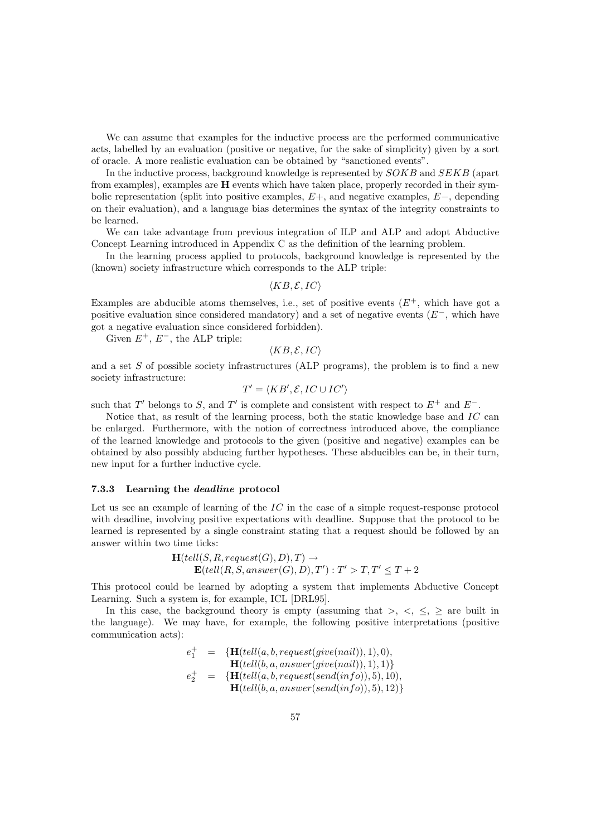We can assume that examples for the inductive process are the performed communicative acts, labelled by an evaluation (positive or negative, for the sake of simplicity) given by a sort of oracle. A more realistic evaluation can be obtained by "sanctioned events".

In the inductive process, background knowledge is represented by SOKB and SEKB (apart from examples), examples are H events which have taken place, properly recorded in their symbolic representation (split into positive examples, E+, and negative examples, E−, depending on their evaluation), and a language bias determines the syntax of the integrity constraints to be learned.

We can take advantage from previous integration of ILP and ALP and adopt Abductive Concept Learning introduced in Appendix C as the definition of the learning problem.

In the learning process applied to protocols, background knowledge is represented by the (known) society infrastructure which corresponds to the ALP triple:

 $\langle KB, \mathcal{E}, IC \rangle$ 

Examples are abducible atoms themselves, i.e., set of positive events  $(E^+, \text{ which have got a})$ positive evaluation since considered mandatory) and a set of negative events  $(E^{-}, \text{ which have})$ got a negative evaluation since considered forbidden).

Given  $E^+$ ,  $E^-$ , the ALP triple:

 $\langle KB, \mathcal{E}, IC \rangle$ 

and a set  $S$  of possible society infrastructures (ALP programs), the problem is to find a new society infrastructure:

$$
T' = \langle KB', \mathcal{E}, IC \cup IC' \rangle
$$

such that T' belongs to S, and T' is complete and consistent with respect to  $E^+$  and  $E^-$ .

Notice that, as result of the learning process, both the static knowledge base and  $IC$  can be enlarged. Furthermore, with the notion of correctness introduced above, the compliance of the learned knowledge and protocols to the given (positive and negative) examples can be obtained by also possibly abducing further hypotheses. These abducibles can be, in their turn, new input for a further inductive cycle.

#### 7.3.3 Learning the deadline protocol

Let us see an example of learning of the  $IC$  in the case of a simple request-response protocol with deadline, involving positive expectations with deadline. Suppose that the protocol to be learned is represented by a single constraint stating that a request should be followed by an answer within two time ticks:

$$
\mathbf{H}(tell(S, R, request(G), D), T) \rightarrow \mathbf{E}(tell(R, S, answer(G), D), T') : T' > T, T' \le T + 2
$$

This protocol could be learned by adopting a system that implements Abductive Concept Learning. Such a system is, for example, ICL [DRL95].

In this case, the background theory is empty (assuming that  $>,\lt,,\leq,\geq$  are built in the language). We may have, for example, the following positive interpretations (positive communication acts):

$$
\begin{array}{ccl} e_1^+ & = & \{ \mathbf{H}(tell(a,b, request(give(nail)),1),0), \\ & \mathbf{H}(tell(b,a, answer(give(nail)),1),1) \} \\ e_2^+ & = & \{ \mathbf{H}(tell(a,b, request(send(info)),5),10), \\ & \mathbf{H}(tell(b,a, answer(send(info)),5),12) \} \end{array}
$$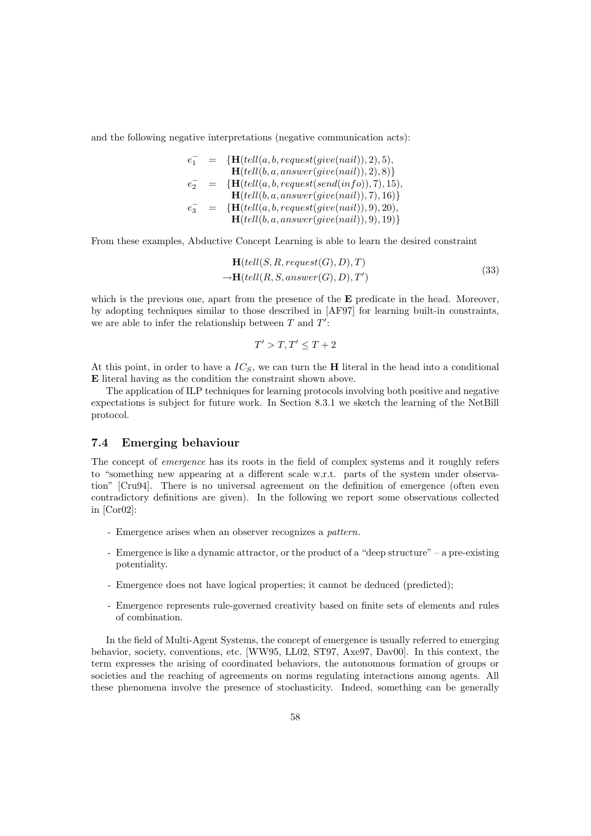and the following negative interpretations (negative communication acts):

$$
e_1^- = \{ \mathbf{H}(tell(a, b, request(give(nail)), 2), 5), \\ \mathbf{H}(tell(b, a, answer(give(nail)), 2), 8) \}
$$
\n
$$
e_2^- = \{ \mathbf{H}(tell(a, b, request(send(info)), 7), 15), \\ \mathbf{H}(tell(b, a, answer(give(nail)), 7), 16) \}
$$
\n
$$
e_3^- = \{ \mathbf{H}(tell(a, b, request(give(nail)), 9), 20), \\ \mathbf{H}(tell(b, a, answer(give(nail)), 9), 19) \}
$$

From these examples, Abductive Concept Learning is able to learn the desired constraint

$$
\mathbf{H}(tell(S, R, request(G), D), T)
$$
  
\n
$$
\rightarrow \mathbf{H}(tell(R, S, answer(G), D), T')
$$
\n(33)

which is the previous one, apart from the presence of the **E** predicate in the head. Moreover, by adopting techniques similar to those described in [AF97] for learning built-in constraints, we are able to infer the relationship between  $T$  and  $T'$ :

$$
T' > T, T' \le T + 2
$$

At this point, in order to have a  $IC_S$ , we can turn the **H** literal in the head into a conditional E literal having as the condition the constraint shown above.

The application of ILP techniques for learning protocols involving both positive and negative expectations is subject for future work. In Section 8.3.1 we sketch the learning of the NetBill protocol.

## 7.4 Emerging behaviour

The concept of emergence has its roots in the field of complex systems and it roughly refers to "something new appearing at a different scale w.r.t. parts of the system under observation" [Cru94]. There is no universal agreement on the definition of emergence (often even contradictory definitions are given). In the following we report some observations collected in [Cor02]:

- Emergence arises when an observer recognizes a pattern.
- Emergence is like a dynamic attractor, or the product of a "deep structure" a pre-existing potentiality.
- Emergence does not have logical properties; it cannot be deduced (predicted);
- Emergence represents rule-governed creativity based on finite sets of elements and rules of combination.

In the field of Multi-Agent Systems, the concept of emergence is usually referred to emerging behavior, society, conventions, etc. [WW95, LL02, ST97, Axe97, Dav00]. In this context, the term expresses the arising of coordinated behaviors, the autonomous formation of groups or societies and the reaching of agreements on norms regulating interactions among agents. All these phenomena involve the presence of stochasticity. Indeed, something can be generally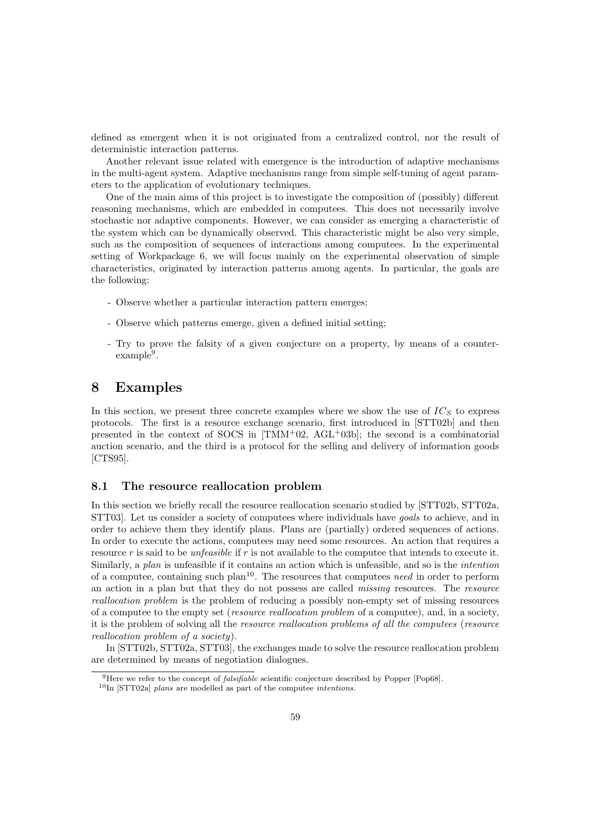defined as emergent when it is not originated from a centralized control, nor the result of deterministic interaction patterns.

Another relevant issue related with emergence is the introduction of adaptive mechanisms in the multi-agent system. Adaptive mechanisms range from simple self-tuning of agent parameters to the application of evolutionary techniques.

One of the main aims of this project is to investigate the composition of (possibly) different reasoning mechanisms, which are embedded in computees. This does not necessarily involve stochastic nor adaptive components. However, we can consider as emerging a characteristic of the system which can be dynamically observed. This characteristic might be also very simple, such as the composition of sequences of interactions among computees. In the experimental setting of Workpackage 6, we will focus mainly on the experimental observation of simple characteristics, originated by interaction patterns among agents. In particular, the goals are the following:

- Observe whether a particular interaction pattern emerges;
- Observe which patterns emerge, given a defined initial setting;
- Try to prove the falsity of a given conjecture on a property, by means of a counterexample<sup>9</sup>.

# 8 Examples

In this section, we present three concrete examples where we show the use of  $IC<sub>S</sub>$  to express protocols. The first is a resource exchange scenario, first introduced in [STT02b] and then presented in the context of SOCS in  $[TMM+02, AGL+03b]$ ; the second is a combinatorial auction scenario, and the third is a protocol for the selling and delivery of information goods [CTS95].

# 8.1 The resource reallocation problem

In this section we briefly recall the resource reallocation scenario studied by [STT02b, STT02a, STT03]. Let us consider a society of computees where individuals have goals to achieve, and in order to achieve them they identify plans. Plans are (partially) ordered sequences of actions. In order to execute the actions, computees may need some resources. An action that requires a resource r is said to be *unfeasible* if r is not available to the computee that intends to execute it. Similarly, a plan is unfeasible if it contains an action which is unfeasible, and so is the intention of a computee, containing such plan<sup>10</sup>. The resources that computees need in order to perform an action in a plan but that they do not possess are called missing resources. The resource reallocation problem is the problem of reducing a possibly non-empty set of missing resources of a computee to the empty set (resource reallocation problem of a computee), and, in a society, it is the problem of solving all the *resource reallocation problems of all the computees* (*resource* reallocation problem of a society).

In [STT02b, STT02a, STT03], the exchanges made to solve the resource reallocation problem are determined by means of negotiation dialogues.

<sup>&</sup>lt;sup>9</sup>Here we refer to the concept of *falsifiable* scientific conjecture described by Popper [Pop68].

 $10$ In [STT02a] plans are modelled as part of the computee intentions.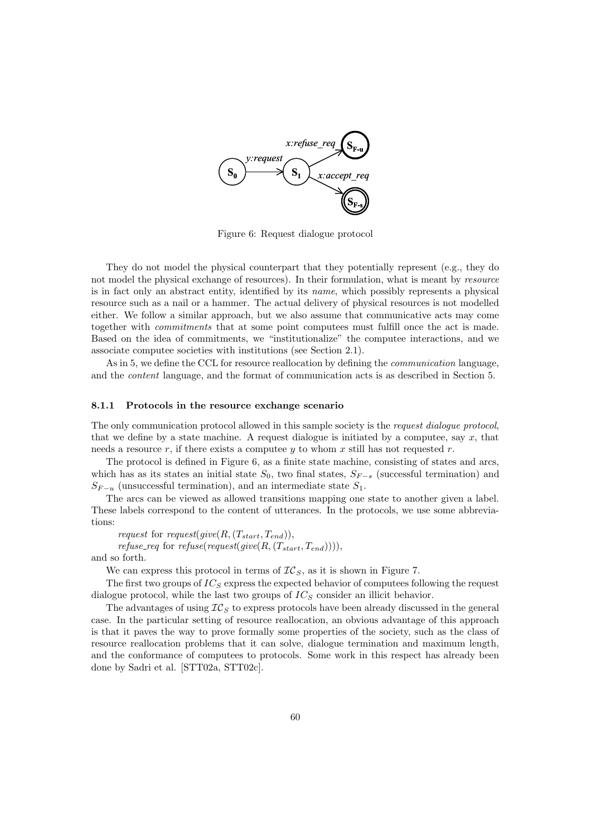

Figure 6: Request dialogue protocol

They do not model the physical counterpart that they potentially represent (e.g., they do not model the physical exchange of resources). In their formulation, what is meant by *resource* is in fact only an abstract entity, identified by its name, which possibly represents a physical resource such as a nail or a hammer. The actual delivery of physical resources is not modelled either. We follow a similar approach, but we also assume that communicative acts may come together with commitments that at some point computees must fulfill once the act is made. Based on the idea of commitments, we "institutionalize" the computee interactions, and we associate computee societies with institutions (see Section 2.1).

As in 5, we define the CCL for resource reallocation by defining the *communication* language, and the content language, and the format of communication acts is as described in Section 5.

### 8.1.1 Protocols in the resource exchange scenario

The only communication protocol allowed in this sample society is the request dialogue protocol, that we define by a state machine. A request dialogue is initiated by a computee, say  $x$ , that needs a resource  $r$ , if there exists a computee  $y$  to whom  $x$  still has not requested  $r$ .

The protocol is defined in Figure 6, as a finite state machine, consisting of states and arcs, which has as its states an initial state  $S_0$ , two final states,  $S_{F-s}$  (successful termination) and  $S_{F-u}$  (unsuccessful termination), and an intermediate state  $S_1$ .

The arcs can be viewed as allowed transitions mapping one state to another given a label. These labels correspond to the content of utterances. In the protocols, we use some abbreviations:

request for request(give(R,  $(T_{start}, T_{end})$ ), *refuse\_req* for *refuse(request(give(R,(T<sub>start</sub>,T<sub>end</sub>))))*,

and so forth.

We can express this protocol in terms of  $TC_S$ , as it is shown in Figure 7.

The first two groups of  $IC_S$  express the expected behavior of computees following the request dialogue protocol, while the last two groups of  $IC<sub>S</sub>$  consider an illicit behavior.

The advantages of using  $IC<sub>S</sub>$  to express protocols have been already discussed in the general case. In the particular setting of resource reallocation, an obvious advantage of this approach is that it paves the way to prove formally some properties of the society, such as the class of resource reallocation problems that it can solve, dialogue termination and maximum length, and the conformance of computees to protocols. Some work in this respect has already been done by Sadri et al. [STT02a, STT02c].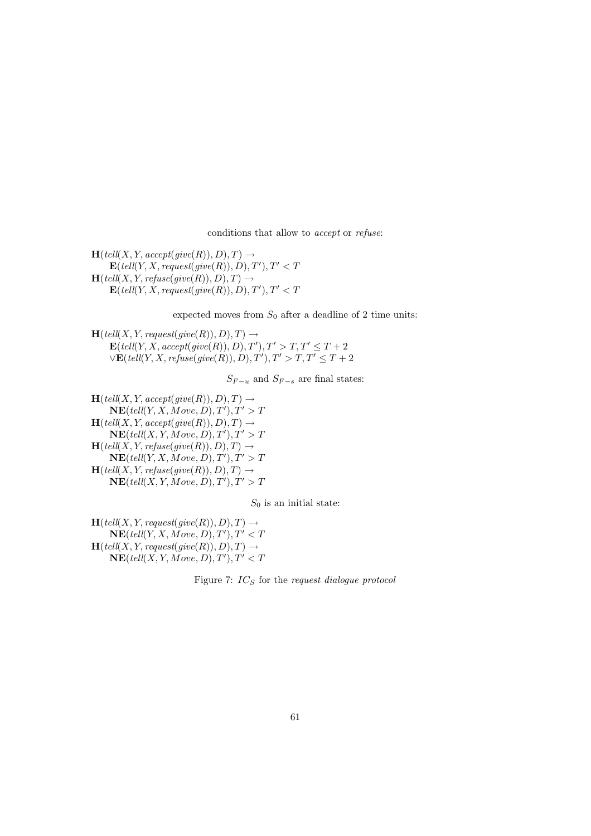conditions that allow to accept or refuse:

 $\mathbf{H}(\text{tell}(X, Y, \text{accept}(\text{give}(R)), D), T) \rightarrow$  $\mathbf{E}(\text{tell}(Y, X, \text{request}(\text{give}(R)), D), T'), T' < T$  $\mathbf{H}(\text{tell}(X, Y, \text{refuse}(\text{give}(R)), D), T) \rightarrow$  $\textbf{E}(\textit{tell}(Y, X, \textit{request}(give(R)), D), T'), T' < T$ 

expected moves from  $S_0$  after a deadline of 2 time units:

 $H(tell(X, Y, request(give(R)), D), T) \rightarrow$  $\mathbf{E}(\text{tell}(Y, X, \text{accept}(give(R)), D), T'), T' > T, T' \leq T + 2$  $\forall$ **E**(tell(Y, X, refuse(give(R)), D), T'),  $T' > T$ ,  $T' \leq T + 2$ 

 $S_{F-u}$  and  $S_{F-s}$  are final states:

 $\mathbf{H}(\text{tell}(X, Y, \text{accept}(\text{give}(R)), D), T) \rightarrow$  $\overline{\text{NE}}(\text{tell}(Y, X, \text{Move}, D), T'), T' > T$  $\mathbf{H}(\text{tell}(X, Y, \text{accept}(\text{give}(R)), D), T) \rightarrow$  $\mathbf{NE}(\text{tell}(X, Y, \text{Move}, D), T'), T' > T$  $\mathbf{H}(\mathit{tell}(X, Y, \mathit{refuse}(\mathit{give}(R)), D), T) \rightarrow$  $\mathbf{NE}(\text{tell}(Y, X, \text{Move}, D), T'), T' > T$  $\mathbf{H}(\text{tell}(X, Y, \text{refuse}(\text{give}(R)), D), T) \rightarrow$  $\mathbf{NE}(\textit{tell}(X, Y, \textit{Move}, D), T'), T' > T$ 

 $S_0$  is an initial state:

 $\mathbf{H}(\text{tell}(X, Y, \text{request}(give(R)), D), T) \rightarrow$  $\mathbf{NE}(\textit{tell}(Y, X, \textit{Move}, D), T'), T' < T$  $\mathbf{H}(\text{tell}(X, Y, \text{request}(give(R)), D), T) \rightarrow$  $\overline{\text{NE}}(\text{tell}(X, Y, \text{Move}, D), T'), T' < T$ 

Figure 7:  $IC_S$  for the request dialogue protocol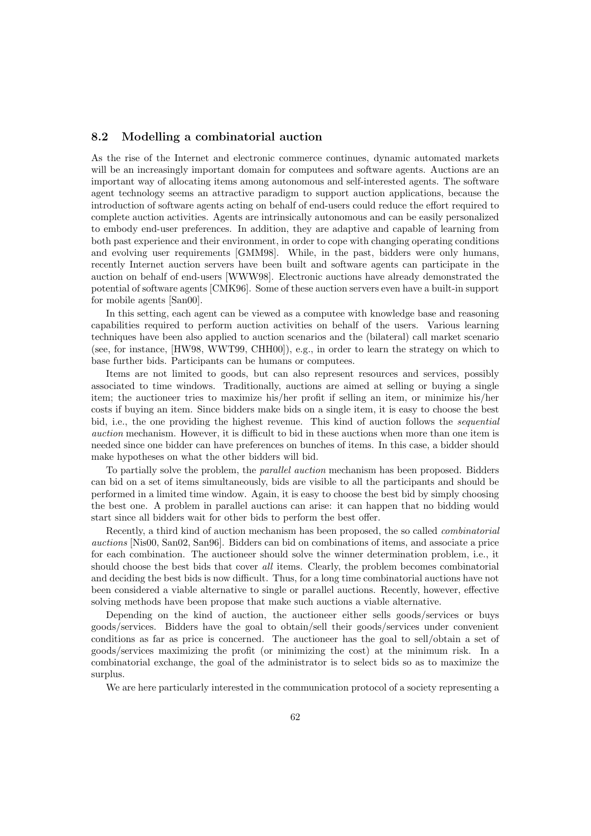# 8.2 Modelling a combinatorial auction

As the rise of the Internet and electronic commerce continues, dynamic automated markets will be an increasingly important domain for computees and software agents. Auctions are an important way of allocating items among autonomous and self-interested agents. The software agent technology seems an attractive paradigm to support auction applications, because the introduction of software agents acting on behalf of end-users could reduce the effort required to complete auction activities. Agents are intrinsically autonomous and can be easily personalized to embody end-user preferences. In addition, they are adaptive and capable of learning from both past experience and their environment, in order to cope with changing operating conditions and evolving user requirements [GMM98]. While, in the past, bidders were only humans, recently Internet auction servers have been built and software agents can participate in the auction on behalf of end-users [WWW98]. Electronic auctions have already demonstrated the potential of software agents [CMK96]. Some of these auction servers even have a built-in support for mobile agents [San00].

In this setting, each agent can be viewed as a computee with knowledge base and reasoning capabilities required to perform auction activities on behalf of the users. Various learning techniques have been also applied to auction scenarios and the (bilateral) call market scenario (see, for instance, [HW98, WWT99, CHH00]), e.g., in order to learn the strategy on which to base further bids. Participants can be humans or computees.

Items are not limited to goods, but can also represent resources and services, possibly associated to time windows. Traditionally, auctions are aimed at selling or buying a single item; the auctioneer tries to maximize his/her profit if selling an item, or minimize his/her costs if buying an item. Since bidders make bids on a single item, it is easy to choose the best bid, i.e., the one providing the highest revenue. This kind of auction follows the *sequential* auction mechanism. However, it is difficult to bid in these auctions when more than one item is needed since one bidder can have preferences on bunches of items. In this case, a bidder should make hypotheses on what the other bidders will bid.

To partially solve the problem, the parallel auction mechanism has been proposed. Bidders can bid on a set of items simultaneously, bids are visible to all the participants and should be performed in a limited time window. Again, it is easy to choose the best bid by simply choosing the best one. A problem in parallel auctions can arise: it can happen that no bidding would start since all bidders wait for other bids to perform the best offer.

Recently, a third kind of auction mechanism has been proposed, the so called combinatorial auctions [Nis00, San02, San96]. Bidders can bid on combinations of items, and associate a price for each combination. The auctioneer should solve the winner determination problem, i.e., it should choose the best bids that cover all items. Clearly, the problem becomes combinatorial and deciding the best bids is now difficult. Thus, for a long time combinatorial auctions have not been considered a viable alternative to single or parallel auctions. Recently, however, effective solving methods have been propose that make such auctions a viable alternative.

Depending on the kind of auction, the auctioneer either sells goods/services or buys goods/services. Bidders have the goal to obtain/sell their goods/services under convenient conditions as far as price is concerned. The auctioneer has the goal to sell/obtain a set of goods/services maximizing the profit (or minimizing the cost) at the minimum risk. In a combinatorial exchange, the goal of the administrator is to select bids so as to maximize the surplus.

We are here particularly interested in the communication protocol of a society representing a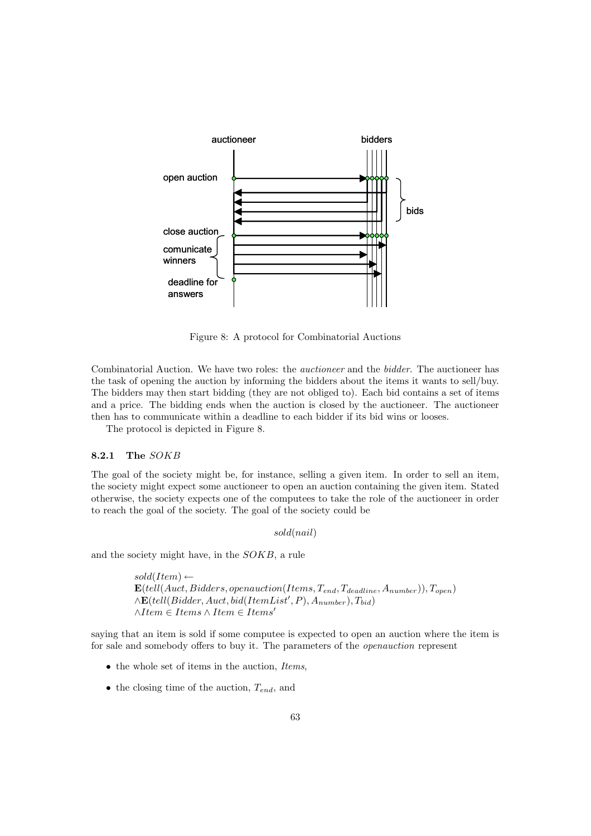

Figure 8: A protocol for Combinatorial Auctions

Combinatorial Auction. We have two roles: the auctioneer and the bidder. The auctioneer has the task of opening the auction by informing the bidders about the items it wants to sell/buy. The bidders may then start bidding (they are not obliged to). Each bid contains a set of items and a price. The bidding ends when the auction is closed by the auctioneer. The auctioneer then has to communicate within a deadline to each bidder if its bid wins or looses.

The protocol is depicted in Figure 8.

### 8.2.1 The SOKB

The goal of the society might be, for instance, selling a given item. In order to sell an item, the society might expect some auctioneer to open an auction containing the given item. Stated otherwise, the society expects one of the computees to take the role of the auctioneer in order to reach the goal of the society. The goal of the society could be

sold(nail)

and the society might have, in the SOKB, a rule

```
sold(Item) \leftarrow{\bf E}(tell(Auct, Bidders, open auction(Items, T_{end}, T_{deadline}, A_{number})), T_{open})\wedgeE(tell(Bidder, Auct, bid(ItemList', P), A_{number}), T_{bid})
∧Item \in Items ∧ Item \in Items'
```
saying that an item is sold if some computee is expected to open an auction where the item is for sale and somebody offers to buy it. The parameters of the openauction represent

- $\bullet$  the whole set of items in the auction, *Items*,
- the closing time of the auction,  $T_{end}$ , and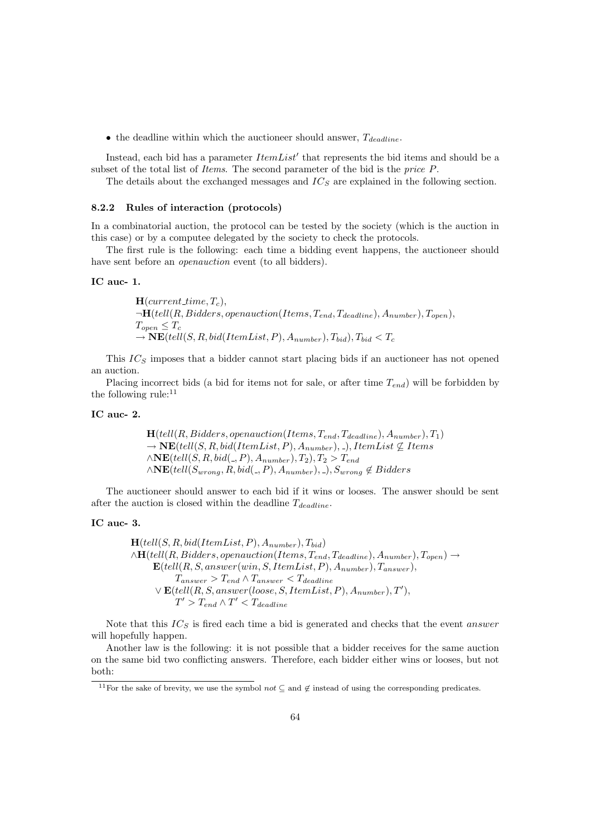• the deadline within which the auctioneer should answer,  $T_{deadline}$ .

Instead, each bid has a parameter  $ItemList'$  that represents the bid items and should be a subset of the total list of *Items*. The second parameter of the bid is the *price P*.

The details about the exchanged messages and  $IC_S$  are explained in the following section.

#### 8.2.2 Rules of interaction (protocols)

In a combinatorial auction, the protocol can be tested by the society (which is the auction in this case) or by a computee delegated by the society to check the protocols.

The first rule is the following: each time a bidding event happens, the auctioneer should have sent before an *openauction* event (to all bidders).

### IC auc- 1.

 $H(current_time, T_c),$  $\neg H(tell(R, Bidders, openauction(Items, T_{end}, T_{deadline}), A_{number}), T_{open}),$  $T_{open} \leq T_c$  $\rightarrow \mathbf{NE}(tell(S, R, bid(ItemList, P), A_{number}), T_{bid}), T_{bid} < T_{c}$ 

This  $IC<sub>S</sub>$  imposes that a bidder cannot start placing bids if an auctioneer has not opened an auction.

Placing incorrect bids (a bid for items not for sale, or after time  $T_{end}$ ) will be forbidden by the following rule: $11$ 

### IC auc- 2.

$$
\mathbf{H}(tell(R, Bidders, open auction(Items, T_{end}, T_{deadline}), A number), T_1) \rightarrow \mathbf{NE}(tell(S, R, bid(ItemList, P), A number), -), ItemList \not\subseteq Items \land \mathbf{NE}(tell(S, R, bid(., P), A number), T_2), T_2 > T_{end} \land \mathbf{NE}(tell(S_{wrong}, R, bid(., P), A number), -), S_{wrong} \not\in Bidders
$$

The auctioneer should answer to each bid if it wins or looses. The answer should be sent after the auction is closed within the deadline  $T_{deadline}$ .

### IC auc- 3.

$$
\mathbf{H}(tell(S, R, bid(ItemList, P), A_{number}), T_{bid})
$$
  
\n
$$
\wedge \mathbf{H}(tell(R, Bidders, open auction(Items, T_{end}, T_{deadline}), A_{number}), T_{open}) \rightarrow
$$
  
\n
$$
\mathbf{E}(tell(R, S, answer(win, S, ItemList, P), A_{number}), T_{answer}),
$$
  
\n
$$
T_{answer} > T_{end} \wedge T_{answer} < T_{deadline}
$$
  
\n
$$
\vee \mathbf{E}(tell(R, S, answer(loose, S, ItemList, P), A_{number}), T'),
$$
  
\n
$$
T' > T_{end} \wedge T' < T_{deadline}
$$

Note that this  $IC_S$  is fired each time a bid is generated and checks that the event answer will hopefully happen.

Another law is the following: it is not possible that a bidder receives for the same auction on the same bid two conflicting answers. Therefore, each bidder either wins or looses, but not both:

<sup>&</sup>lt;sup>11</sup>For the sake of brevity, we use the symbol  $not \subseteq$  and  $\notin$  instead of using the corresponding predicates.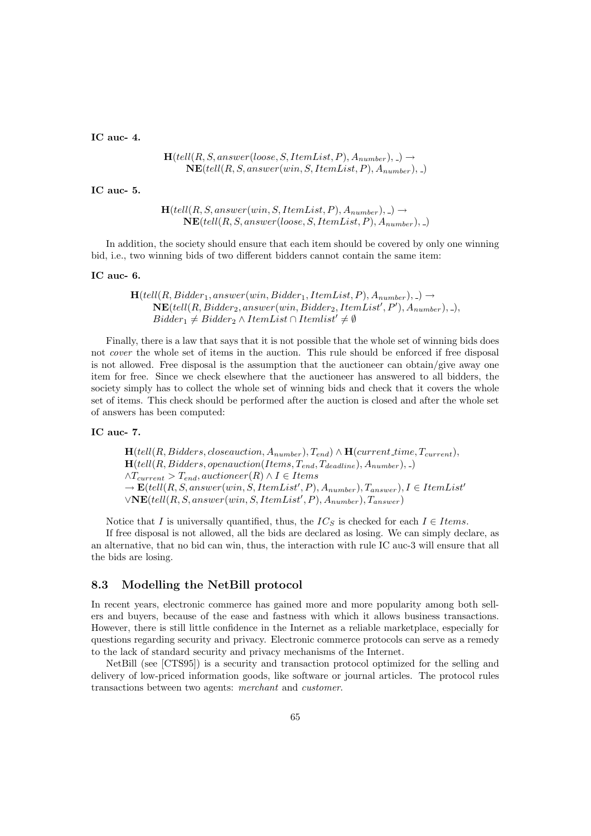IC auc- 4.

$$
\mathbf{H}(tell(R, S, answer(loose, S, ItemList, P), A_{number}), \_) \rightarrow
$$
  

$$
\mathbf{NE}(tell(R, S, answer(win, S, ItemList, P), A_{number}), \_)
$$

IC auc- 5.

 $H(tell(R, S, answer(win, S, ItemList, P), A_{number}),-) \rightarrow$  $NE(tell(R, S, answer(loose, S, ItemList, P), A<sub>number</sub>), ...)$ 

In addition, the society should ensure that each item should be covered by only one winning bid, i.e., two winning bids of two different bidders cannot contain the same item:

IC auc- 6.

 $H(tell(R, Bidder_1, answer(win, Bidder_1, ItemList, P), A_{number}), \_ ) \rightarrow$  $\overline{\text{NE}}(\textit{tell}(R, \textit{Bidder}_{2}, \textit{answer}(\textit{win}, \textit{Bidder}_{2}, \textit{ItemList}', P'), A_{\textit{number}}),$  $Bidder_1 \neq Bidder_2 \wedge ItemList \cap Itemlist' \neq \emptyset$ 

Finally, there is a law that says that it is not possible that the whole set of winning bids does not cover the whole set of items in the auction. This rule should be enforced if free disposal is not allowed. Free disposal is the assumption that the auctioneer can obtain/give away one item for free. Since we check elsewhere that the auctioneer has answered to all bidders, the society simply has to collect the whole set of winning bids and check that it covers the whole set of items. This check should be performed after the auction is closed and after the whole set of answers has been computed:

# IC auc- 7.

 $\mathbf{H}(tell(R, Bidders, close auction, A_{number}), T_{end}) \wedge \mathbf{H}(current_time, T_{current}),$  $H(tell(R, Bidders, openauction(Items, T_{end}, T_{deadline}), A_{number}), )$  $\land T_{current} > T_{end}, auctioneer(R) \land I \in I$ tems  $\rightarrow$   $\mathbf{E}(tell(R, S, answer(win, S, ItemList', P), A_{number}), T_{answer}), I \in ItemList'$  $\forall \textbf{NE} (tell (R, S, answer (win, S, ItemList', P), A_{number}), T_{answer})$ 

Notice that I is universally quantified, thus, the  $IC_S$  is checked for each  $I \in Items$ .

If free disposal is not allowed, all the bids are declared as losing. We can simply declare, as an alternative, that no bid can win, thus, the interaction with rule IC auc-3 will ensure that all the bids are losing.

# 8.3 Modelling the NetBill protocol

In recent years, electronic commerce has gained more and more popularity among both sellers and buyers, because of the ease and fastness with which it allows business transactions. However, there is still little confidence in the Internet as a reliable marketplace, especially for questions regarding security and privacy. Electronic commerce protocols can serve as a remedy to the lack of standard security and privacy mechanisms of the Internet.

NetBill (see [CTS95]) is a security and transaction protocol optimized for the selling and delivery of low-priced information goods, like software or journal articles. The protocol rules transactions between two agents: merchant and customer.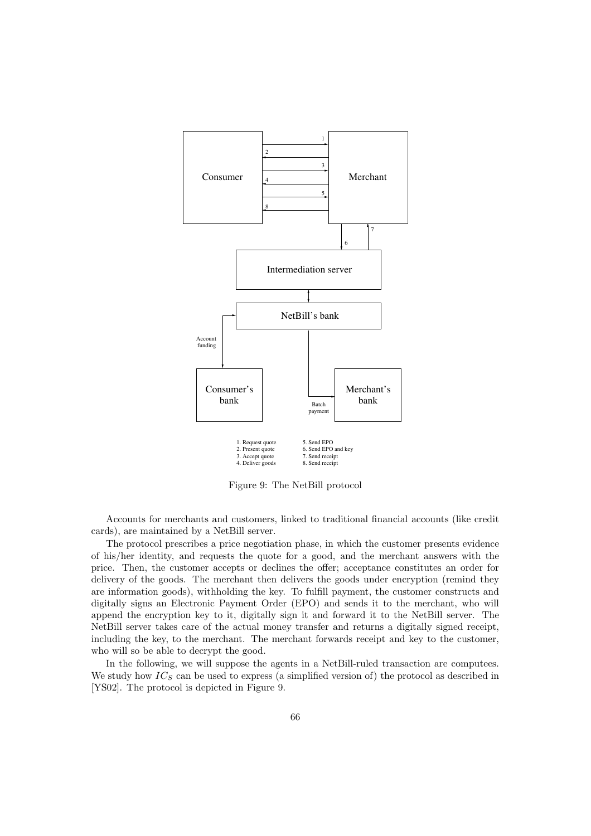

Figure 9: The NetBill protocol

Accounts for merchants and customers, linked to traditional financial accounts (like credit cards), are maintained by a NetBill server.

The protocol prescribes a price negotiation phase, in which the customer presents evidence of his/her identity, and requests the quote for a good, and the merchant answers with the price. Then, the customer accepts or declines the offer; acceptance constitutes an order for delivery of the goods. The merchant then delivers the goods under encryption (remind they are information goods), withholding the key. To fulfill payment, the customer constructs and digitally signs an Electronic Payment Order (EPO) and sends it to the merchant, who will append the encryption key to it, digitally sign it and forward it to the NetBill server. The NetBill server takes care of the actual money transfer and returns a digitally signed receipt, including the key, to the merchant. The merchant forwards receipt and key to the customer, who will so be able to decrypt the good.

In the following, we will suppose the agents in a NetBill-ruled transaction are computees. We study how  $IC_S$  can be used to express (a simplified version of) the protocol as described in [YS02]. The protocol is depicted in Figure 9.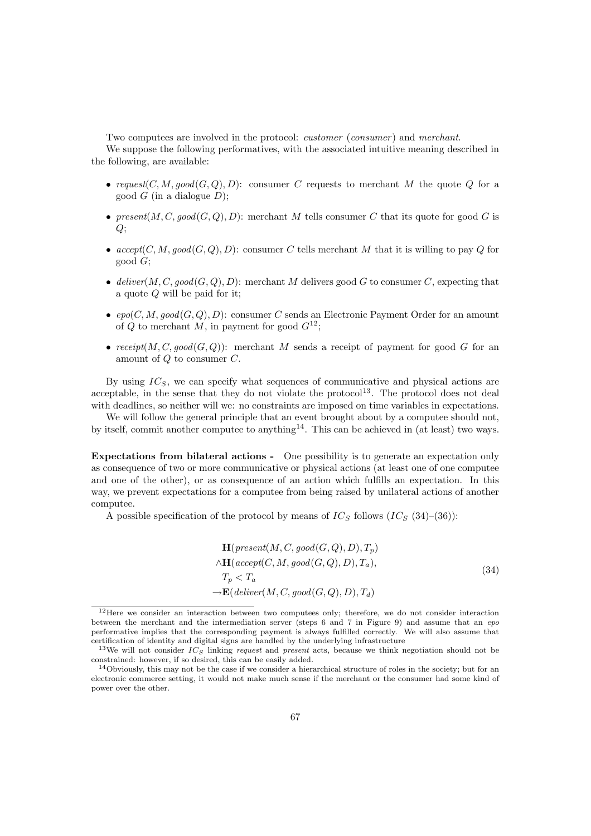Two computees are involved in the protocol: *customer* (*consumer*) and *merchant*.

We suppose the following performatives, with the associated intuitive meaning described in the following, are available:

- request(C, M, good(G, Q), D): consumer C requests to merchant M the quote Q for a good  $G$  (in a dialogue  $D$ );
- present $(M, C, good(G, Q), D)$ : merchant M tells consumer C that its quote for good G is  $Q;$
- $accept(C, M, good(G, Q), D)$ : consumer C tells merchant M that it is willing to pay Q for good G;
- deliver(M, C, good(G, Q), D): merchant M delivers good G to consumer C, expecting that a quote Q will be paid for it;
- $epo(C, M, good(G, Q), D)$ : consumer C sends an Electronic Payment Order for an amount of Q to merchant M, in payment for good  $G^{12}$ ;
- receipt $(M, C, good(G, Q))$ : merchant M sends a receipt of payment for good G for an amount of Q to consumer C.

By using  $IC_S$ , we can specify what sequences of communicative and physical actions are acceptable, in the sense that they do not violate the protocol<sup>13</sup>. The protocol does not deal with deadlines, so neither will we: no constraints are imposed on time variables in expectations.

We will follow the general principle that an event brought about by a computee should not, by itself, commit another computee to anything<sup>14</sup>. This can be achieved in (at least) two ways.

Expectations from bilateral actions - One possibility is to generate an expectation only as consequence of two or more communicative or physical actions (at least one of one computee and one of the other), or as consequence of an action which fulfills an expectation. In this way, we prevent expectations for a computee from being raised by unilateral actions of another computee.

A possible specification of the protocol by means of  $IC_S$  follows  $(IC_S (34)–(36))$ :

$$
\mathbf{H}(present(M, C, good(G, Q), D), T_p)
$$
  
\n
$$
\wedge \mathbf{H}(accept(C, M, good(G, Q), D), T_a),
$$
  
\n
$$
T_p < T_a
$$
  
\n
$$
\rightarrow \mathbf{E}(deliver(M, C, good(G, Q), D), T_d)
$$
\n(34)

 $12$ Here we consider an interaction between two computees only; therefore, we do not consider interaction between the merchant and the intermediation server (steps 6 and 7 in Figure 9) and assume that an epo performative implies that the corresponding payment is always fulfilled correctly. We will also assume that certification of identity and digital signs are handled by the underlying infrastructure

<sup>&</sup>lt;sup>13</sup>We will not consider  $IC_{S}$  linking request and present acts, because we think negotiation should not be constrained: however, if so desired, this can be easily added.

 $14\text{Obviously},$  this may not be the case if we consider a hierarchical structure of roles in the society; but for an electronic commerce setting, it would not make much sense if the merchant or the consumer had some kind of power over the other.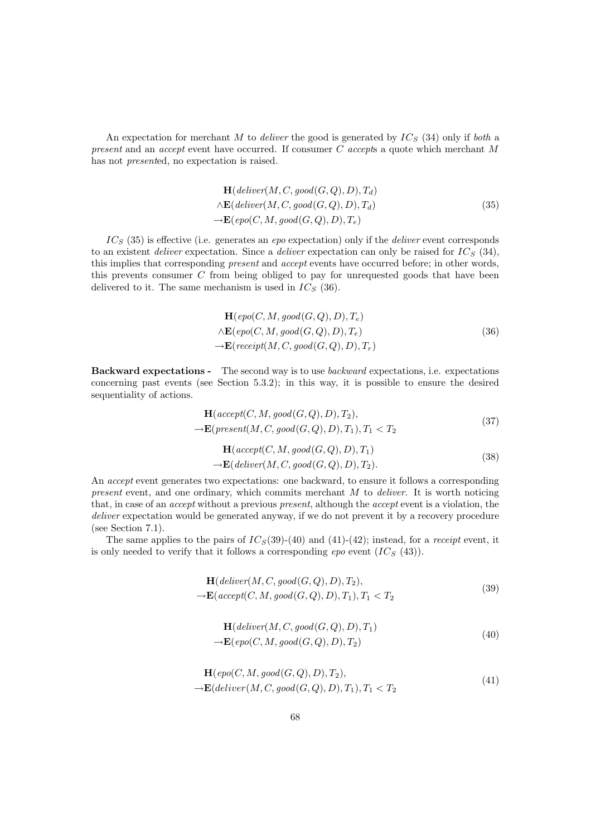An expectation for merchant M to *deliver* the good is generated by  $IC_S$  (34) only if *both* a present and an *accept* event have occurred. If consumer  $C$  accepts a quote which merchant  $M$ has not presented, no expectation is raised.

$$
\mathbf{H}(deliver(M, C, good(G, Q), D), T_d)
$$
  
 
$$
\wedge \mathbf{E}(deliver(M, C, good(G, Q), D), T_d)
$$
  
 
$$
\rightarrow \mathbf{E}(epo(C, M, good(G, Q), D), T_e)
$$
 (35)

 $IC<sub>S</sub>$  (35) is effective (i.e. generates an epo expectation) only if the *deliver* event corresponds to an existent *deliver* expectation. Since a *deliver* expectation can only be raised for  $IC_S$  (34), this implies that corresponding *present* and *accept* events have occurred before; in other words, this prevents consumer  $C$  from being obliged to pay for unrequested goods that have been delivered to it. The same mechanism is used in  $IC_S$  (36).

$$
\mathbf{H}(epo(C, M, good(G, Q), D), T_e)
$$
  
\n
$$
\wedge \mathbf{E}(epo(C, M, good(G, Q), D), T_e)
$$
  
\n
$$
\rightarrow \mathbf{E}(receipt(M, C, good(G, Q), D), T_r)
$$
\n(36)

Backward expectations - The second way is to use backward expectations, i.e. expectations concerning past events (see Section 5.3.2); in this way, it is possible to ensure the desired sequentiality of actions.

$$
\mathbf{H}(accept(C, M, good(G, Q), D), T_2),
$$
  
\n
$$
\rightarrow \mathbf{E}(present(M, C, good(G, Q), D), T_1), T_1 < T_2
$$
\n(37)

$$
\mathbf{H}(accept(C, M, good(G, Q), D), T_1) \rightarrow \mathbf{E}(deliver(M, C, good(G, Q), D), T_2).
$$
\n(38)

An accept event generates two expectations: one backward, to ensure it follows a corresponding present event, and one ordinary, which commits merchant  $M$  to deliver. It is worth noticing that, in case of an accept without a previous present, although the accept event is a violation, the deliver expectation would be generated anyway, if we do not prevent it by a recovery procedure (see Section 7.1).

The same applies to the pairs of  $IC_S(39)-(40)$  and  $(41)-(42)$ ; instead, for a *receipt* event, it is only needed to verify that it follows a corresponding epo event  $(IC_S \t(43))$ .

$$
\mathbf{H}(deliver(M, C, good(G, Q), D), T_2),
$$
  
\n
$$
\rightarrow \mathbf{E}(accept(C, M, good(G, Q), D), T_1), T_1 < T_2
$$
\n(39)

$$
\mathbf{H}(deliver(M, C, good(G, Q), D), T_1) \n\rightarrow \mathbf{E}(epo(C, M, good(G, Q), D), T_2)
$$
\n(40)

$$
\mathbf{H}(epo(C, M, good(G, Q), D), T_2),
$$
  

$$
\rightarrow \mathbf{E}(deliver(M, C, good(G, Q), D), T_1), T_1 < T_2
$$
\n(41)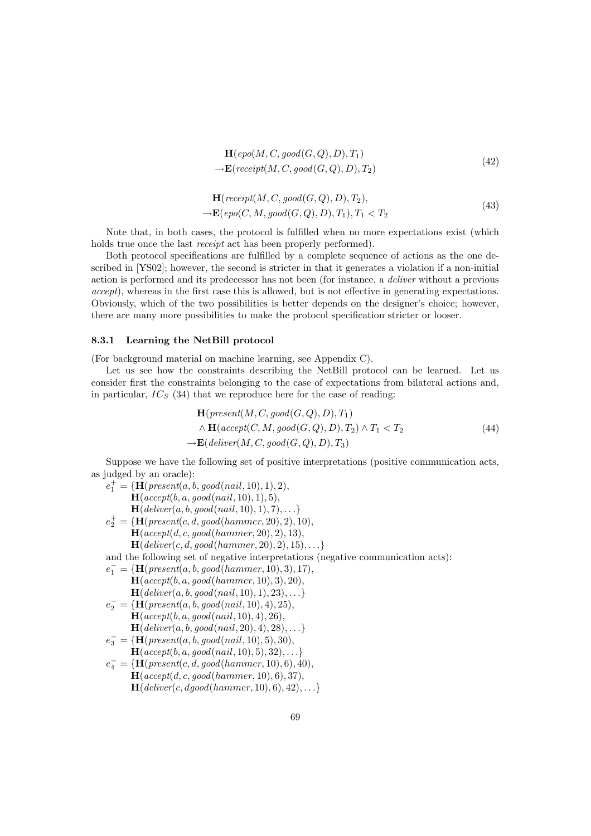$$
\mathbf{H}(\text{epo}(M, C, \text{good}(G, Q), D), T_1) \n\rightarrow \mathbf{E}(\text{receipt}(M, C, \text{good}(G, Q), D), T_2)
$$
\n(42)

$$
\mathbf{H}(receipt(M, C, good(G, Q), D), T_2),
$$
  
\n
$$
\rightarrow \mathbf{E}(epo(C, M, good(G, Q), D), T_1), T_1 < T_2
$$
\n(43)

Note that, in both cases, the protocol is fulfilled when no more expectations exist (which holds true once the last receipt act has been properly performed).

Both protocol specifications are fulfilled by a complete sequence of actions as the one described in [YS02]; however, the second is stricter in that it generates a violation if a non-initial action is performed and its predecessor has not been (for instance, a deliver without a previous accept), whereas in the first case this is allowed, but is not effective in generating expectations. Obviously, which of the two possibilities is better depends on the designer's choice; however, there are many more possibilities to make the protocol specification stricter or looser.

### 8.3.1 Learning the NetBill protocol

(For background material on machine learning, see Appendix C).

Let us see how the constraints describing the NetBill protocol can be learned. Let us consider first the constraints belonging to the case of expectations from bilateral actions and, in particular,  $IC_S$  (34) that we reproduce here for the ease of reading:

$$
\mathbf{H}(present(M, C, good(G, Q), D), T_1) \land \mathbf{H}(accept(C, M, good(G, Q), D), T_2) \land T_1 < T_2
$$
\n
$$
\rightarrow \mathbf{E}(deliver(M, C, good(G, Q), D), T_3) \tag{44}
$$

Suppose we have the following set of positive interpretations (positive communication acts, as judged by an oracle):

- $e_1^+ = {\bf H}(present(a, b, good(nail, 10), 1), 2),$  $H(accept(b, a, good(nail, 10), 1), 5),$  $\mathbf{H}(deliver(a, b, good(nail, 10), 1), 7), \ldots\}$  $e_2^+ = \{ \mathbf{H}(\text{present}(c, d, good(hammer, 20), 2), 10),$  $H(accept(d, c, good(hammer, 20), 2), 13),$  $H(deliver(c, d, good(hammer, 20), 2), 15), \ldots\}$ and the following set of negative interpretations (negative communication acts):  $e_1^- = \{ \mathbf{H}(present(a, b, good(hammer, 10), 3), 17),\}$  $\mathbf{H}(accept(b, a, good(hammer, 10), 3), 20),$  $H(deliver(a, b, good(nail, 10), 1), 23), ...$  $e_2^- = \{ \mathbf{H}(\text{present}(a, b, \text{good}(nail, 10), 4), 25),$
- $H(accept(b, a, good(nail, 10), 4), 26),$  $H(deliver(a, b, good(nail, 20), 4), 28), \ldots\}$
- $e_3^- = {\bf \{H}(\text{present}(a, b, \text{good}(nail, 10), 5), 30)},$  $H(accept(b, a, good(nail, 10), 5), 32), \ldots\}$
- $e^-_4 = \{\mathbf{H}(present(c, d, good(hammer, 10), 6), 40),$  $H(accept(d, c, good(hammer, 10), 6), 37),$  $H(deliver(c, dgood(hammer, 10), 6), 42), \ldots\}$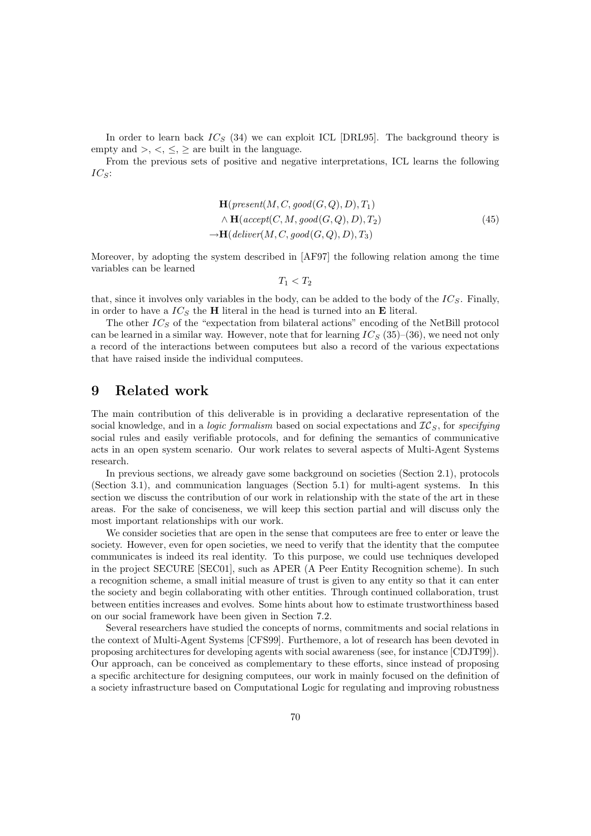In order to learn back  $IC_S$  (34) we can exploit ICL [DRL95]. The background theory is empty and  $\geq, \leq, \leq$  are built in the language.

From the previous sets of positive and negative interpretations, ICL learns the following  $IC_S$ :

$$
\mathbf{H}(present(M, C, good(G, Q), D), T_1) \newline \land \mathbf{H}(accept(C, M, good(G, Q), D), T_2) \newline \rightarrow \mathbf{H}(deliver(M, C, good(G, Q), D), T_3)
$$
\n
$$
(45)
$$

Moreover, by adopting the system described in [AF97] the following relation among the time variables can be learned

 $T_1 < T_2$ 

that, since it involves only variables in the body, can be added to the body of the  $IC_S$ . Finally, in order to have a  $IC<sub>S</sub>$  the **H** literal in the head is turned into an **E** literal.

The other  $IC_S$  of the "expectation from bilateral actions" encoding of the NetBill protocol can be learned in a similar way. However, note that for learning  $IC_S(35)$ –(36), we need not only a record of the interactions between computees but also a record of the various expectations that have raised inside the individual computees.

# 9 Related work

The main contribution of this deliverable is in providing a declarative representation of the social knowledge, and in a *logic formalism* based on social expectations and  $TC<sub>S</sub>$ , for specifying social rules and easily verifiable protocols, and for defining the semantics of communicative acts in an open system scenario. Our work relates to several aspects of Multi-Agent Systems research.

In previous sections, we already gave some background on societies (Section 2.1), protocols (Section 3.1), and communication languages (Section 5.1) for multi-agent systems. In this section we discuss the contribution of our work in relationship with the state of the art in these areas. For the sake of conciseness, we will keep this section partial and will discuss only the most important relationships with our work.

We consider societies that are open in the sense that computees are free to enter or leave the society. However, even for open societies, we need to verify that the identity that the computee communicates is indeed its real identity. To this purpose, we could use techniques developed in the project SECURE [SEC01], such as APER (A Peer Entity Recognition scheme). In such a recognition scheme, a small initial measure of trust is given to any entity so that it can enter the society and begin collaborating with other entities. Through continued collaboration, trust between entities increases and evolves. Some hints about how to estimate trustworthiness based on our social framework have been given in Section 7.2.

Several researchers have studied the concepts of norms, commitments and social relations in the context of Multi-Agent Systems [CFS99]. Furthemore, a lot of research has been devoted in proposing architectures for developing agents with social awareness (see, for instance [CDJT99]). Our approach, can be conceived as complementary to these efforts, since instead of proposing a specific architecture for designing computees, our work in mainly focused on the definition of a society infrastructure based on Computational Logic for regulating and improving robustness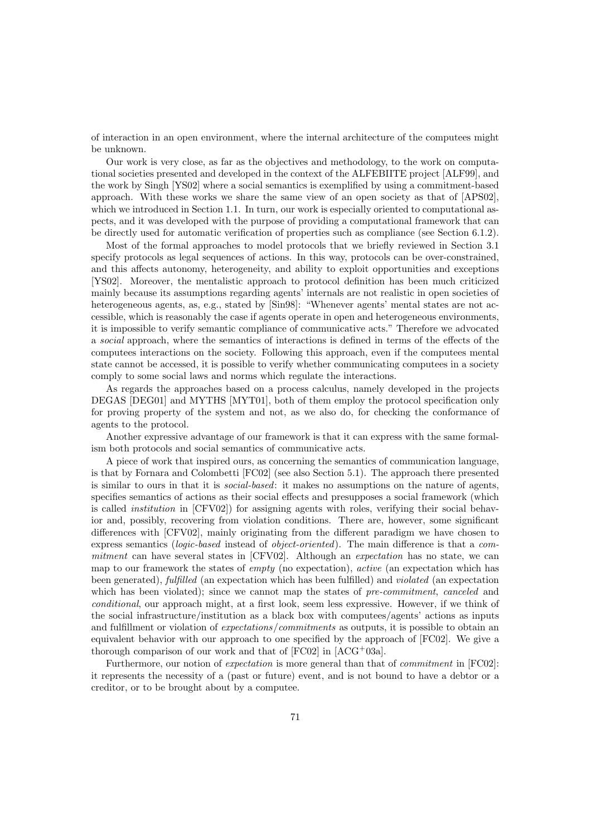of interaction in an open environment, where the internal architecture of the computees might be unknown.

Our work is very close, as far as the objectives and methodology, to the work on computational societies presented and developed in the context of the ALFEBIITE project [ALF99], and the work by Singh [YS02] where a social semantics is exemplified by using a commitment-based approach. With these works we share the same view of an open society as that of [APS02], which we introduced in Section 1.1. In turn, our work is especially oriented to computational aspects, and it was developed with the purpose of providing a computational framework that can be directly used for automatic verification of properties such as compliance (see Section 6.1.2).

Most of the formal approaches to model protocols that we briefly reviewed in Section 3.1 specify protocols as legal sequences of actions. In this way, protocols can be over-constrained, and this affects autonomy, heterogeneity, and ability to exploit opportunities and exceptions [YS02]. Moreover, the mentalistic approach to protocol definition has been much criticized mainly because its assumptions regarding agents' internals are not realistic in open societies of heterogeneous agents, as, e.g., stated by [Sin98]: "Whenever agents' mental states are not accessible, which is reasonably the case if agents operate in open and heterogeneous environments, it is impossible to verify semantic compliance of communicative acts." Therefore we advocated a social approach, where the semantics of interactions is defined in terms of the effects of the computees interactions on the society. Following this approach, even if the computees mental state cannot be accessed, it is possible to verify whether communicating computees in a society comply to some social laws and norms which regulate the interactions.

As regards the approaches based on a process calculus, namely developed in the projects DEGAS [DEG01] and MYTHS [MYT01], both of them employ the protocol specification only for proving property of the system and not, as we also do, for checking the conformance of agents to the protocol.

Another expressive advantage of our framework is that it can express with the same formalism both protocols and social semantics of communicative acts.

A piece of work that inspired ours, as concerning the semantics of communication language, is that by Fornara and Colombetti [FC02] (see also Section 5.1). The approach there presented is similar to ours in that it is social-based: it makes no assumptions on the nature of agents, specifies semantics of actions as their social effects and presupposes a social framework (which is called institution in [CFV02]) for assigning agents with roles, verifying their social behavior and, possibly, recovering from violation conditions. There are, however, some significant differences with [CFV02], mainly originating from the different paradigm we have chosen to express semantics (logic-based instead of object-oriented). The main difference is that a commitment can have several states in [CFV02]. Although an *expectation* has no state, we can map to our framework the states of empty (no expectation), active (an expectation which has been generated), fulfilled (an expectation which has been fulfilled) and *violated* (an expectation which has been violated); since we cannot map the states of pre-commitment, canceled and conditional, our approach might, at a first look, seem less expressive. However, if we think of the social infrastructure/institution as a black box with computees/agents' actions as inputs and fulfillment or violation of expectations/commitments as outputs, it is possible to obtain an equivalent behavior with our approach to one specified by the approach of [FC02]. We give a thorough comparison of our work and that of [FC02] in [ACG<sup>+</sup>03a].

Furthermore, our notion of *expectation* is more general than that of *commitment* in [FC02]: it represents the necessity of a (past or future) event, and is not bound to have a debtor or a creditor, or to be brought about by a computee.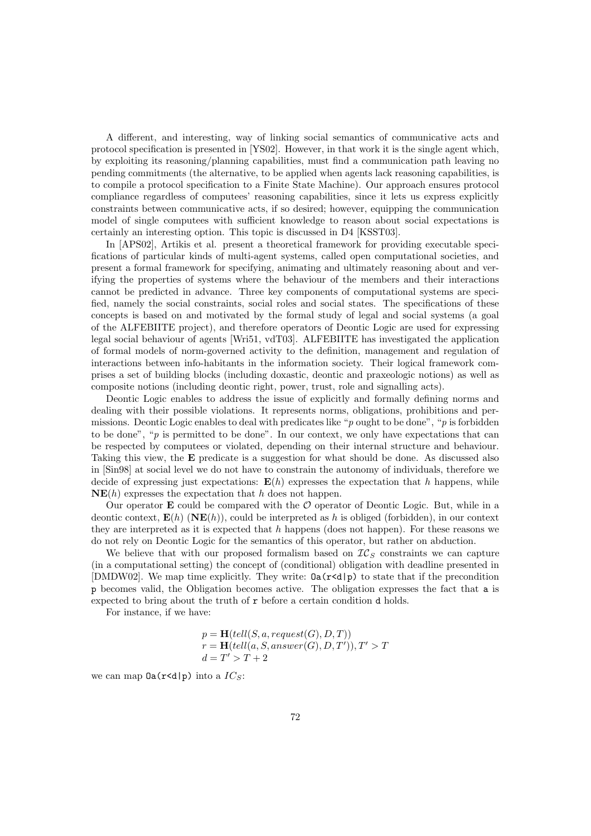A different, and interesting, way of linking social semantics of communicative acts and protocol specification is presented in [YS02]. However, in that work it is the single agent which, by exploiting its reasoning/planning capabilities, must find a communication path leaving no pending commitments (the alternative, to be applied when agents lack reasoning capabilities, is to compile a protocol specification to a Finite State Machine). Our approach ensures protocol compliance regardless of computees' reasoning capabilities, since it lets us express explicitly constraints between communicative acts, if so desired; however, equipping the communication model of single computees with sufficient knowledge to reason about social expectations is certainly an interesting option. This topic is discussed in D4 [KSST03].

In [APS02], Artikis et al. present a theoretical framework for providing executable specifications of particular kinds of multi-agent systems, called open computational societies, and present a formal framework for specifying, animating and ultimately reasoning about and verifying the properties of systems where the behaviour of the members and their interactions cannot be predicted in advance. Three key components of computational systems are specified, namely the social constraints, social roles and social states. The specifications of these concepts is based on and motivated by the formal study of legal and social systems (a goal of the ALFEBIITE project), and therefore operators of Deontic Logic are used for expressing legal social behaviour of agents [Wri51, vdT03]. ALFEBIITE has investigated the application of formal models of norm-governed activity to the definition, management and regulation of interactions between info-habitants in the information society. Their logical framework comprises a set of building blocks (including doxastic, deontic and praxeologic notions) as well as composite notions (including deontic right, power, trust, role and signalling acts).

Deontic Logic enables to address the issue of explicitly and formally defining norms and dealing with their possible violations. It represents norms, obligations, prohibitions and permissions. Deontic Logic enables to deal with predicates like "p ought to be done", "p is forbidden to be done", " $p$  is permitted to be done". In our context, we only have expectations that can be respected by computees or violated, depending on their internal structure and behaviour. Taking this view, the E predicate is a suggestion for what should be done. As discussed also in [Sin98] at social level we do not have to constrain the autonomy of individuals, therefore we decide of expressing just expectations:  $E(h)$  expresses the expectation that h happens, while  $NE(h)$  expresses the expectation that h does not happen.

Our operator **E** could be compared with the  $\mathcal{O}$  operator of Deontic Logic. But, while in a deontic context,  $\mathbf{E}(h)$  ( $N\mathbf{E}(h)$ ), could be interpreted as h is obliged (forbidden), in our context they are interpreted as it is expected that h happens (does not happen). For these reasons we do not rely on Deontic Logic for the semantics of this operator, but rather on abduction.

We believe that with our proposed formalism based on  $\mathcal{IC}_S$  constraints we can capture (in a computational setting) the concept of (conditional) obligation with deadline presented in [DMDW02]. We map time explicitly. They write:  $\text{Da}(\text{r} \leq d | p)$  to state that if the precondition p becomes valid, the Obligation becomes active. The obligation expresses the fact that a is expected to bring about the truth of r before a certain condition d holds.

For instance, if we have:

$$
p = \mathbf{H}(tell(S, a, request(G), D, T))
$$
  

$$
r = \mathbf{H}(tell(a, S, answer(G), D, T')), T' > T
$$
  

$$
d = T' > T + 2
$$

we can map  $\textsf{Da}(\textbf{r} \leq d | \textbf{p})$  into a  $IC_S$ :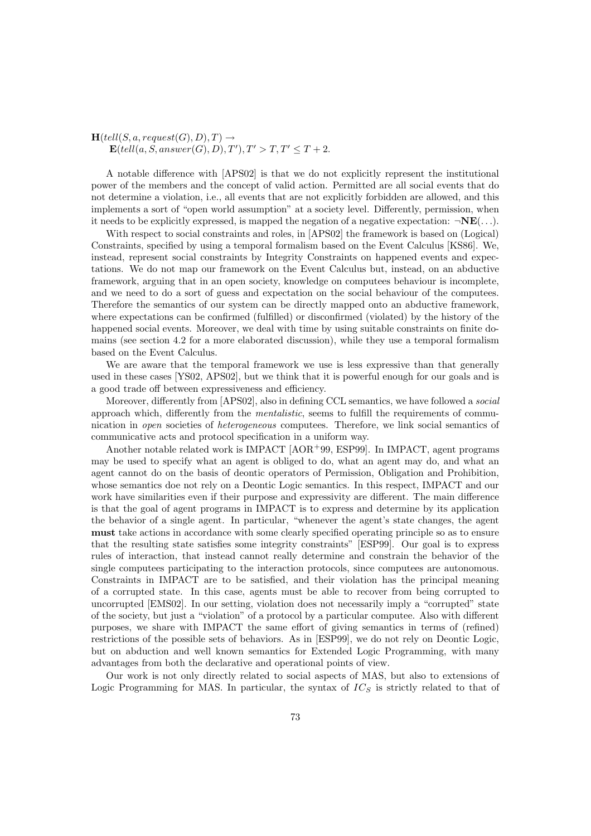$\mathbf{H}(tell(S, a, request(G), D), T) \rightarrow$  $\mathbf{E} (tell(a, S, answer(G), D), T'), T' > T, T' \leq T + 2.$ 

A notable difference with [APS02] is that we do not explicitly represent the institutional power of the members and the concept of valid action. Permitted are all social events that do not determine a violation, i.e., all events that are not explicitly forbidden are allowed, and this implements a sort of "open world assumption" at a society level. Differently, permission, when it needs to be explicitly expressed, is mapped the negation of a negative expectation:  $\neg \mathbf{NE}(\ldots)$ .

With respect to social constraints and roles, in [APS02] the framework is based on (Logical) Constraints, specified by using a temporal formalism based on the Event Calculus [KS86]. We, instead, represent social constraints by Integrity Constraints on happened events and expectations. We do not map our framework on the Event Calculus but, instead, on an abductive framework, arguing that in an open society, knowledge on computees behaviour is incomplete, and we need to do a sort of guess and expectation on the social behaviour of the computees. Therefore the semantics of our system can be directly mapped onto an abductive framework, where expectations can be confirmed (fulfilled) or disconfirmed (violated) by the history of the happened social events. Moreover, we deal with time by using suitable constraints on finite domains (see section 4.2 for a more elaborated discussion), while they use a temporal formalism based on the Event Calculus.

We are aware that the temporal framework we use is less expressive than that generally used in these cases [YS02, APS02], but we think that it is powerful enough for our goals and is a good trade off between expressiveness and efficiency.

Moreover, differently from [APS02], also in defining CCL semantics, we have followed a *social* approach which, differently from the *mentalistic*, seems to fulfill the requirements of communication in *open* societies of *heterogeneous* computees. Therefore, we link social semantics of communicative acts and protocol specification in a uniform way.

Another notable related work is IMPACT [AOR<sup>+</sup>99, ESP99]. In IMPACT, agent programs may be used to specify what an agent is obliged to do, what an agent may do, and what an agent cannot do on the basis of deontic operators of Permission, Obligation and Prohibition, whose semantics doe not rely on a Deontic Logic semantics. In this respect, IMPACT and our work have similarities even if their purpose and expressivity are different. The main difference is that the goal of agent programs in IMPACT is to express and determine by its application the behavior of a single agent. In particular, "whenever the agent's state changes, the agent must take actions in accordance with some clearly specified operating principle so as to ensure that the resulting state satisfies some integrity constraints" [ESP99]. Our goal is to express rules of interaction, that instead cannot really determine and constrain the behavior of the single computees participating to the interaction protocols, since computees are autonomous. Constraints in IMPACT are to be satisfied, and their violation has the principal meaning of a corrupted state. In this case, agents must be able to recover from being corrupted to uncorrupted [EMS02]. In our setting, violation does not necessarily imply a "corrupted" state of the society, but just a "violation" of a protocol by a particular computee. Also with different purposes, we share with IMPACT the same effort of giving semantics in terms of (refined) restrictions of the possible sets of behaviors. As in [ESP99], we do not rely on Deontic Logic, but on abduction and well known semantics for Extended Logic Programming, with many advantages from both the declarative and operational points of view.

Our work is not only directly related to social aspects of MAS, but also to extensions of Logic Programming for MAS. In particular, the syntax of  $IC_S$  is strictly related to that of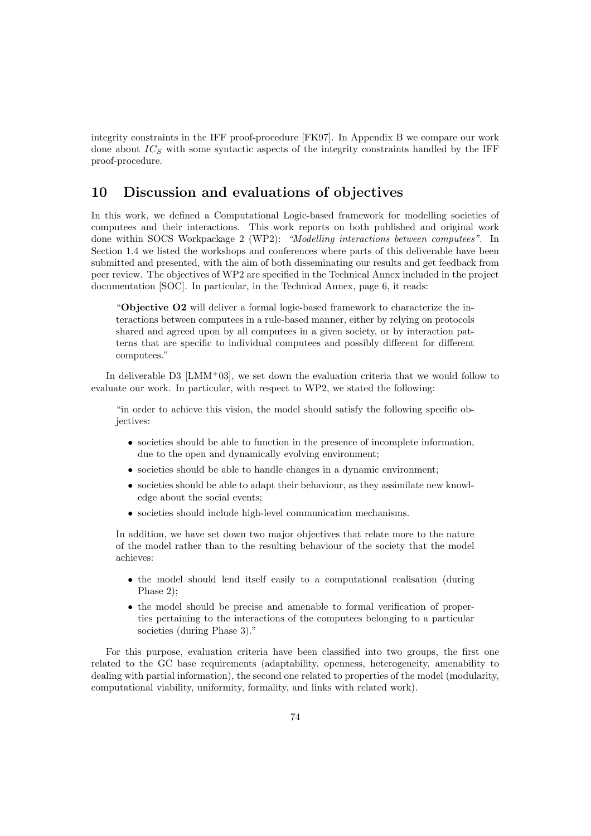integrity constraints in the IFF proof-procedure [FK97]. In Appendix B we compare our work done about  $IC<sub>S</sub>$  with some syntactic aspects of the integrity constraints handled by the IFF proof-procedure.

# 10 Discussion and evaluations of objectives

In this work, we defined a Computational Logic-based framework for modelling societies of computees and their interactions. This work reports on both published and original work done within SOCS Workpackage 2 (WP2): "Modelling interactions between computees". In Section 1.4 we listed the workshops and conferences where parts of this deliverable have been submitted and presented, with the aim of both disseminating our results and get feedback from peer review. The objectives of WP2 are specified in the Technical Annex included in the project documentation [SOC]. In particular, in the Technical Annex, page 6, it reads:

"Objective O2 will deliver a formal logic-based framework to characterize the interactions between computees in a rule-based manner, either by relying on protocols shared and agreed upon by all computees in a given society, or by interaction patterns that are specific to individual computees and possibly different for different computees."

In deliverable D3 [LMM<sup>+</sup>03], we set down the evaluation criteria that we would follow to evaluate our work. In particular, with respect to WP2, we stated the following:

"in order to achieve this vision, the model should satisfy the following specific objectives:

- societies should be able to function in the presence of incomplete information, due to the open and dynamically evolving environment;
- societies should be able to handle changes in a dynamic environment;
- societies should be able to adapt their behaviour, as they assimilate new knowledge about the social events;
- societies should include high-level communication mechanisms.

In addition, we have set down two major objectives that relate more to the nature of the model rather than to the resulting behaviour of the society that the model achieves:

- the model should lend itself easily to a computational realisation (during Phase 2);
- the model should be precise and amenable to formal verification of properties pertaining to the interactions of the computees belonging to a particular societies (during Phase 3)."

For this purpose, evaluation criteria have been classified into two groups, the first one related to the GC base requirements (adaptability, openness, heterogeneity, amenability to dealing with partial information), the second one related to properties of the model (modularity, computational viability, uniformity, formality, and links with related work).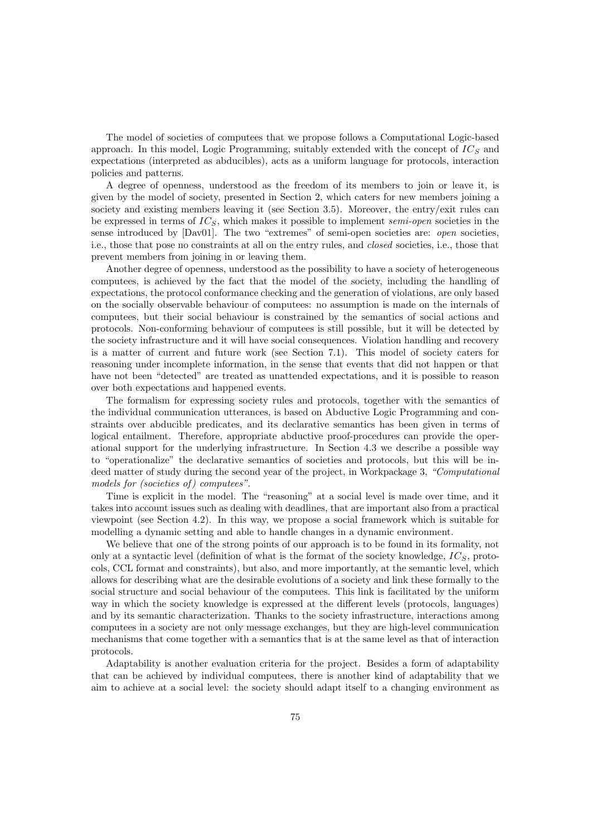The model of societies of computees that we propose follows a Computational Logic-based approach. In this model, Logic Programming, suitably extended with the concept of  $IC_S$  and expectations (interpreted as abducibles), acts as a uniform language for protocols, interaction policies and patterns.

A degree of openness, understood as the freedom of its members to join or leave it, is given by the model of society, presented in Section 2, which caters for new members joining a society and existing members leaving it (see Section 3.5). Moreover, the entry/exit rules can be expressed in terms of  $IC_S$ , which makes it possible to implement semi-open societies in the sense introduced by [Dav01]. The two "extremes" of semi-open societies are: *open* societies, i.e., those that pose no constraints at all on the entry rules, and closed societies, i.e., those that prevent members from joining in or leaving them.

Another degree of openness, understood as the possibility to have a society of heterogeneous computees, is achieved by the fact that the model of the society, including the handling of expectations, the protocol conformance checking and the generation of violations, are only based on the socially observable behaviour of computees: no assumption is made on the internals of computees, but their social behaviour is constrained by the semantics of social actions and protocols. Non-conforming behaviour of computees is still possible, but it will be detected by the society infrastructure and it will have social consequences. Violation handling and recovery is a matter of current and future work (see Section 7.1). This model of society caters for reasoning under incomplete information, in the sense that events that did not happen or that have not been "detected" are treated as unattended expectations, and it is possible to reason over both expectations and happened events.

The formalism for expressing society rules and protocols, together with the semantics of the individual communication utterances, is based on Abductive Logic Programming and constraints over abducible predicates, and its declarative semantics has been given in terms of logical entailment. Therefore, appropriate abductive proof-procedures can provide the operational support for the underlying infrastructure. In Section 4.3 we describe a possible way to "operationalize" the declarative semantics of societies and protocols, but this will be indeed matter of study during the second year of the project, in Workpackage 3, "Computational models for (societies of) computees".

Time is explicit in the model. The "reasoning" at a social level is made over time, and it takes into account issues such as dealing with deadlines, that are important also from a practical viewpoint (see Section 4.2). In this way, we propose a social framework which is suitable for modelling a dynamic setting and able to handle changes in a dynamic environment.

We believe that one of the strong points of our approach is to be found in its formality, not only at a syntactic level (definition of what is the format of the society knowledge,  $IC<sub>S</sub>$ , protocols, CCL format and constraints), but also, and more importantly, at the semantic level, which allows for describing what are the desirable evolutions of a society and link these formally to the social structure and social behaviour of the computees. This link is facilitated by the uniform way in which the society knowledge is expressed at the different levels (protocols, languages) and by its semantic characterization. Thanks to the society infrastructure, interactions among computees in a society are not only message exchanges, but they are high-level communication mechanisms that come together with a semantics that is at the same level as that of interaction protocols.

Adaptability is another evaluation criteria for the project. Besides a form of adaptability that can be achieved by individual computees, there is another kind of adaptability that we aim to achieve at a social level: the society should adapt itself to a changing environment as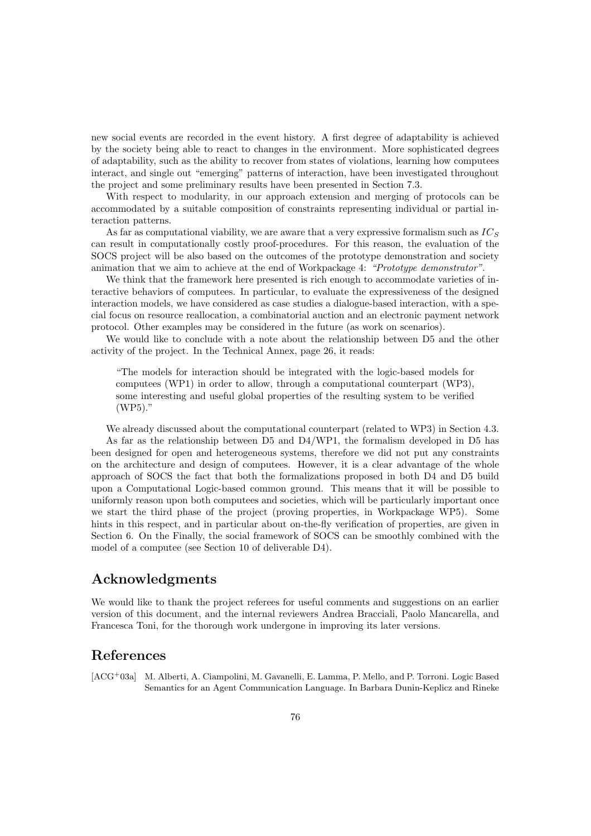new social events are recorded in the event history. A first degree of adaptability is achieved by the society being able to react to changes in the environment. More sophisticated degrees of adaptability, such as the ability to recover from states of violations, learning how computees interact, and single out "emerging" patterns of interaction, have been investigated throughout the project and some preliminary results have been presented in Section 7.3.

With respect to modularity, in our approach extension and merging of protocols can be accommodated by a suitable composition of constraints representing individual or partial interaction patterns.

As far as computational viability, we are aware that a very expressive formalism such as  $IC<sub>S</sub>$ can result in computationally costly proof-procedures. For this reason, the evaluation of the SOCS project will be also based on the outcomes of the prototype demonstration and society animation that we aim to achieve at the end of Workpackage 4: "Prototype demonstrator".

We think that the framework here presented is rich enough to accommodate varieties of interactive behaviors of computees. In particular, to evaluate the expressiveness of the designed interaction models, we have considered as case studies a dialogue-based interaction, with a special focus on resource reallocation, a combinatorial auction and an electronic payment network protocol. Other examples may be considered in the future (as work on scenarios).

We would like to conclude with a note about the relationship between D5 and the other activity of the project. In the Technical Annex, page 26, it reads:

"The models for interaction should be integrated with the logic-based models for computees (WP1) in order to allow, through a computational counterpart (WP3), some interesting and useful global properties of the resulting system to be verified (WP5)."

We already discussed about the computational counterpart (related to WP3) in Section 4.3. As far as the relationship between D5 and D4/WP1, the formalism developed in D5 has been designed for open and heterogeneous systems, therefore we did not put any constraints on the architecture and design of computees. However, it is a clear advantage of the whole approach of SOCS the fact that both the formalizations proposed in both D4 and D5 build upon a Computational Logic-based common ground. This means that it will be possible to uniformly reason upon both computees and societies, which will be particularly important once we start the third phase of the project (proving properties, in Workpackage WP5). Some hints in this respect, and in particular about on-the-fly verification of properties, are given in Section 6. On the Finally, the social framework of SOCS can be smoothly combined with the model of a computee (see Section 10 of deliverable D4).

## Acknowledgments

We would like to thank the project referees for useful comments and suggestions on an earlier version of this document, and the internal reviewers Andrea Bracciali, Paolo Mancarella, and Francesca Toni, for the thorough work undergone in improving its later versions.

## References

[ACG<sup>+</sup>03a] M. Alberti, A. Ciampolini, M. Gavanelli, E. Lamma, P. Mello, and P. Torroni. Logic Based Semantics for an Agent Communication Language. In Barbara Dunin-Keplicz and Rineke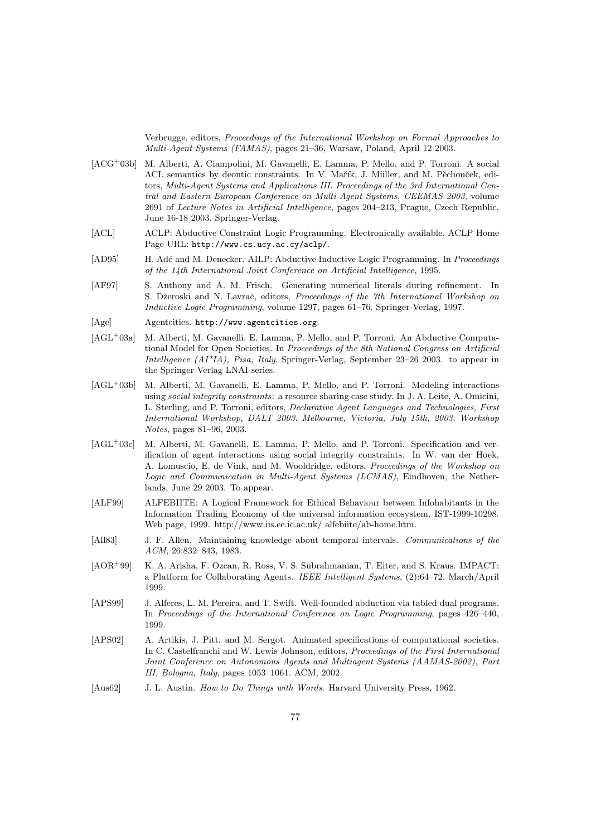Verbrugge, editors, Proceedings of the International Workshop on Formal Approaches to Multi-Agent Systems (FAMAS), pages 21–36, Warsaw, Poland, April 12 2003.

- [ACG<sup>+</sup>03b] M. Alberti, A. Ciampolini, M. Gavanelli, E. Lamma, P. Mello, and P. Torroni. A social ACL semantics by deontic constraints. In V. Mařík, J. Müller, and M. Pěchouček, editors, Multi-Agent Systems and Applications III. Proceedings of the 3rd International Central and Eastern European Conference on Multi-Agent Systems, CEEMAS 2003, volume 2691 of Lecture Notes in Artificial Intelligence, pages 204–213, Prague, Czech Republic, June 16-18 2003. Springer-Verlag.
- [ACL] ACLP: Abductive Constraint Logic Programming. Electronically available. ACLP Home Page URL: http://www.cs.ucy.ac.cy/aclp/.
- [AD95] H. Adé and M. Denecker. AILP: Abductive Inductive Logic Programming. In Proceedings of the 14th International Joint Conference on Artificial Intelligence, 1995.
- [AF97] S. Anthony and A. M. Frisch. Generating numerical literals during refinement. In S. Džeroski and N. Lavrač, editors, Proceedings of the 7th International Workshop on Inductive Logic Programming, volume 1297, pages 61–76. Springer-Verlag, 1997.
- [Age] Agentcities. http://www.agentcities.org.
- [AGL<sup>+</sup>03a] M. Alberti, M. Gavanelli, E. Lamma, P. Mello, and P. Torroni. An Abductive Computational Model for Open Societies. In Proceedings of the 8th National Congress on Artificial Intelligence  $(AI^*IA)$ , Pisa, Italy. Springer-Verlag, September 23–26 2003. to appear in the Springer Verlag LNAI series.
- [AGL<sup>+</sup>03b] M. Alberti, M. Gavanelli, E. Lamma, P. Mello, and P. Torroni. Modeling interactions using social integrity constraints: a resource sharing case study. In J. A. Leite, A. Omicini, L. Sterling, and P. Torroni, editors, Declarative Agent Languages and Technologies, First International Workshop, DALT 2003. Melbourne, Victoria, July 15th, 2003. Workshop Notes, pages 81–96, 2003.
- [AGL<sup>+</sup>03c] M. Alberti, M. Gavanelli, E. Lamma, P. Mello, and P. Torroni. Specification and verification of agent interactions using social integrity constraints. In W. van der Hoek, A. Lomuscio, E. de Vink, and M. Wooldridge, editors, Proceedings of the Workshop on Logic and Communication in Multi-Agent Systems (LCMAS), Eindhoven, the Netherlands, June 29 2003. To appear.
- [ALF99] ALFEBIITE: A Logical Framework for Ethical Behaviour between Infohabitants in the Information Trading Economy of the universal information ecosystem. IST-1999-10298. Web page, 1999. http://www.iis.ee.ic.ac.uk/ alfebiite/ab-home.htm.
- [All83] J. F. Allen. Maintaining knowledge about temporal intervals. Communications of the ACM, 26:832–843, 1983.
- [AOR<sup>+</sup>99] K. A. Arisha, F. Ozcan, R. Ross, V. S. Subrahmanian, T. Eiter, and S. Kraus. IMPACT: a Platform for Collaborating Agents. IEEE Intelligent Systems, (2):64–72, March/April 1999.
- [APS99] J. Alferes, L. M. Pereira, and T. Swift. Well-founded abduction via tabled dual programs. In Proceedings of the International Conference on Logic Programming, pages 426–440, 1999.
- [APS02] A. Artikis, J. Pitt, and M. Sergot. Animated specifications of computational societies. In C. Castelfranchi and W. Lewis Johnson, editors, Proceedings of the First International Joint Conference on Autonomous Agents and Multiagent Systems (AAMAS-2002), Part III, Bologna, Italy, pages 1053–1061. ACM, 2002.
- [Aus62] J. L. Austin. How to Do Things with Words. Harvard University Press, 1962.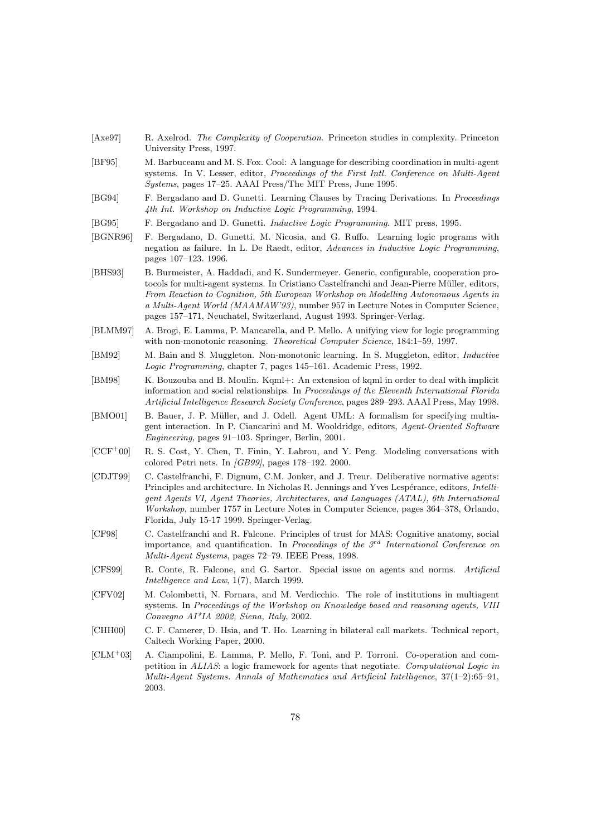| [Axe97]    | R. Axelrod. The Complexity of Cooperation. Princeton studies in complexity. Princeton<br>University Press, 1997.                                                                                                                                                                                                                                                                                                                          |
|------------|-------------------------------------------------------------------------------------------------------------------------------------------------------------------------------------------------------------------------------------------------------------------------------------------------------------------------------------------------------------------------------------------------------------------------------------------|
| [BF95]     | M. Barbuceanu and M. S. Fox. Cool: A language for describing coordination in multi-agent<br>systems. In V. Lesser, editor, Proceedings of the First Intl. Conference on Multi-Agent<br><i>Systems</i> , pages 17–25. AAAI Press/The MIT Press, June 1995.                                                                                                                                                                                 |
| [BG94]     | F. Bergadano and D. Gunetti. Learning Clauses by Tracing Derivations. In Proceedings<br>4th Int. Workshop on Inductive Logic Programming, 1994.                                                                                                                                                                                                                                                                                           |
| [BG95]     | F. Bergadano and D. Gunetti. <i>Inductive Logic Programming</i> . MIT press, 1995.                                                                                                                                                                                                                                                                                                                                                        |
| [BGNR96]   | F. Bergadano, D. Gunetti, M. Nicosia, and G. Ruffo. Learning logic programs with<br>negation as failure. In L. De Raedt, editor, Advances in Inductive Logic Programming,<br>pages 107–123. 1996.                                                                                                                                                                                                                                         |
| [BHS93]    | B. Burmeister, A. Haddadi, and K. Sundermeyer. Generic, configurable, cooperation pro-<br>tocols for multi-agent systems. In Cristiano Castelfranchi and Jean-Pierre Müller, editors,<br>From Reaction to Cognition, 5th European Workshop on Modelling Autonomous Agents in<br>a Multi-Agent World (MAAMAW'93), number 957 in Lecture Notes in Computer Science,<br>pages 157–171, Neuchatel, Switzerland, August 1993. Springer-Verlag. |
| [BLMM97]   | A. Brogi, E. Lamma, P. Mancarella, and P. Mello. A unifying view for logic programming<br>with non-monotonic reasoning. Theoretical Computer Science, 184:1–59, 1997.                                                                                                                                                                                                                                                                     |
| [BM92]     | M. Bain and S. Muggleton. Non-monotonic learning. In S. Muggleton, editor, <i>Inductive</i><br>Logic Programming, chapter 7, pages 145–161. Academic Press, 1992.                                                                                                                                                                                                                                                                         |
| [BM98]     | K. Bouzouba and B. Moulin. Kqml+: An extension of kqml in order to deal with implicit<br>information and social relationships. In Proceedings of the Eleventh International Florida<br>Artificial Intelligence Research Society Conference, pages 289–293. AAAI Press, May 1998.                                                                                                                                                          |
| [BMO01]    | B. Bauer, J. P. Müller, and J. Odell. Agent UML: A formalism for specifying multia-<br>gent interaction. In P. Ciancarini and M. Wooldridge, editors, <i>Agent-Oriented Software</i><br><i>Engineering</i> , pages 91–103. Springer, Berlin, 2001.                                                                                                                                                                                        |
| $[CCF+00]$ | R. S. Cost, Y. Chen, T. Finin, Y. Labrou, and Y. Peng. Modeling conversations with<br>colored Petri nets. In $\sqrt{GB99}$ , pages 178-192. 2000.                                                                                                                                                                                                                                                                                         |
| [CDJT99]   | C. Castelfranchi, F. Dignum, C.M. Jonker, and J. Treur. Deliberative normative agents:<br>Principles and architecture. In Nicholas R. Jennings and Yves Lespérance, editors, <i>Intelli-</i><br>gent Agents VI, Agent Theories, Architectures, and Languages (ATAL), 6th International<br><i>Workshop</i> , number 1757 in Lecture Notes in Computer Science, pages 364–378, Orlando,<br>Florida, July 15-17 1999. Springer-Verlag.       |
| [CF98]     | C. Castelfranchi and R. Falcone. Principles of trust for MAS: Cognitive anatomy, social<br>importance, and quantification. In Proceedings of the $3^{rd}$ International Conference on<br>Multi-Agent Systems, pages 72–79. IEEE Press, 1998.                                                                                                                                                                                              |
| [CFS99]    | R. Conte, R. Falcone, and G. Sartor. Special issue on agents and norms.<br>Artificial<br>Intelligence and Law, $1(7)$ , March 1999.                                                                                                                                                                                                                                                                                                       |
| [CFV02]    | M. Colombetti, N. Fornara, and M. Verdicchio. The role of institutions in multiagent<br>systems. In Proceedings of the Workshop on Knowledge based and reasoning agents, VIII<br>Convegno AI*IA 2002, Siena, Italy, 2002.                                                                                                                                                                                                                 |
| [CHH00]    | C. F. Camerer, D. Hsia, and T. Ho. Learning in bilateral call markets. Technical report,<br>Caltech Working Paper, 2000.                                                                                                                                                                                                                                                                                                                  |
| $[CLM+03]$ | A. Ciampolini, E. Lamma, P. Mello, F. Toni, and P. Torroni. Co-operation and com-<br>petition in ALIAS: a logic framework for agents that negotiate. Computational Logic in<br>Multi-Agent Systems. Annals of Mathematics and Artificial Intelligence, $37(1-2):65-91$ ,<br>2003.                                                                                                                                                         |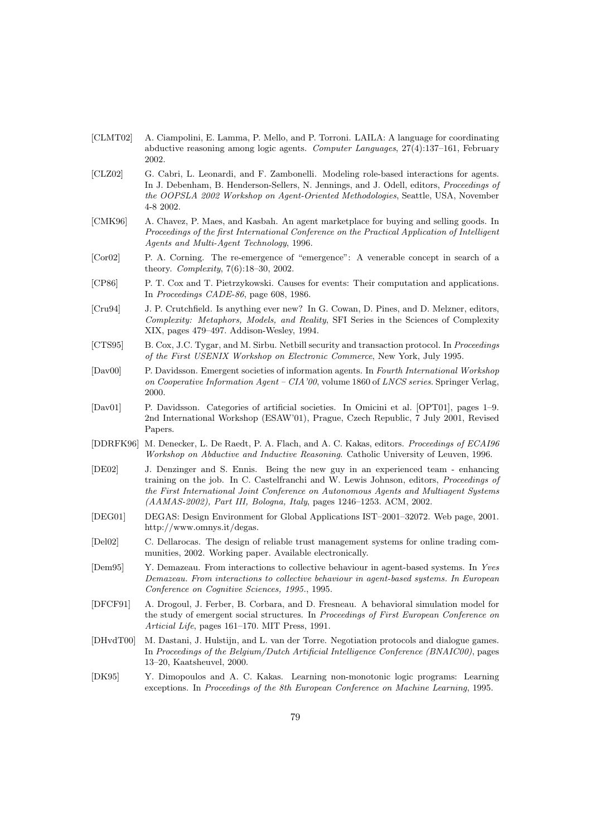- [CLMT02] A. Ciampolini, E. Lamma, P. Mello, and P. Torroni. LAILA: A language for coordinating abductive reasoning among logic agents. Computer Languages, 27(4):137–161, February 2002.
- [CLZ02] G. Cabri, L. Leonardi, and F. Zambonelli. Modeling role-based interactions for agents. In J. Debenham, B. Henderson-Sellers, N. Jennings, and J. Odell, editors, Proceedings of the OOPSLA 2002 Workshop on Agent-Oriented Methodologies, Seattle, USA, November 4-8 2002.
- [CMK96] A. Chavez, P. Maes, and Kasbah. An agent marketplace for buying and selling goods. In Proceedings of the first International Conference on the Practical Application of Intelligent Agents and Multi-Agent Technology, 1996.
- [Cor02] P. A. Corning. The re-emergence of "emergence": A venerable concept in search of a theory. Complexity, 7(6):18–30, 2002.
- [CP86] P. T. Cox and T. Pietrzykowski. Causes for events: Their computation and applications. In Proceedings CADE-86, page 608, 1986.
- [Cru94] J. P. Crutchfield. Is anything ever new? In G. Cowan, D. Pines, and D. Melzner, editors, Complexity: Metaphors, Models, and Reality, SFI Series in the Sciences of Complexity XIX, pages 479–497. Addison-Wesley, 1994.
- [CTS95] B. Cox, J.C. Tygar, and M. Sirbu. Netbill security and transaction protocol. In Proceedings of the First USENIX Workshop on Electronic Commerce, New York, July 1995.
- [Dav00] P. Davidsson. Emergent societies of information agents. In Fourth International Workshop on Cooperative Information Agent – CIA'00, volume 1860 of LNCS series. Springer Verlag, 2000.
- [Dav01] P. Davidsson. Categories of artificial societies. In Omicini et al. [OPT01], pages 1–9. 2nd International Workshop (ESAW'01), Prague, Czech Republic, 7 July 2001, Revised Papers.
- [DDRFK96] M. Denecker, L. De Raedt, P. A. Flach, and A. C. Kakas, editors. Proceedings of ECAI96 Workshop on Abductive and Inductive Reasoning. Catholic University of Leuven, 1996.
- [DE02] J. Denzinger and S. Ennis. Being the new guy in an experienced team enhancing training on the job. In C. Castelfranchi and W. Lewis Johnson, editors, Proceedings of the First International Joint Conference on Autonomous Agents and Multiagent Systems (AAMAS-2002), Part III, Bologna, Italy, pages 1246–1253. ACM, 2002.
- [DEG01] DEGAS: Design Environment for Global Applications IST–2001–32072. Web page, 2001. http://www.omnys.it/degas.
- [Del02] C. Dellarocas. The design of reliable trust management systems for online trading communities, 2002. Working paper. Available electronically.
- [Dem95] Y. Demazeau. From interactions to collective behaviour in agent-based systems. In Yves Demazeau. From interactions to collective behaviour in agent-based systems. In European Conference on Cognitive Sciences, 1995., 1995.
- [DFCF91] A. Drogoul, J. Ferber, B. Corbara, and D. Fresneau. A behavioral simulation model for the study of emergent social structures. In Proceedings of First European Conference on Articial Life, pages 161–170. MIT Press, 1991.
- [DHvdT00] M. Dastani, J. Hulstijn, and L. van der Torre. Negotiation protocols and dialogue games. In Proceedings of the Belgium/Dutch Artificial Intelligence Conference (BNAIC00), pages 13–20, Kaatsheuvel, 2000.
- [DK95] Y. Dimopoulos and A. C. Kakas. Learning non-monotonic logic programs: Learning exceptions. In Proceedings of the 8th European Conference on Machine Learning, 1995.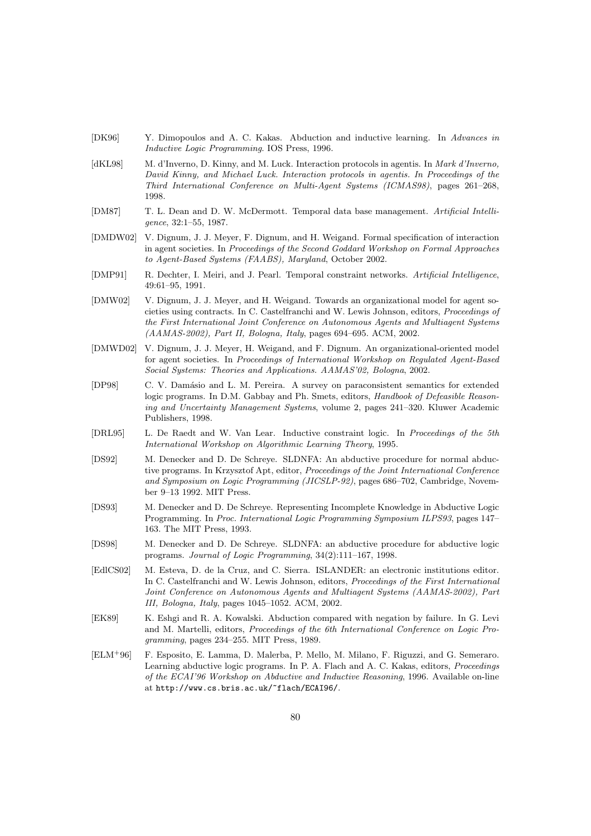- [DK96] Y. Dimopoulos and A. C. Kakas. Abduction and inductive learning. In Advances in Inductive Logic Programming. IOS Press, 1996.
- [dKL98] M. d'Inverno, D. Kinny, and M. Luck. Interaction protocols in agentis. In Mark d'Inverno, David Kinny, and Michael Luck. Interaction protocols in agentis. In Proceedings of the Third International Conference on Multi-Agent Systems (ICMAS98), pages 261–268, 1998.
- [DM87] T. L. Dean and D. W. McDermott. Temporal data base management. Artificial Intelligence, 32:1–55, 1987.
- [DMDW02] V. Dignum, J. J. Meyer, F. Dignum, and H. Weigand. Formal specification of interaction in agent societies. In Proceedings of the Second Goddard Workshop on Formal Approaches to Agent-Based Systems (FAABS), Maryland, October 2002.
- [DMP91] R. Dechter, I. Meiri, and J. Pearl. Temporal constraint networks. Artificial Intelligence, 49:61–95, 1991.
- [DMW02] V. Dignum, J. J. Meyer, and H. Weigand. Towards an organizational model for agent societies using contracts. In C. Castelfranchi and W. Lewis Johnson, editors, Proceedings of the First International Joint Conference on Autonomous Agents and Multiagent Systems (AAMAS-2002), Part II, Bologna, Italy, pages 694–695. ACM, 2002.
- [DMWD02] V. Dignum, J. J. Meyer, H. Weigand, and F. Dignum. An organizational-oriented model for agent societies. In Proceedings of International Workshop on Regulated Agent-Based Social Systems: Theories and Applications. AAMAS'02, Bologna, 2002.
- [DP98] C. V. Damásio and L. M. Pereira. A survey on paraconsistent semantics for extended logic programs. In D.M. Gabbay and Ph. Smets, editors, Handbook of Defeasible Reasoning and Uncertainty Management Systems, volume 2, pages 241–320. Kluwer Academic Publishers, 1998.
- [DRL95] L. De Raedt and W. Van Lear. Inductive constraint logic. In Proceedings of the 5th International Workshop on Algorithmic Learning Theory, 1995.
- [DS92] M. Denecker and D. De Schreye. SLDNFA: An abductive procedure for normal abductive programs. In Krzysztof Apt, editor, Proceedings of the Joint International Conference and Symposium on Logic Programming (JICSLP-92), pages 686–702, Cambridge, November 9–13 1992. MIT Press.
- [DS93] M. Denecker and D. De Schreye. Representing Incomplete Knowledge in Abductive Logic Programming. In Proc. International Logic Programming Symposium ILPS93, pages 147– 163. The MIT Press, 1993.
- [DS98] M. Denecker and D. De Schreye. SLDNFA: an abductive procedure for abductive logic programs. Journal of Logic Programming, 34(2):111–167, 1998.
- [EdlCS02] M. Esteva, D. de la Cruz, and C. Sierra. ISLANDER: an electronic institutions editor. In C. Castelfranchi and W. Lewis Johnson, editors, Proceedings of the First International Joint Conference on Autonomous Agents and Multiagent Systems (AAMAS-2002), Part III, Bologna, Italy, pages 1045–1052. ACM, 2002.
- [EK89] K. Eshgi and R. A. Kowalski. Abduction compared with negation by failure. In G. Levi and M. Martelli, editors, Proceedings of the 6th International Conference on Logic Programming, pages 234–255. MIT Press, 1989.
- [ELM<sup>+</sup>96] F. Esposito, E. Lamma, D. Malerba, P. Mello, M. Milano, F. Riguzzi, and G. Semeraro. Learning abductive logic programs. In P. A. Flach and A. C. Kakas, editors, Proceedings of the ECAI'96 Workshop on Abductive and Inductive Reasoning, 1996. Available on-line at http://www.cs.bris.ac.uk/~flach/ECAI96/.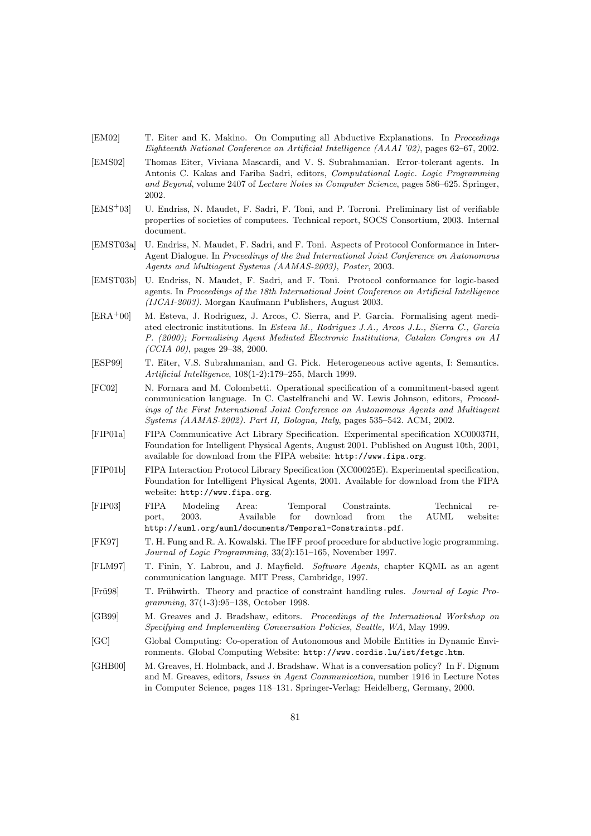- [EM02] T. Eiter and K. Makino. On Computing all Abductive Explanations. In Proceedings Eighteenth National Conference on Artificial Intelligence (AAAI '02), pages 62–67, 2002.
- [EMS02] Thomas Eiter, Viviana Mascardi, and V. S. Subrahmanian. Error-tolerant agents. In Antonis C. Kakas and Fariba Sadri, editors, Computational Logic. Logic Programming and Beyond, volume 2407 of Lecture Notes in Computer Science, pages 586–625. Springer, 2002.
- [EMS<sup>+</sup>03] U. Endriss, N. Maudet, F. Sadri, F. Toni, and P. Torroni. Preliminary list of verifiable properties of societies of computees. Technical report, SOCS Consortium, 2003. Internal document.
- [EMST03a] U. Endriss, N. Maudet, F. Sadri, and F. Toni. Aspects of Protocol Conformance in Inter-Agent Dialogue. In Proceedings of the 2nd International Joint Conference on Autonomous Agents and Multiagent Systems (AAMAS-2003), Poster, 2003.
- [EMST03b] U. Endriss, N. Maudet, F. Sadri, and F. Toni. Protocol conformance for logic-based agents. In Proceedings of the 18th International Joint Conference on Artificial Intelligence (IJCAI-2003). Morgan Kaufmann Publishers, August 2003.
- [ERA<sup>+</sup>00] M. Esteva, J. Rodriguez, J. Arcos, C. Sierra, and P. Garcia. Formalising agent mediated electronic institutions. In Esteva M., Rodriguez J.A., Arcos J.L., Sierra C., Garcia P. (2000); Formalising Agent Mediated Electronic Institutions, Catalan Congres on AI  $(CCIA 00)$ , pages 29–38, 2000.
- [ESP99] T. Eiter, V.S. Subrahmanian, and G. Pick. Heterogeneous active agents, I: Semantics. Artificial Intelligence, 108(1-2):179–255, March 1999.
- [FC02] N. Fornara and M. Colombetti. Operational specification of a commitment-based agent communication language. In C. Castelfranchi and W. Lewis Johnson, editors, Proceedings of the First International Joint Conference on Autonomous Agents and Multiagent Systems (AAMAS-2002). Part II, Bologna, Italy, pages 535–542. ACM, 2002.
- [FIP01a] FIPA Communicative Act Library Specification. Experimental specification XC00037H, Foundation for Intelligent Physical Agents, August 2001. Published on August 10th, 2001, available for download from the FIPA website: http://www.fipa.org.
- [FIP01b] FIPA Interaction Protocol Library Specification (XC00025E). Experimental specification, Foundation for Intelligent Physical Agents, 2001. Available for download from the FIPA website: http://www.fipa.org.
- [FIP03] FIPA Modeling Area: Temporal Constraints. Technical report, 2003. Available for download from the AUML website: http://auml.org/auml/documents/Temporal-Constraints.pdf.
- [FK97] T. H. Fung and R. A. Kowalski. The IFF proof procedure for abductive logic programming. Journal of Logic Programming, 33(2):151–165, November 1997.
- [FLM97] T. Finin, Y. Labrou, and J. Mayfield. Software Agents, chapter KQML as an agent communication language. MIT Press, Cambridge, 1997.
- [Fru98] T. Fruhwirth. Theory and practice of constraint handling rules. *Journal of Logic Pro*gramming, 37(1-3):95–138, October 1998.
- [GB99] M. Greaves and J. Bradshaw, editors. Proceedings of the International Workshop on Specifying and Implementing Conversation Policies, Seattle, WA, May 1999.
- [GC] Global Computing: Co-operation of Autonomous and Mobile Entities in Dynamic Environments. Global Computing Website: http://www.cordis.lu/ist/fetgc.htm.
- [GHB00] M. Greaves, H. Holmback, and J. Bradshaw. What is a conversation policy? In F. Dignum and M. Greaves, editors, Issues in Agent Communication, number 1916 in Lecture Notes in Computer Science, pages 118–131. Springer-Verlag: Heidelberg, Germany, 2000.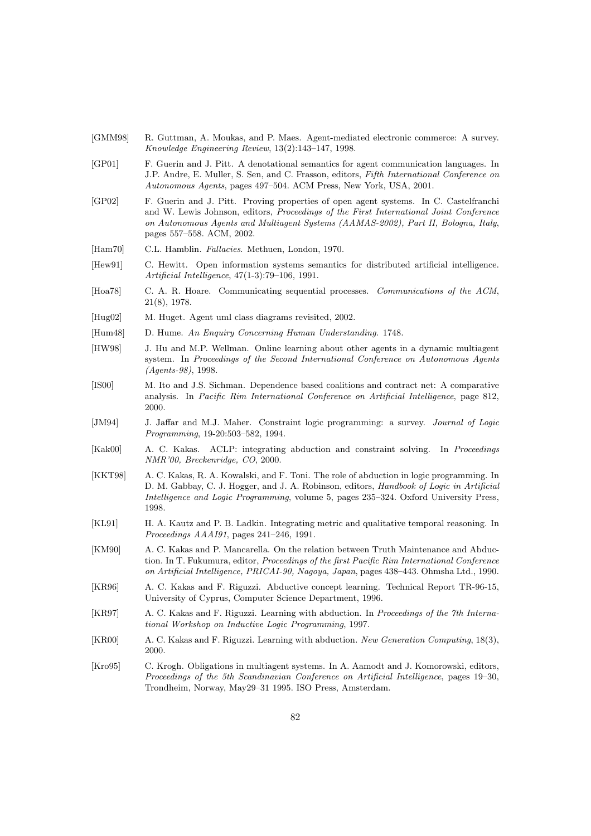- [GMM98] R. Guttman, A. Moukas, and P. Maes. Agent-mediated electronic commerce: A survey. Knowledge Engineering Review, 13(2):143–147, 1998.
- [GP01] F. Guerin and J. Pitt. A denotational semantics for agent communication languages. In J.P. Andre, E. Muller, S. Sen, and C. Frasson, editors, Fifth International Conference on Autonomous Agents, pages 497–504. ACM Press, New York, USA, 2001.
- [GP02] F. Guerin and J. Pitt. Proving properties of open agent systems. In C. Castelfranchi and W. Lewis Johnson, editors, Proceedings of the First International Joint Conference on Autonomous Agents and Multiagent Systems (AAMAS-2002), Part II, Bologna, Italy, pages 557–558. ACM, 2002.
- [Ham70] C.L. Hamblin. Fallacies. Methuen, London, 1970.
- [Hew91] C. Hewitt. Open information systems semantics for distributed artificial intelligence. Artificial Intelligence, 47(1-3):79–106, 1991.
- [Hoa78] C. A. R. Hoare. Communicating sequential processes. Communications of the ACM, 21(8), 1978.
- [Hug02] M. Huget. Agent uml class diagrams revisited, 2002.
- [Hum48] D. Hume. An Enquiry Concerning Human Understanding. 1748.
- [HW98] J. Hu and M.P. Wellman. Online learning about other agents in a dynamic multiagent system. In Proceedings of the Second International Conference on Autonomous Agents (Agents-98), 1998.
- [IS00] M. Ito and J.S. Sichman. Dependence based coalitions and contract net: A comparative analysis. In Pacific Rim International Conference on Artificial Intelligence, page 812, 2000.
- [JM94] J. Jaffar and M.J. Maher. Constraint logic programming: a survey. Journal of Logic Programming, 19-20:503–582, 1994.
- [Kak00] A. C. Kakas. ACLP: integrating abduction and constraint solving. In Proceedings NMR'00, Breckenridge, CO, 2000.
- [KKT98] A. C. Kakas, R. A. Kowalski, and F. Toni. The role of abduction in logic programming. In D. M. Gabbay, C. J. Hogger, and J. A. Robinson, editors, Handbook of Logic in Artificial Intelligence and Logic Programming, volume 5, pages 235–324. Oxford University Press, 1998.
- [KL91] H. A. Kautz and P. B. Ladkin. Integrating metric and qualitative temporal reasoning. In Proceedings AAAI91, pages 241–246, 1991.
- [KM90] A. C. Kakas and P. Mancarella. On the relation between Truth Maintenance and Abduction. In T. Fukumura, editor, Proceedings of the first Pacific Rim International Conference on Artificial Intelligence, PRICAI-90, Nagoya, Japan, pages 438–443. Ohmsha Ltd., 1990.
- [KR96] A. C. Kakas and F. Riguzzi. Abductive concept learning. Technical Report TR-96-15, University of Cyprus, Computer Science Department, 1996.
- [KR97] A. C. Kakas and F. Riguzzi. Learning with abduction. In Proceedings of the 7th International Workshop on Inductive Logic Programming, 1997.
- [KR00] A. C. Kakas and F. Riguzzi. Learning with abduction. New Generation Computing, 18(3), 2000.
- [Kro95] C. Krogh. Obligations in multiagent systems. In A. Aamodt and J. Komorowski, editors, Proceedings of the 5th Scandinavian Conference on Artificial Intelligence, pages 19–30, Trondheim, Norway, May29–31 1995. ISO Press, Amsterdam.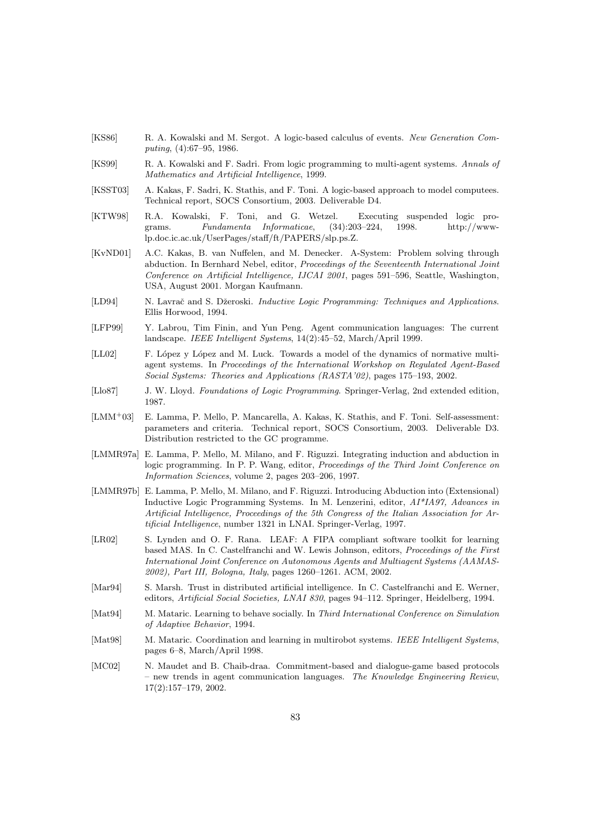- [KS86] R. A. Kowalski and M. Sergot. A logic-based calculus of events. New Generation Computing, (4):67–95, 1986.
- [KS99] R. A. Kowalski and F. Sadri. From logic programming to multi-agent systems. Annals of Mathematics and Artificial Intelligence, 1999.
- [KSST03] A. Kakas, F. Sadri, K. Stathis, and F. Toni. A logic-based approach to model computees. Technical report, SOCS Consortium, 2003. Deliverable D4.
- [KTW98] R.A. Kowalski, F. Toni, and G. Wetzel. Executing suspended logic programs. Fundamenta Informaticae, (34):203–224, 1998. http://wwwlp.doc.ic.ac.uk/UserPages/staff/ft/PAPERS/slp.ps.Z.
- [KvND01] A.C. Kakas, B. van Nuffelen, and M. Denecker. A-System: Problem solving through abduction. In Bernhard Nebel, editor, Proceedings of the Seventeenth International Joint Conference on Artificial Intelligence, IJCAI 2001, pages 591–596, Seattle, Washington, USA, August 2001. Morgan Kaufmann.
- [LD94] N. Lavrač and S. Džeroski. Inductive Logic Programming: Techniques and Applications. Ellis Horwood, 1994.
- [LFP99] Y. Labrou, Tim Finin, and Yun Peng. Agent communication languages: The current landscape. IEEE Intelligent Systems, 14(2):45–52, March/April 1999.
- [LL02] F. López y López and M. Luck. Towards a model of the dynamics of normative multiagent systems. In Proceedings of the International Workshop on Regulated Agent-Based Social Systems: Theories and Applications (RASTA'02), pages 175–193, 2002.
- [Llo87] J. W. Lloyd. Foundations of Logic Programming. Springer-Verlag, 2nd extended edition, 1987.
- [LMM<sup>+</sup>03] E. Lamma, P. Mello, P. Mancarella, A. Kakas, K. Stathis, and F. Toni. Self-assessment: parameters and criteria. Technical report, SOCS Consortium, 2003. Deliverable D3. Distribution restricted to the GC programme.
- [LMMR97a] E. Lamma, P. Mello, M. Milano, and F. Riguzzi. Integrating induction and abduction in logic programming. In P. P. Wang, editor, *Proceedings of the Third Joint Conference on* Information Sciences, volume 2, pages 203–206, 1997.
- [LMMR97b] E. Lamma, P. Mello, M. Milano, and F. Riguzzi. Introducing Abduction into (Extensional) Inductive Logic Programming Systems. In M. Lenzerini, editor, AI\*IA97, Advances in Artificial Intelligence, Proceedings of the 5th Congress of the Italian Association for Artificial Intelligence, number 1321 in LNAI. Springer-Verlag, 1997.
- [LR02] S. Lynden and O. F. Rana. LEAF: A FIPA compliant software toolkit for learning based MAS. In C. Castelfranchi and W. Lewis Johnson, editors, Proceedings of the First International Joint Conference on Autonomous Agents and Multiagent Systems (AAMAS-2002), Part III, Bologna, Italy, pages 1260–1261. ACM, 2002.
- [Mar94] S. Marsh. Trust in distributed artificial intelligence. In C. Castelfranchi and E. Werner, editors, Artificial Social Societies, LNAI 830, pages 94–112. Springer, Heidelberg, 1994.
- [Mat94] M. Mataric. Learning to behave socially. In Third International Conference on Simulation of Adaptive Behavior, 1994.
- [Mat98] M. Mataric. Coordination and learning in multirobot systems. IEEE Intelligent Systems, pages 6–8, March/April 1998.
- [MC02] N. Maudet and B. Chaib-draa. Commitment-based and dialogue-game based protocols – new trends in agent communication languages. The Knowledge Engineering Review, 17(2):157–179, 2002.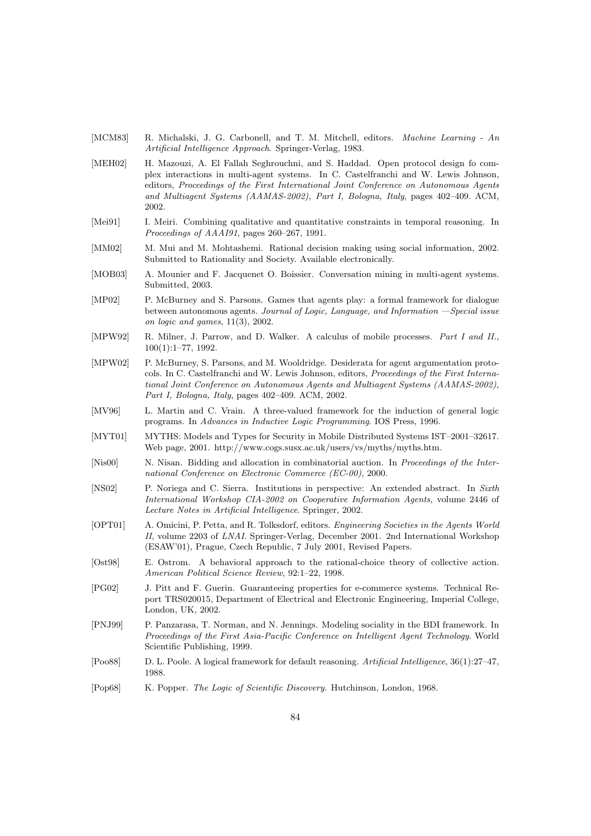- [MCM83] R. Michalski, J. G. Carbonell, and T. M. Mitchell, editors. *Machine Learning An* Artificial Intelligence Approach. Springer-Verlag, 1983.
- [MEH02] H. Mazouzi, A. El Fallah Seghrouchni, and S. Haddad. Open protocol design fo complex interactions in multi-agent systems. In C. Castelfranchi and W. Lewis Johnson, editors, Proceedings of the First International Joint Conference on Autonomous Agents and Multiagent Systems (AAMAS-2002), Part I, Bologna, Italy, pages 402–409. ACM, 2002.
- [Mei91] I. Meiri. Combining qualitative and quantitative constraints in temporal reasoning. In Proceedings of AAAI91, pages 260–267, 1991.
- [MM02] M. Mui and M. Mohtashemi. Rational decision making using social information, 2002. Submitted to Rationality and Society. Available electronically.
- [MOB03] A. Mounier and F. Jacquenet O. Boissier. Conversation mining in multi-agent systems. Submitted, 2003.
- [MP02] P. McBurney and S. Parsons. Games that agents play: a formal framework for dialogue between autonomous agents. Journal of Logic, Language, and Information —Special issue on logic and games, 11(3), 2002.
- [MPW92] R. Milner, J. Parrow, and D. Walker. A calculus of mobile processes. Part I and II., 100(1):1–77, 1992.
- [MPW02] P. McBurney, S. Parsons, and M. Wooldridge. Desiderata for agent argumentation protocols. In C. Castelfranchi and W. Lewis Johnson, editors, Proceedings of the First International Joint Conference on Autonomous Agents and Multiagent Systems (AAMAS-2002), Part I, Bologna, Italy, pages 402–409. ACM, 2002.
- [MV96] L. Martin and C. Vrain. A three-valued framework for the induction of general logic programs. In Advances in Inductive Logic Programming. IOS Press, 1996.
- [MYT01] MYTHS: Models and Types for Security in Mobile Distributed Systems IST–2001–32617. Web page, 2001. http://www.cogs.susx.ac.uk/users/vs/myths/myths.htm.
- [Nis00] N. Nisan. Bidding and allocation in combinatorial auction. In *Proceedings of the Inter*national Conference on Electronic Commerce (EC-00), 2000.
- [NS02] P. Noriega and C. Sierra. Institutions in perspective: An extended abstract. In Sixth International Workshop CIA-2002 on Cooperative Information Agents, volume 2446 of Lecture Notes in Artificial Intelligence. Springer, 2002.
- [OPT01] A. Omicini, P. Petta, and R. Tolksdorf, editors. Engineering Societies in the Agents World II, volume 2203 of LNAI. Springer-Verlag, December 2001. 2nd International Workshop (ESAW'01), Prague, Czech Republic, 7 July 2001, Revised Papers.
- [Ost98] E. Ostrom. A behavioral approach to the rational-choice theory of collective action. American Political Science Review, 92:1–22, 1998.
- [PG02] J. Pitt and F. Guerin. Guaranteeing properties for e-commerce systems. Technical Report TRS020015, Department of Electrical and Electronic Engineering, Imperial College, London, UK, 2002.
- [PNJ99] P. Panzarasa, T. Norman, and N. Jennings. Modeling sociality in the BDI framework. In Proceedings of the First Asia-Pacific Conference on Intelligent Agent Technology. World Scientific Publishing, 1999.
- [Poo88] D. L. Poole. A logical framework for default reasoning. Artificial Intelligence, 36(1):27–47, 1988.
- [Pop68] K. Popper. The Logic of Scientific Discovery. Hutchinson, London, 1968.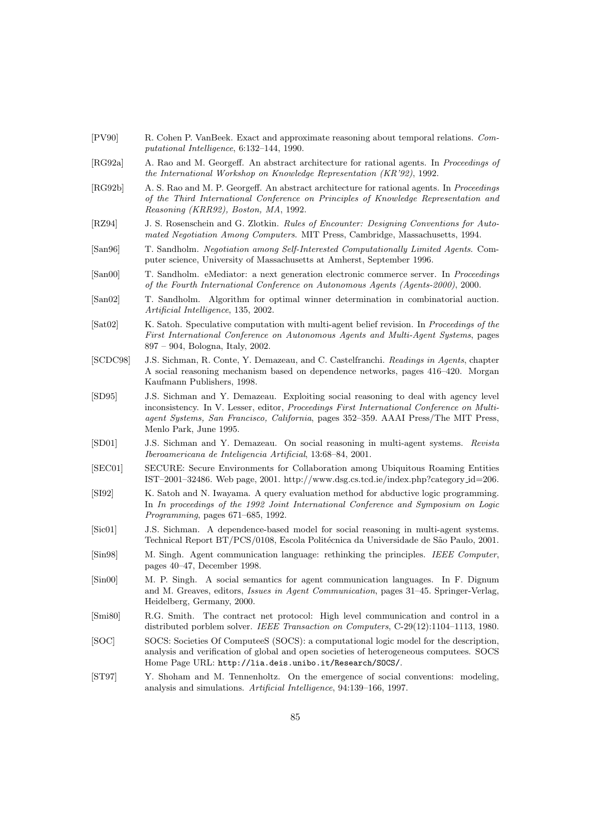- [PV90] R. Cohen P. VanBeek. Exact and approximate reasoning about temporal relations. Computational Intelligence, 6:132–144, 1990.
- [RG92a] A. Rao and M. Georgeff. An abstract architecture for rational agents. In Proceedings of the International Workshop on Knowledge Representation (KR'92), 1992.
- [RG92b] A. S. Rao and M. P. Georgeff. An abstract architecture for rational agents. In Proceedings of the Third International Conference on Principles of Knowledge Representation and Reasoning (KRR92), Boston, MA, 1992.
- [RZ94] J. S. Rosenschein and G. Zlotkin. Rules of Encounter: Designing Conventions for Automated Negotiation Among Computers. MIT Press, Cambridge, Massachusetts, 1994.
- [San96] T. Sandholm. Negotiation among Self-Interested Computationally Limited Agents. Computer science, University of Massachusetts at Amherst, September 1996.
- [San00] T. Sandholm. eMediator: a next generation electronic commerce server. In Proceedings of the Fourth International Conference on Autonomous Agents (Agents-2000), 2000.
- [San02] T. Sandholm. Algorithm for optimal winner determination in combinatorial auction. Artificial Intelligence, 135, 2002.
- [Sat02] K. Satoh. Speculative computation with multi-agent belief revision. In Proceedings of the First International Conference on Autonomous Agents and Multi-Agent Systems, pages 897 – 904, Bologna, Italy, 2002.
- [SCDC98] J.S. Sichman, R. Conte, Y. Demazeau, and C. Castelfranchi. Readings in Agents, chapter A social reasoning mechanism based on dependence networks, pages 416–420. Morgan Kaufmann Publishers, 1998.
- [SD95] J.S. Sichman and Y. Demazeau. Exploiting social reasoning to deal with agency level inconsistency. In V. Lesser, editor, Proceedings First International Conference on Multiagent Systems, San Francisco, California, pages 352–359. AAAI Press/The MIT Press, Menlo Park, June 1995.
- [SD01] J.S. Sichman and Y. Demazeau. On social reasoning in multi-agent systems. Revista Iberoamericana de Inteligencia Artificial, 13:68–84, 2001.
- [SEC01] SECURE: Secure Environments for Collaboration among Ubiquitous Roaming Entities IST–2001–32486. Web page, 2001. http://www.dsg.cs.tcd.ie/index.php?category id=206.
- [SI92] K. Satoh and N. Iwayama. A query evaluation method for abductive logic programming. In In proceedings of the 1992 Joint International Conference and Symposium on Logic Programming, pages 671–685, 1992.
- [Sic01] J.S. Sichman. A dependence-based model for social reasoning in multi-agent systems. Technical Report BT/PCS/0108, Escola Politécnica da Universidade de São Paulo, 2001.
- [Sin98] M. Singh. Agent communication language: rethinking the principles. IEEE Computer, pages 40–47, December 1998.
- [Sin00] M. P. Singh. A social semantics for agent communication languages. In F. Dignum and M. Greaves, editors, Issues in Agent Communication, pages 31–45. Springer-Verlag, Heidelberg, Germany, 2000.
- [Smi80] R.G. Smith. The contract net protocol: High level communication and control in a distributed porblem solver. IEEE Transaction on Computers, C-29(12):1104–1113, 1980.
- [SOC] SOCS: Societies Of ComputeeS (SOCS): a computational logic model for the description, analysis and verification of global and open societies of heterogeneous computees. SOCS Home Page URL: http://lia.deis.unibo.it/Research/SOCS/.
- [ST97] Y. Shoham and M. Tennenholtz. On the emergence of social conventions: modeling, analysis and simulations. Artificial Intelligence, 94:139–166, 1997.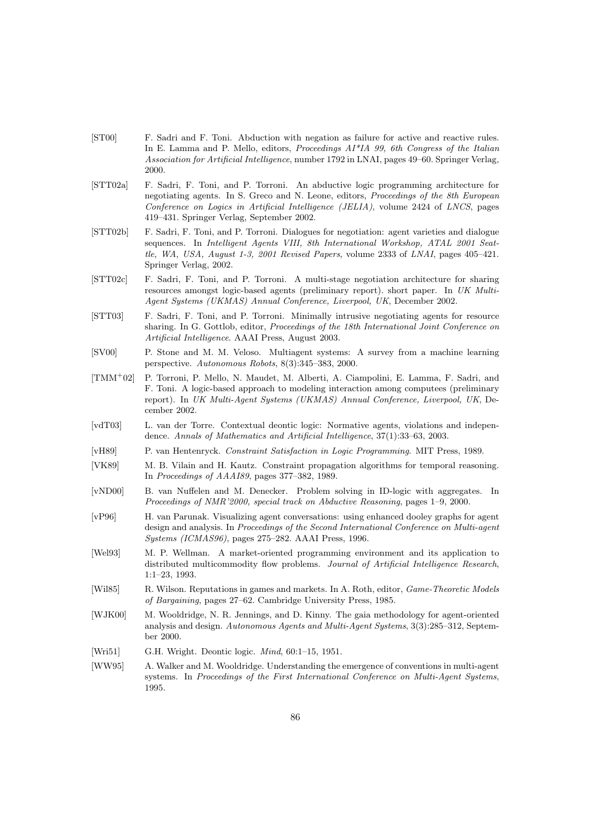- [ST00] F. Sadri and F. Toni. Abduction with negation as failure for active and reactive rules. In E. Lamma and P. Mello, editors, *Proceedings*  $AI^*IA$  *99, 6th Congress of the Italian* Association for Artificial Intelligence, number 1792 in LNAI, pages 49–60. Springer Verlag, 2000.
- [STT02a] F. Sadri, F. Toni, and P. Torroni. An abductive logic programming architecture for negotiating agents. In S. Greco and N. Leone, editors, Proceedings of the 8th European Conference on Logics in Artificial Intelligence (JELIA), volume 2424 of LNCS, pages 419–431. Springer Verlag, September 2002.
- [STT02b] F. Sadri, F. Toni, and P. Torroni. Dialogues for negotiation: agent varieties and dialogue sequences. In Intelligent Agents VIII, 8th International Workshop, ATAL 2001 Seattle, WA, USA, August 1-3, 2001 Revised Papers, volume 2333 of LNAI, pages 405–421. Springer Verlag, 2002.
- [STT02c] F. Sadri, F. Toni, and P. Torroni. A multi-stage negotiation architecture for sharing resources amongst logic-based agents (preliminary report). short paper. In UK Multi-Agent Systems (UKMAS) Annual Conference, Liverpool, UK, December 2002.
- [STT03] F. Sadri, F. Toni, and P. Torroni. Minimally intrusive negotiating agents for resource sharing. In G. Gottlob, editor, Proceedings of the 18th International Joint Conference on Artificial Intelligence. AAAI Press, August 2003.
- [SV00] P. Stone and M. M. Veloso. Multiagent systems: A survey from a machine learning perspective. Autonomous Robots, 8(3):345–383, 2000.
- [TMM<sup>+</sup>02] P. Torroni, P. Mello, N. Maudet, M. Alberti, A. Ciampolini, E. Lamma, F. Sadri, and F. Toni. A logic-based approach to modeling interaction among computees (preliminary report). In UK Multi-Agent Systems (UKMAS) Annual Conference, Liverpool, UK, December 2002.
- [vdT03] L. van der Torre. Contextual deontic logic: Normative agents, violations and independence. Annals of Mathematics and Artificial Intelligence, 37(1):33–63, 2003.
- [vH89] P. van Hentenryck. Constraint Satisfaction in Logic Programming. MIT Press, 1989.
- [VK89] M. B. Vilain and H. Kautz. Constraint propagation algorithms for temporal reasoning. In Proceedings of AAAI89, pages 377–382, 1989.
- [vND00] B. van Nuffelen and M. Denecker. Problem solving in ID-logic with aggregates. In Proceedings of NMR'2000, special track on Abductive Reasoning, pages 1–9, 2000.
- [vP96] H. van Parunak. Visualizing agent conversations: using enhanced dooley graphs for agent design and analysis. In Proceedings of the Second International Conference on Multi-agent Systems (ICMAS96), pages 275–282. AAAI Press, 1996.
- [Wel93] M. P. Wellman. A market-oriented programming environment and its application to distributed multicommodity flow problems. Journal of Artificial Intelligence Research, 1:1–23, 1993.
- [Wil85] R. Wilson. Reputations in games and markets. In A. Roth, editor, Game-Theoretic Models of Bargaining, pages 27–62. Cambridge University Press, 1985.
- [WJK00] M. Wooldridge, N. R. Jennings, and D. Kinny. The gaia methodology for agent-oriented analysis and design. Autonomous Agents and Multi-Agent Systems, 3(3):285–312, September 2000.
- [Wri51] G.H. Wright. Deontic logic. *Mind*, 60:1-15, 1951.
- [WW95] A. Walker and M. Wooldridge. Understanding the emergence of conventions in multi-agent systems. In Proceedings of the First International Conference on Multi-Agent Systems, 1995.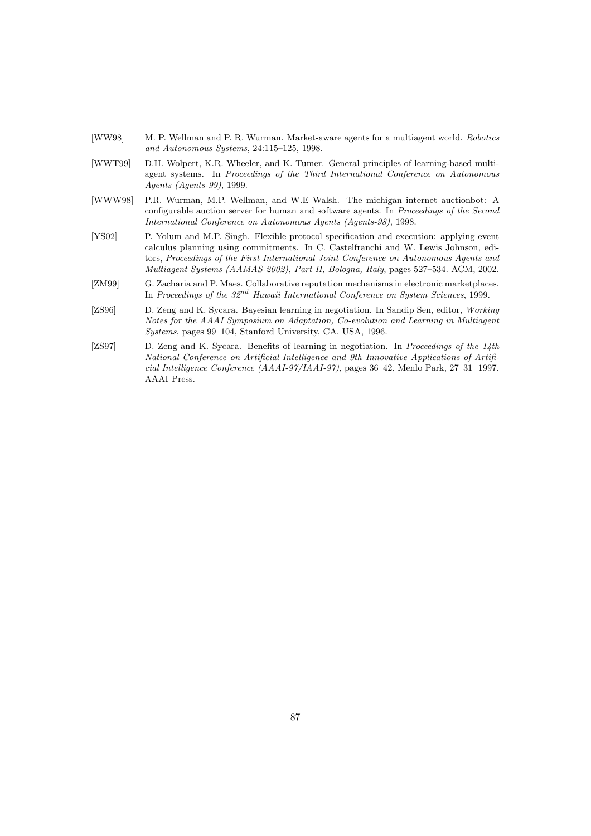- [WW98] M. P. Wellman and P. R. Wurman. Market-aware agents for a multiagent world. Robotics and Autonomous Systems, 24:115–125, 1998.
- [WWT99] D.H. Wolpert, K.R. Wheeler, and K. Tumer. General principles of learning-based multiagent systems. In Proceedings of the Third International Conference on Autonomous Agents (Agents-99), 1999.
- [WWW98] P.R. Wurman, M.P. Wellman, and W.E Walsh. The michigan internet auctionbot: A configurable auction server for human and software agents. In Proceedings of the Second International Conference on Autonomous Agents (Agents-98), 1998.
- [YS02] P. Yolum and M.P. Singh. Flexible protocol specification and execution: applying event calculus planning using commitments. In C. Castelfranchi and W. Lewis Johnson, editors, Proceedings of the First International Joint Conference on Autonomous Agents and Multiagent Systems (AAMAS-2002), Part II, Bologna, Italy, pages 527–534. ACM, 2002.
- [ZM99] G. Zacharia and P. Maes. Collaborative reputation mechanisms in electronic marketplaces. In Proceedings of the  $32^{nd}$  Hawaii International Conference on System Sciences, 1999.
- [ZS96] D. Zeng and K. Sycara. Bayesian learning in negotiation. In Sandip Sen, editor, Working Notes for the AAAI Symposium on Adaptation, Co-evolution and Learning in Multiagent Systems, pages 99–104, Stanford University, CA, USA, 1996.
- [ZS97] D. Zeng and K. Sycara. Benefits of learning in negotiation. In Proceedings of the 14th National Conference on Artificial Intelligence and 9th Innovative Applications of Artificial Intelligence Conference (AAAI-97/IAAI-97), pages 36–42, Menlo Park, 27–31 1997. AAAI Press.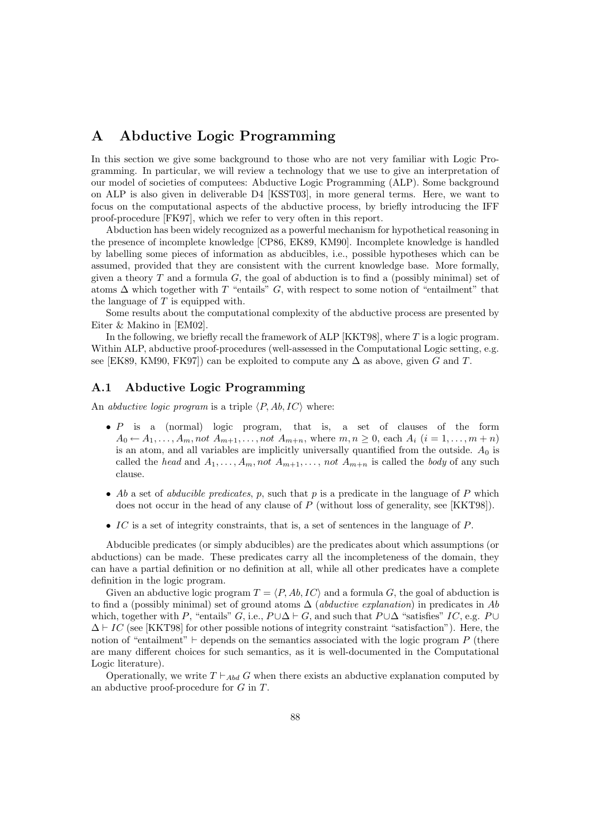# A Abductive Logic Programming

In this section we give some background to those who are not very familiar with Logic Programming. In particular, we will review a technology that we use to give an interpretation of our model of societies of computees: Abductive Logic Programming (ALP). Some background on ALP is also given in deliverable D4 [KSST03], in more general terms. Here, we want to focus on the computational aspects of the abductive process, by briefly introducing the IFF proof-procedure [FK97], which we refer to very often in this report.

Abduction has been widely recognized as a powerful mechanism for hypothetical reasoning in the presence of incomplete knowledge [CP86, EK89, KM90]. Incomplete knowledge is handled by labelling some pieces of information as abducibles, i.e., possible hypotheses which can be assumed, provided that they are consistent with the current knowledge base. More formally, given a theory  $T$  and a formula  $G$ , the goal of abduction is to find a (possibly minimal) set of atoms  $\Delta$  which together with T "entails" G, with respect to some notion of "entailment" that the language of  $T$  is equipped with.

Some results about the computational complexity of the abductive process are presented by Eiter & Makino in [EM02].

In the following, we briefly recall the framework of ALP  $[KKT98]$ , where T is a logic program. Within ALP, abductive proof-procedures (well-assessed in the Computational Logic setting, e.g. see [EK89, KM90, FK97]) can be exploited to compute any  $\Delta$  as above, given G and T.

## A.1 Abductive Logic Programming

An *abductive logic program* is a triple  $\langle P, Ab, IC \rangle$  where:

- $\bullet$  P is a (normal) logic program, that is, a set of clauses of the form  $A_0 \leftarrow A_1, \ldots, A_m$ , not  $A_{m+1}, \ldots, \text{not } A_{m+n}$ , where  $m, n \geq 0$ , each  $A_i$   $(i = 1, \ldots, m+n)$ is an atom, and all variables are implicitly universally quantified from the outside.  $A_0$  is called the head and  $A_1, \ldots, A_m$ , not  $A_{m+1}, \ldots, \text{not } A_{m+n}$  is called the body of any such clause.
- Ab a set of *abducible predicates*,  $p$ , such that  $p$  is a predicate in the language of  $P$  which does not occur in the head of any clause of P (without loss of generality, see [KKT98]).
- IC is a set of integrity constraints, that is, a set of sentences in the language of  $P$ .

Abducible predicates (or simply abducibles) are the predicates about which assumptions (or abductions) can be made. These predicates carry all the incompleteness of the domain, they can have a partial definition or no definition at all, while all other predicates have a complete definition in the logic program.

Given an abductive logic program  $T = \langle P, Ab, IC \rangle$  and a formula G, the goal of abduction is to find a (possibly minimal) set of ground atoms  $\Delta$  (*abductive explanation*) in predicates in Ab which, together with P, "entails" G, i.e.,  $P \cup \Delta \vdash G$ , and such that  $P \cup \Delta$  "satisfies" IC, e.g. P $\cup$  $\Delta \vdash IC$  (see [KKT98] for other possible notions of integrity constraint "satisfaction"). Here, the notion of "entailment"  $\vdash$  depends on the semantics associated with the logic program P (there are many different choices for such semantics, as it is well-documented in the Computational Logic literature).

Operationally, we write  $T \vdash_{Abd} G$  when there exists an abductive explanation computed by an abductive proof-procedure for G in T.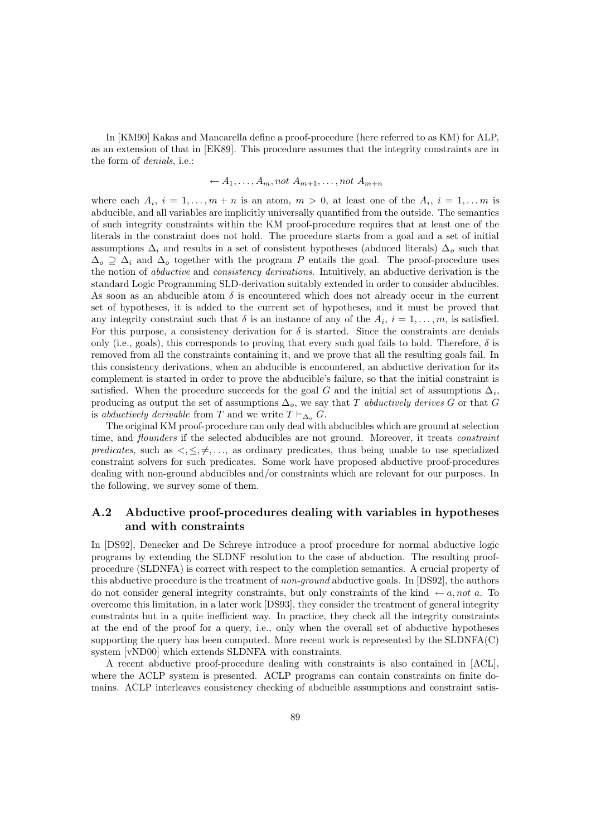In [KM90] Kakas and Mancarella define a proof-procedure (here referred to as KM) for ALP, as an extension of that in [EK89]. This procedure assumes that the integrity constraints are in the form of denials, i.e.:

$$
\leftarrow A_1, \ldots, A_m, not A_{m+1}, \ldots, not A_{m+n}
$$

where each  $A_i$ ,  $i = 1, \ldots, m+n$  is an atom,  $m > 0$ , at least one of the  $A_i$ ,  $i = 1, \ldots, m$  is abducible, and all variables are implicitly universally quantified from the outside. The semantics of such integrity constraints within the KM proof-procedure requires that at least one of the literals in the constraint does not hold. The procedure starts from a goal and a set of initial assumptions  $\Delta_i$  and results in a set of consistent hypotheses (abduced literals)  $\Delta_o$  such that  $\Delta_o \supseteq \Delta_i$  and  $\Delta_o$  together with the program P entails the goal. The proof-procedure uses the notion of abductive and consistency derivations. Intuitively, an abductive derivation is the standard Logic Programming SLD-derivation suitably extended in order to consider abducibles. As soon as an abducible atom  $\delta$  is encountered which does not already occur in the current set of hypotheses, it is added to the current set of hypotheses, and it must be proved that any integrity constraint such that  $\delta$  is an instance of any of the  $A_i$ ,  $i = 1, \ldots, m$ , is satisfied. For this purpose, a consistency derivation for  $\delta$  is started. Since the constraints are denials only (i.e., goals), this corresponds to proving that every such goal fails to hold. Therefore,  $\delta$  is removed from all the constraints containing it, and we prove that all the resulting goals fail. In this consistency derivations, when an abducible is encountered, an abductive derivation for its complement is started in order to prove the abducible's failure, so that the initial constraint is satisfied. When the procedure succeeds for the goal G and the initial set of assumptions  $\Delta_i$ , producing as output the set of assumptions  $\Delta_o$ , we say that T abductively derives G or that G is abductively derivable from T and we write  $T \vdash_{\Delta_{\alpha}} G$ .

The original KM proof-procedure can only deal with abducibles which are ground at selection time, and *flounders* if the selected abducibles are not ground. Moreover, it treats *constraint* predicates, such as  $\langle \xi, \xi, \xi, \ldots \rangle$  as ordinary predicates, thus being unable to use specialized constraint solvers for such predicates. Some work have proposed abductive proof-procedures dealing with non-ground abducibles and/or constraints which are relevant for our purposes. In the following, we survey some of them.

## A.2 Abductive proof-procedures dealing with variables in hypotheses and with constraints

In [DS92], Denecker and De Schreye introduce a proof procedure for normal abductive logic programs by extending the SLDNF resolution to the case of abduction. The resulting proofprocedure (SLDNFA) is correct with respect to the completion semantics. A crucial property of this abductive procedure is the treatment of non-ground abductive goals. In [DS92], the authors do not consider general integrity constraints, but only constraints of the kind  $\leftarrow a$ , not a. To overcome this limitation, in a later work [DS93], they consider the treatment of general integrity constraints but in a quite inefficient way. In practice, they check all the integrity constraints at the end of the proof for a query, i.e., only when the overall set of abductive hypotheses supporting the query has been computed. More recent work is represented by the SLDNFA(C) system [vND00] which extends SLDNFA with constraints.

A recent abductive proof-procedure dealing with constraints is also contained in [ACL], where the ACLP system is presented. ACLP programs can contain constraints on finite domains. ACLP interleaves consistency checking of abducible assumptions and constraint satis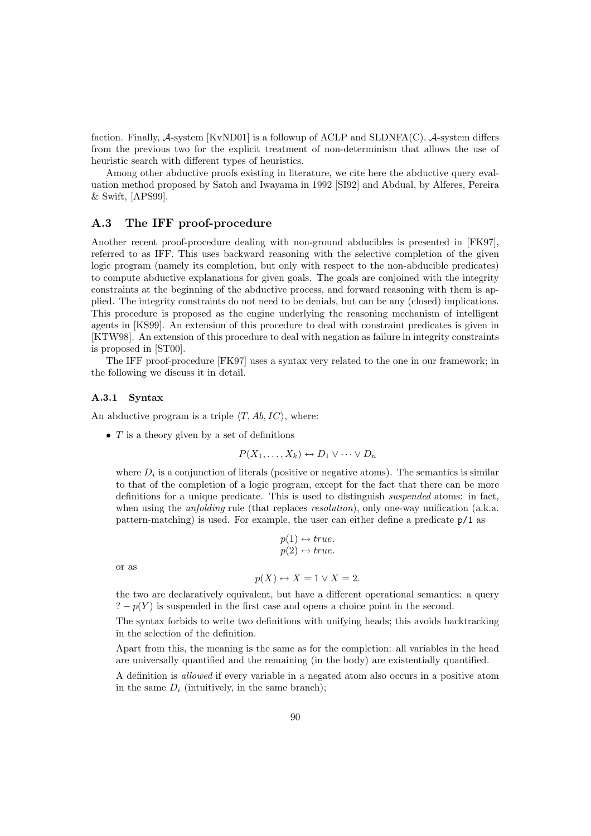faction. Finally, A-system [KvND01] is a followup of ACLP and SLDNFA(C). A-system differs from the previous two for the explicit treatment of non-determinism that allows the use of heuristic search with different types of heuristics.

Among other abductive proofs existing in literature, we cite here the abductive query evaluation method proposed by Satoh and Iwayama in 1992 [SI92] and Abdual, by Alferes, Pereira  $&$  Swift, [APS99].

## A.3 The IFF proof-procedure

Another recent proof-procedure dealing with non-ground abducibles is presented in [FK97], referred to as IFF. This uses backward reasoning with the selective completion of the given logic program (namely its completion, but only with respect to the non-abducible predicates) to compute abductive explanations for given goals. The goals are conjoined with the integrity constraints at the beginning of the abductive process, and forward reasoning with them is applied. The integrity constraints do not need to be denials, but can be any (closed) implications. This procedure is proposed as the engine underlying the reasoning mechanism of intelligent agents in [KS99]. An extension of this procedure to deal with constraint predicates is given in [KTW98]. An extension of this procedure to deal with negation as failure in integrity constraints is proposed in [ST00].

The IFF proof-procedure [FK97] uses a syntax very related to the one in our framework; in the following we discuss it in detail.

#### A.3.1 Syntax

An abductive program is a triple  $\langle T, Ab, IC \rangle$ , where:

•  $T$  is a theory given by a set of definitions

$$
P(X_1,\ldots,X_k)\leftrightarrow D_1\vee\cdots\vee D_n
$$

where  $D_i$  is a conjunction of literals (positive or negative atoms). The semantics is similar to that of the completion of a logic program, except for the fact that there can be more definitions for a unique predicate. This is used to distinguish suspended atoms: in fact, when using the *unfolding* rule (that replaces *resolution*), only one-way unification (a.k.a. pattern-matching) is used. For example, the user can either define a predicate p/1 as

$$
p(1) \leftrightarrow true.
$$
  

$$
p(2) \leftrightarrow true.
$$

or as

$$
p(X) \leftrightarrow X = 1 \lor X = 2.
$$

the two are declaratively equivalent, but have a different operational semantics: a query  $? - p(Y)$  is suspended in the first case and opens a choice point in the second.

The syntax forbids to write two definitions with unifying heads; this avoids backtracking in the selection of the definition.

Apart from this, the meaning is the same as for the completion: all variables in the head are universally quantified and the remaining (in the body) are existentially quantified.

A definition is allowed if every variable in a negated atom also occurs in a positive atom in the same  $D_i$  (intuitively, in the same branch);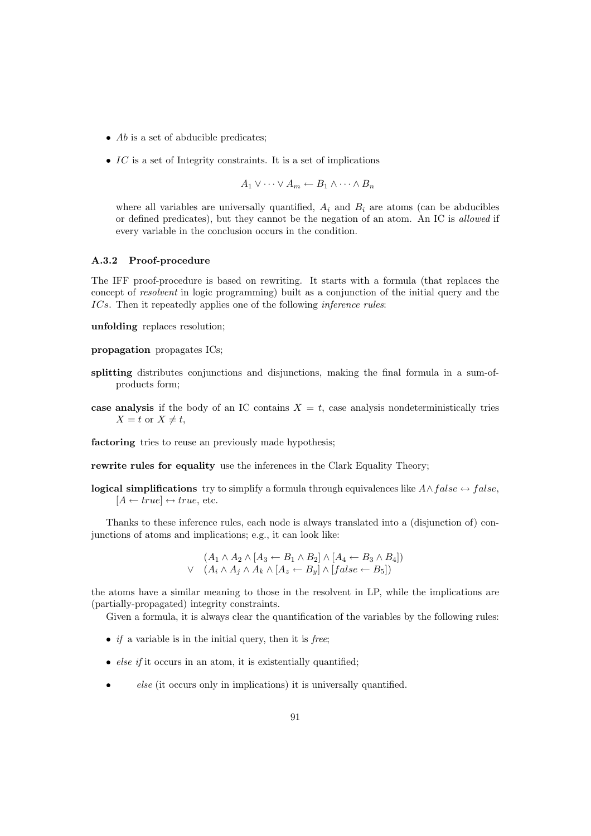- $\bullet$  Ab is a set of abducible predicates;
- $IC$  is a set of Integrity constraints. It is a set of implications

$$
A_1 \vee \cdots \vee A_m \leftarrow B_1 \wedge \cdots \wedge B_n
$$

where all variables are universally quantified,  $A_i$  and  $B_i$  are atoms (can be abducibles or defined predicates), but they cannot be the negation of an atom. An IC is allowed if every variable in the conclusion occurs in the condition.

#### A.3.2 Proof-procedure

The IFF proof-procedure is based on rewriting. It starts with a formula (that replaces the concept of *resolvent* in logic programming) built as a conjunction of the initial query and the ICs. Then it repeatedly applies one of the following *inference rules*:

unfolding replaces resolution;

propagation propagates ICs;

- splitting distributes conjunctions and disjunctions, making the final formula in a sum-ofproducts form;
- case analysis if the body of an IC contains  $X = t$ , case analysis nondeterministically tries  $X = t$  or  $X \neq t$ ,

factoring tries to reuse an previously made hypothesis;

rewrite rules for equality use the inferences in the Clark Equality Theory;

**logical simplifications** try to simplify a formula through equivalences like  $A \land false \leftrightarrow false$ ,  $[A \leftarrow true] \leftrightarrow true$ , etc.

Thanks to these inference rules, each node is always translated into a (disjunction of) conjunctions of atoms and implications; e.g., it can look like:

$$
(A_1 \wedge A_2 \wedge [A_3 \leftarrow B_1 \wedge B_2] \wedge [A_4 \leftarrow B_3 \wedge B_4])
$$
  
 
$$
\vee \quad (A_i \wedge A_j \wedge A_k \wedge [A_z \leftarrow B_y] \wedge [false \leftarrow B_5])
$$

the atoms have a similar meaning to those in the resolvent in LP, while the implications are (partially-propagated) integrity constraints.

Given a formula, it is always clear the quantification of the variables by the following rules:

- if a variable is in the initial query, then it is free;
- *else if* it occurs in an atom, it is existentially quantified;
- else (it occurs only in implications) it is universally quantified.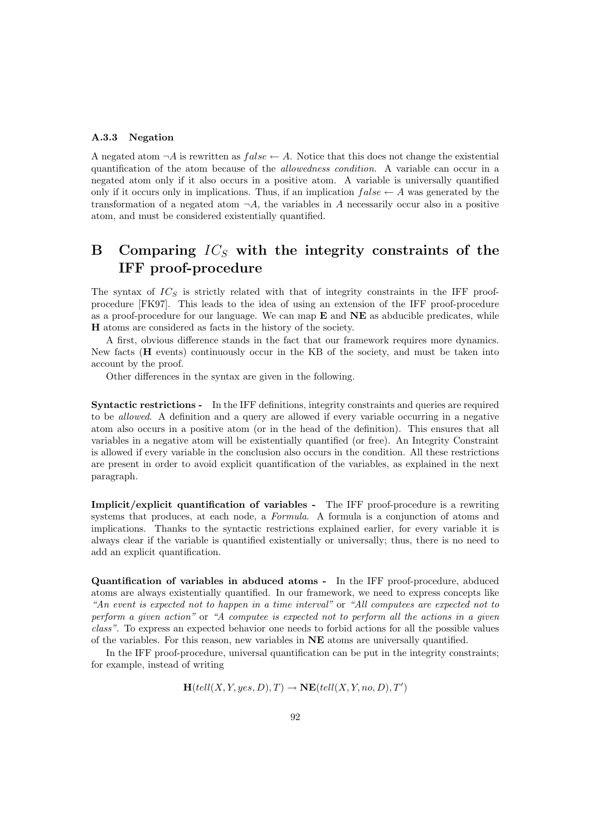#### A.3.3 Negation

A negated atom  $\neg A$  is rewritten as  $false \leftarrow A$ . Notice that this does not change the existential quantification of the atom because of the allowedness condition. A variable can occur in a negated atom only if it also occurs in a positive atom. A variable is universally quantified only if it occurs only in implications. Thus, if an implication  $false \leftarrow A$  was generated by the transformation of a negated atom  $\neg A$ , the variables in A necessarily occur also in a positive atom, and must be considered existentially quantified.

# B Comparing  $IC<sub>S</sub>$  with the integrity constraints of the IFF proof-procedure

The syntax of  $IC_S$  is strictly related with that of integrity constraints in the IFF proofprocedure [FK97]. This leads to the idea of using an extension of the IFF proof-procedure as a proof-procedure for our language. We can map  $E$  and  $NE$  as abducible predicates, while H atoms are considered as facts in the history of the society.

A first, obvious difference stands in the fact that our framework requires more dynamics. New facts (H events) continuously occur in the KB of the society, and must be taken into account by the proof.

Other differences in the syntax are given in the following.

Syntactic restrictions - In the IFF definitions, integrity constraints and queries are required to be allowed. A definition and a query are allowed if every variable occurring in a negative atom also occurs in a positive atom (or in the head of the definition). This ensures that all variables in a negative atom will be existentially quantified (or free). An Integrity Constraint is allowed if every variable in the conclusion also occurs in the condition. All these restrictions are present in order to avoid explicit quantification of the variables, as explained in the next paragraph.

Implicit/explicit quantification of variables - The IFF proof-procedure is a rewriting systems that produces, at each node, a Formula. A formula is a conjunction of atoms and implications. Thanks to the syntactic restrictions explained earlier, for every variable it is always clear if the variable is quantified existentially or universally; thus, there is no need to add an explicit quantification.

Quantification of variables in abduced atoms - In the IFF proof-procedure, abduced atoms are always existentially quantified. In our framework, we need to express concepts like "An event is expected not to happen in a time interval" or "All computees are expected not to perform a given action" or "A computee is expected not to perform all the actions in a given class". To express an expected behavior one needs to forbid actions for all the possible values of the variables. For this reason, new variables in NE atoms are universally quantified.

In the IFF proof-procedure, universal quantification can be put in the integrity constraints; for example, instead of writing

$$
\mathbf{H}(tell(X, Y, yes, D), T) \rightarrow \mathbf{NE}(tell(X, Y, no, D), T')
$$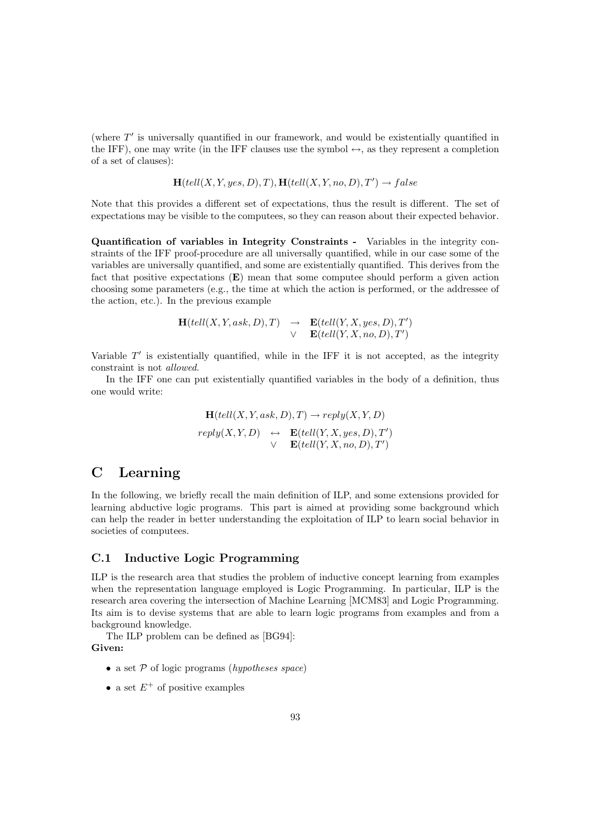(where  $T'$  is universally quantified in our framework, and would be existentially quantified in the IFF), one may write (in the IFF clauses use the symbol  $\leftrightarrow$ , as they represent a completion of a set of clauses):

$$
\mathbf{H}(tell(X, Y, yes, D), T), \mathbf{H}(tell(X, Y, no, D), T') \rightarrow false
$$

Note that this provides a different set of expectations, thus the result is different. The set of expectations may be visible to the computees, so they can reason about their expected behavior.

Quantification of variables in Integrity Constraints - Variables in the integrity constraints of the IFF proof-procedure are all universally quantified, while in our case some of the variables are universally quantified, and some are existentially quantified. This derives from the fact that positive expectations  $(E)$  mean that some computee should perform a given action choosing some parameters (e.g., the time at which the action is performed, or the addressee of the action, etc.). In the previous example

$$
\mathbf{H}(tell(X, Y, ask, D), T) \rightarrow \mathbf{E}(tell(Y, X, yes, D), T')
$$
  
 
$$
\vee \mathbf{E}(tell(Y, X, no, D), T')
$$

Variable  $T'$  is existentially quantified, while in the IFF it is not accepted, as the integrity constraint is not allowed.

In the IFF one can put existentially quantified variables in the body of a definition, thus one would write:

$$
\mathbf{H}(tell(X, Y, ask, D), T) \rightarrow reply(X, Y, D)
$$
\n
$$
reply(X, Y, D) \leftrightarrow \mathbf{E}(tell(Y, X, yes, D), T')
$$
\n
$$
\lor \mathbf{E}(tell(Y, X, no, D), T')
$$

# C Learning

In the following, we briefly recall the main definition of ILP, and some extensions provided for learning abductive logic programs. This part is aimed at providing some background which can help the reader in better understanding the exploitation of ILP to learn social behavior in societies of computees.

## C.1 Inductive Logic Programming

ILP is the research area that studies the problem of inductive concept learning from examples when the representation language employed is Logic Programming. In particular, ILP is the research area covering the intersection of Machine Learning [MCM83] and Logic Programming. Its aim is to devise systems that are able to learn logic programs from examples and from a background knowledge.

The ILP problem can be defined as [BG94]: Given:

- a set  $P$  of logic programs (hypotheses space)
- a set  $E^+$  of positive examples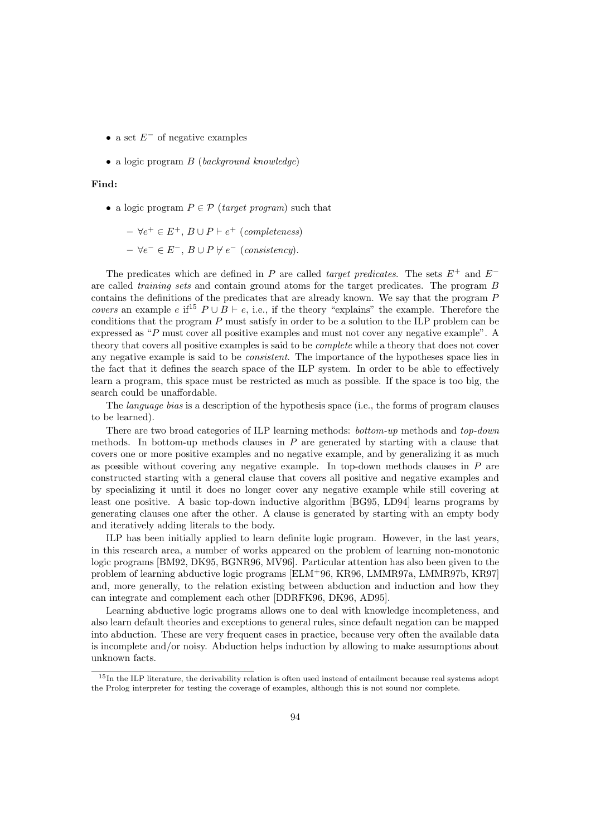- a set  $E^-$  of negative examples
- a logic program  $B$  (background knowledge)

#### Find:

• a logic program  $P \in \mathcal{P}$  (target program) such that

$$
- \forall e^+ \in E^+, B \cup P \vdash e^+ \text{ (completeness)}
$$
  

$$
- \forall e^- \in E^-, B \cup P \nvdash e^- \text{ (consistency)}.
$$

The predicates which are defined in P are called target predicates. The sets  $E^+$  and  $E^$ are called training sets and contain ground atoms for the target predicates. The program B contains the definitions of the predicates that are already known. We say that the program P covers an example e if<sup>15</sup>  $P \cup B \vdash e$ , i.e., if the theory "explains" the example. Therefore the conditions that the program  $P$  must satisfy in order to be a solution to the ILP problem can be expressed as "P must cover all positive examples and must not cover any negative example". A theory that covers all positive examples is said to be complete while a theory that does not cover any negative example is said to be consistent. The importance of the hypotheses space lies in the fact that it defines the search space of the ILP system. In order to be able to effectively learn a program, this space must be restricted as much as possible. If the space is too big, the search could be unaffordable.

The *language bias* is a description of the hypothesis space (i.e., the forms of program clauses to be learned).

There are two broad categories of ILP learning methods: bottom-up methods and top-down methods. In bottom-up methods clauses in  $P$  are generated by starting with a clause that covers one or more positive examples and no negative example, and by generalizing it as much as possible without covering any negative example. In top-down methods clauses in  $P$  are constructed starting with a general clause that covers all positive and negative examples and by specializing it until it does no longer cover any negative example while still covering at least one positive. A basic top-down inductive algorithm [BG95, LD94] learns programs by generating clauses one after the other. A clause is generated by starting with an empty body and iteratively adding literals to the body.

ILP has been initially applied to learn definite logic program. However, in the last years, in this research area, a number of works appeared on the problem of learning non-monotonic logic programs [BM92, DK95, BGNR96, MV96]. Particular attention has also been given to the problem of learning abductive logic programs [ELM<sup>+</sup>96, KR96, LMMR97a, LMMR97b, KR97] and, more generally, to the relation existing between abduction and induction and how they can integrate and complement each other [DDRFK96, DK96, AD95].

Learning abductive logic programs allows one to deal with knowledge incompleteness, and also learn default theories and exceptions to general rules, since default negation can be mapped into abduction. These are very frequent cases in practice, because very often the available data is incomplete and/or noisy. Abduction helps induction by allowing to make assumptions about unknown facts.

<sup>&</sup>lt;sup>15</sup>In the ILP literature, the derivability relation is often used instead of entailment because real systems adopt the Prolog interpreter for testing the coverage of examples, although this is not sound nor complete.